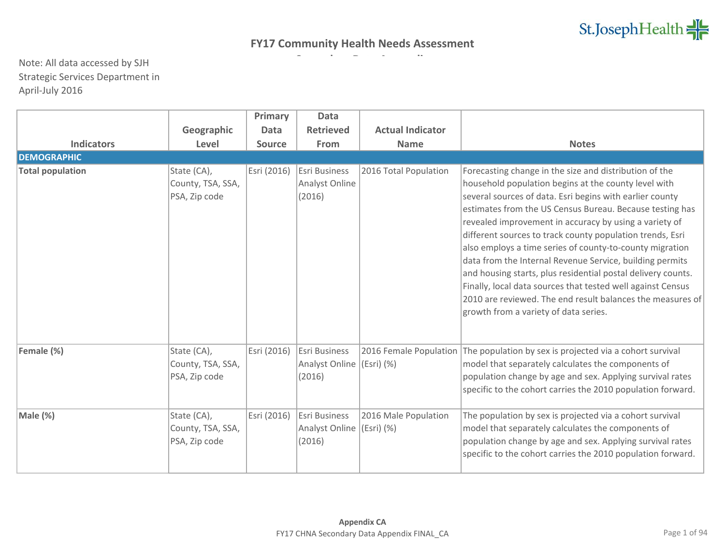|                         |                                                   | Primary       | <b>Data</b>                                      |                                      |                                                                                                                                                                                                                                                                                                                                                                                                                                                                                                                                                                                                                                                                                                                             |
|-------------------------|---------------------------------------------------|---------------|--------------------------------------------------|--------------------------------------|-----------------------------------------------------------------------------------------------------------------------------------------------------------------------------------------------------------------------------------------------------------------------------------------------------------------------------------------------------------------------------------------------------------------------------------------------------------------------------------------------------------------------------------------------------------------------------------------------------------------------------------------------------------------------------------------------------------------------------|
|                         | Geographic                                        | <b>Data</b>   | <b>Retrieved</b>                                 | <b>Actual Indicator</b>              |                                                                                                                                                                                                                                                                                                                                                                                                                                                                                                                                                                                                                                                                                                                             |
| <b>Indicators</b>       | Level                                             | <b>Source</b> | From                                             | <b>Name</b>                          | <b>Notes</b>                                                                                                                                                                                                                                                                                                                                                                                                                                                                                                                                                                                                                                                                                                                |
| <b>DEMOGRAPHIC</b>      |                                                   |               |                                                  |                                      |                                                                                                                                                                                                                                                                                                                                                                                                                                                                                                                                                                                                                                                                                                                             |
| <b>Total population</b> | State (CA),<br>County, TSA, SSA,<br>PSA, Zip code | Esri (2016)   | Esri Business<br>Analyst Online<br>(2016)        | 2016 Total Population                | Forecasting change in the size and distribution of the<br>household population begins at the county level with<br>several sources of data. Esri begins with earlier county<br>estimates from the US Census Bureau. Because testing has<br>revealed improvement in accuracy by using a variety of<br>different sources to track county population trends, Esri<br>also employs a time series of county-to-county migration<br>data from the Internal Revenue Service, building permits<br>and housing starts, plus residential postal delivery counts.<br>Finally, local data sources that tested well against Census<br>2010 are reviewed. The end result balances the measures of<br>growth from a variety of data series. |
| Female (%)              | State (CA),<br>County, TSA, SSA,<br>PSA, Zip code | Esri (2016)   | <b>Esri Business</b><br>Analyst Online<br>(2016) | 2016 Female Population<br>(Esri) (%) | The population by sex is projected via a cohort survival<br>model that separately calculates the components of<br>population change by age and sex. Applying survival rates<br>specific to the cohort carries the 2010 population forward.                                                                                                                                                                                                                                                                                                                                                                                                                                                                                  |
| Male (%)                | State (CA),<br>County, TSA, SSA,<br>PSA, Zip code | Esri (2016)   | <b>Esri Business</b><br>Analyst Online<br>(2016) | 2016 Male Population<br>(Esri) (%)   | The population by sex is projected via a cohort survival<br>model that separately calculates the components of<br>population change by age and sex. Applying survival rates<br>specific to the cohort carries the 2010 population forward.                                                                                                                                                                                                                                                                                                                                                                                                                                                                                  |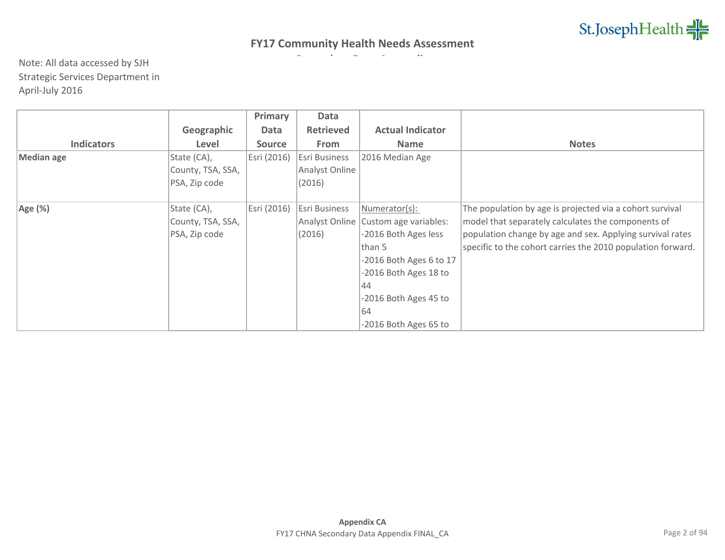|                   |                   | Primary       | Data                 |                                        |                                                             |
|-------------------|-------------------|---------------|----------------------|----------------------------------------|-------------------------------------------------------------|
|                   | Geographic        | Data          | <b>Retrieved</b>     | <b>Actual Indicator</b>                |                                                             |
| <b>Indicators</b> | Level             | <b>Source</b> | <b>From</b>          | <b>Name</b>                            | <b>Notes</b>                                                |
| <b>Median age</b> | State (CA),       | Esri (2016)   | <b>Esri Business</b> | 2016 Median Age                        |                                                             |
|                   | County, TSA, SSA, |               | Analyst Online       |                                        |                                                             |
|                   | PSA, Zip code     |               | (2016)               |                                        |                                                             |
|                   |                   |               |                      |                                        |                                                             |
| Age (%)           | State (CA),       | Esri (2016)   | <b>Esri Business</b> | Numerator(s):                          | The population by age is projected via a cohort survival    |
|                   | County, TSA, SSA, |               |                      | Analyst Online   Custom age variables: | model that separately calculates the components of          |
|                   | PSA, Zip code     |               | (2016)               | -2016 Both Ages less                   | population change by age and sex. Applying survival rates   |
|                   |                   |               |                      | than 5                                 | specific to the cohort carries the 2010 population forward. |
|                   |                   |               |                      | -2016 Both Ages 6 to 17                |                                                             |
|                   |                   |               |                      | -2016 Both Ages 18 to                  |                                                             |
|                   |                   |               |                      | 44                                     |                                                             |
|                   |                   |               |                      | -2016 Both Ages 45 to                  |                                                             |
|                   |                   |               |                      | 64                                     |                                                             |
|                   |                   |               |                      | -2016 Both Ages 65 to                  |                                                             |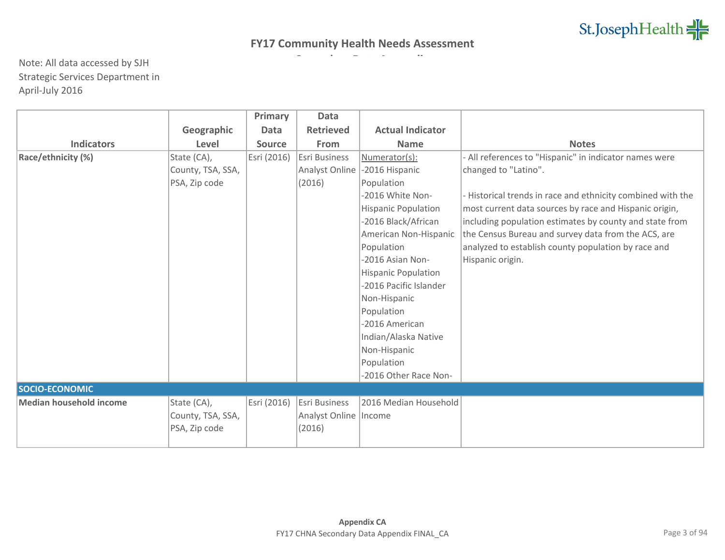|                                |                   | Primary       | <b>Data</b>             |                            |                                                             |
|--------------------------------|-------------------|---------------|-------------------------|----------------------------|-------------------------------------------------------------|
|                                | Geographic        | Data          | <b>Retrieved</b>        | <b>Actual Indicator</b>    |                                                             |
| <b>Indicators</b>              | Level             | <b>Source</b> | From                    | <b>Name</b>                | <b>Notes</b>                                                |
| Race/ethnicity (%)             | State (CA),       | Esri (2016)   | Esri Business           | Numerator(s):              | - All references to "Hispanic" in indicator names were      |
|                                | County, TSA, SSA, |               | Analyst Online          | -2016 Hispanic             | changed to "Latino".                                        |
|                                | PSA, Zip code     |               | (2016)                  | Population                 |                                                             |
|                                |                   |               |                         | -2016 White Non-           | - Historical trends in race and ethnicity combined with the |
|                                |                   |               |                         | <b>Hispanic Population</b> | most current data sources by race and Hispanic origin,      |
|                                |                   |               |                         | -2016 Black/African        | including population estimates by county and state from     |
|                                |                   |               |                         | American Non-Hispanic      | the Census Bureau and survey data from the ACS, are         |
|                                |                   |               |                         | Population                 | analyzed to establish county population by race and         |
|                                |                   |               |                         | -2016 Asian Non-           | Hispanic origin.                                            |
|                                |                   |               |                         | <b>Hispanic Population</b> |                                                             |
|                                |                   |               |                         | -2016 Pacific Islander     |                                                             |
|                                |                   |               |                         | Non-Hispanic               |                                                             |
|                                |                   |               |                         | Population                 |                                                             |
|                                |                   |               |                         | -2016 American             |                                                             |
|                                |                   |               |                         | Indian/Alaska Native       |                                                             |
|                                |                   |               |                         | Non-Hispanic               |                                                             |
|                                |                   |               |                         | Population                 |                                                             |
|                                |                   |               |                         | -2016 Other Race Non-      |                                                             |
| SOCIO-ECONOMIC                 |                   |               |                         |                            |                                                             |
| <b>Median household income</b> | State (CA),       | Esri (2016)   | Esri Business           | 2016 Median Household      |                                                             |
|                                | County, TSA, SSA, |               | Analyst Online   Income |                            |                                                             |
|                                | PSA, Zip code     |               | (2016)                  |                            |                                                             |
|                                |                   |               |                         |                            |                                                             |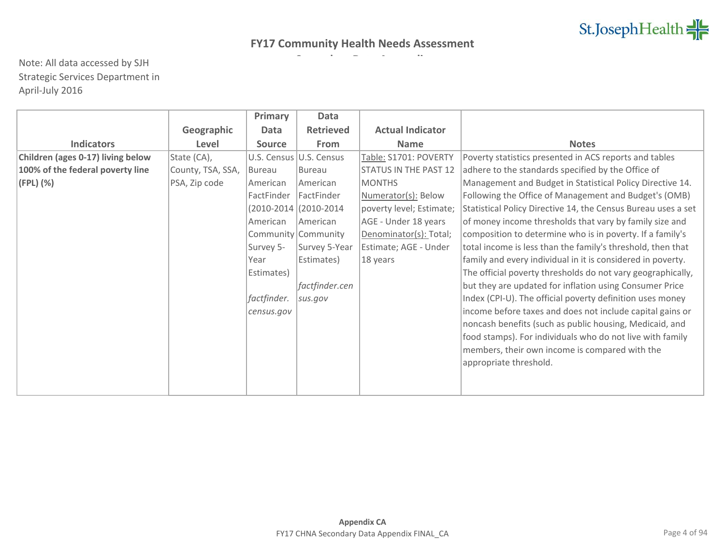|                                   |                   | Primary               | <b>Data</b>             |                              |                                                               |
|-----------------------------------|-------------------|-----------------------|-------------------------|------------------------------|---------------------------------------------------------------|
|                                   | Geographic        | Data                  | <b>Retrieved</b>        | <b>Actual Indicator</b>      |                                                               |
| <b>Indicators</b>                 | Level             | <b>Source</b>         | From                    | <b>Name</b>                  | <b>Notes</b>                                                  |
| Children (ages 0-17) living below | State (CA),       |                       | U.S. Census U.S. Census | Table: S1701: POVERTY        | Poverty statistics presented in ACS reports and tables        |
| 100% of the federal poverty line  | County, TSA, SSA, | <b>Bureau</b>         | <b>Bureau</b>           | <b>STATUS IN THE PAST 12</b> | adhere to the standards specified by the Office of            |
| (FPL) (%)                         | PSA, Zip code     | American              | American                | <b>MONTHS</b>                | Management and Budget in Statistical Policy Directive 14.     |
|                                   |                   | FactFinder            | <b>FactFinder</b>       | Numerator(s): Below          | Following the Office of Management and Budget's (OMB)         |
|                                   |                   | (2010-2014 (2010-2014 |                         | poverty level; Estimate;     | Statistical Policy Directive 14, the Census Bureau uses a set |
|                                   |                   | American              | American                | AGE - Under 18 years         | of money income thresholds that vary by family size and       |
|                                   |                   |                       | Community Community     | Denominator(s): Total;       | composition to determine who is in poverty. If a family's     |
|                                   |                   | Survey 5-             | Survey 5-Year           | Estimate; AGE - Under        | total income is less than the family's threshold, then that   |
|                                   |                   | Year                  | Estimates)              | 18 years                     | family and every individual in it is considered in poverty.   |
|                                   |                   | Estimates)            |                         |                              | The official poverty thresholds do not vary geographically,   |
|                                   |                   |                       | factfinder.cen          |                              | but they are updated for inflation using Consumer Price       |
|                                   |                   | factfinder.           | sus.gov                 |                              | Index (CPI-U). The official poverty definition uses money     |
|                                   |                   | census.gov            |                         |                              | income before taxes and does not include capital gains or     |
|                                   |                   |                       |                         |                              | noncash benefits (such as public housing, Medicaid, and       |
|                                   |                   |                       |                         |                              | food stamps). For individuals who do not live with family     |
|                                   |                   |                       |                         |                              | members, their own income is compared with the                |
|                                   |                   |                       |                         |                              | appropriate threshold.                                        |
|                                   |                   |                       |                         |                              |                                                               |
|                                   |                   |                       |                         |                              |                                                               |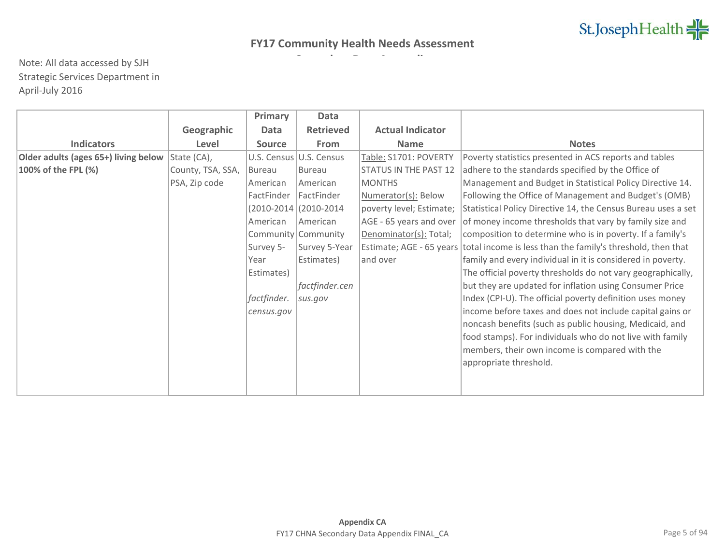|                                      |                   | Primary                 | Data                |                              |                                                               |
|--------------------------------------|-------------------|-------------------------|---------------------|------------------------------|---------------------------------------------------------------|
|                                      | Geographic        | Data                    | <b>Retrieved</b>    | <b>Actual Indicator</b>      |                                                               |
| <b>Indicators</b>                    | Level             | <b>Source</b>           | From                | <b>Name</b>                  | <b>Notes</b>                                                  |
| Older adults (ages 65+) living below | State (CA),       | U.S. Census U.S. Census |                     | Table: S1701: POVERTY        | Poverty statistics presented in ACS reports and tables        |
| 100% of the FPL (%)                  | County, TSA, SSA, | <b>Bureau</b>           | <b>Bureau</b>       | <b>STATUS IN THE PAST 12</b> | adhere to the standards specified by the Office of            |
|                                      | PSA, Zip code     | American                | American            | <b>MONTHS</b>                | Management and Budget in Statistical Policy Directive 14.     |
|                                      |                   | <b>FactFinder</b>       | <b>FactFinder</b>   | Numerator(s): Below          | Following the Office of Management and Budget's (OMB)         |
|                                      |                   | (2010-2014 (2010-2014   |                     | poverty level; Estimate;     | Statistical Policy Directive 14, the Census Bureau uses a set |
|                                      |                   | American                | American            | AGE - 65 years and over      | of money income thresholds that vary by family size and       |
|                                      |                   |                         | Community Community | Denominator(s): Total;       | composition to determine who is in poverty. If a family's     |
|                                      |                   | Survey 5-               | Survey 5-Year       | Estimate; AGE - 65 years     | total income is less than the family's threshold, then that   |
|                                      |                   | Year                    | Estimates)          | and over                     | family and every individual in it is considered in poverty.   |
|                                      |                   | Estimates)              |                     |                              | The official poverty thresholds do not vary geographically,   |
|                                      |                   |                         | factfinder.cen      |                              | but they are updated for inflation using Consumer Price       |
|                                      |                   | factfinder.             | sus.gov             |                              | Index (CPI-U). The official poverty definition uses money     |
|                                      |                   | census.gov              |                     |                              | income before taxes and does not include capital gains or     |
|                                      |                   |                         |                     |                              | noncash benefits (such as public housing, Medicaid, and       |
|                                      |                   |                         |                     |                              | food stamps). For individuals who do not live with family     |
|                                      |                   |                         |                     |                              | members, their own income is compared with the                |
|                                      |                   |                         |                     |                              | appropriate threshold.                                        |
|                                      |                   |                         |                     |                              |                                                               |
|                                      |                   |                         |                     |                              |                                                               |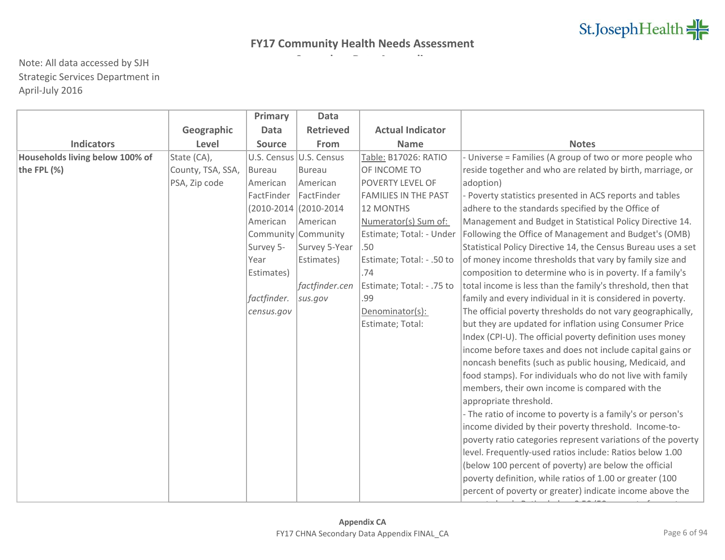|                                 |                   | Primary       | <b>Data</b>             |                             |                                                               |
|---------------------------------|-------------------|---------------|-------------------------|-----------------------------|---------------------------------------------------------------|
|                                 | Geographic        | <b>Data</b>   | <b>Retrieved</b>        | <b>Actual Indicator</b>     |                                                               |
| <b>Indicators</b>               | Level             | <b>Source</b> | From                    | <b>Name</b>                 | <b>Notes</b>                                                  |
| Households living below 100% of | State (CA),       |               | U.S. Census U.S. Census | Table: B17026: RATIO        | - Universe = Families (A group of two or more people who      |
| the FPL (%)                     | County, TSA, SSA, | <b>Bureau</b> | Bureau                  | OF INCOME TO                | reside together and who are related by birth, marriage, or    |
|                                 | PSA, Zip code     | American      | American                | POVERTY LEVEL OF            | adoption)                                                     |
|                                 |                   | FactFinder    | FactFinder              | <b>FAMILIES IN THE PAST</b> | - Poverty statistics presented in ACS reports and tables      |
|                                 |                   |               | (2010-2014 (2010-2014   | <b>12 MONTHS</b>            | adhere to the standards specified by the Office of            |
|                                 |                   | American      | American                | Numerator(s) Sum of:        | Management and Budget in Statistical Policy Directive 14.     |
|                                 |                   |               | Community Community     | Estimate; Total: - Under    | Following the Office of Management and Budget's (OMB)         |
|                                 |                   | Survey 5-     | Survey 5-Year           | .50                         | Statistical Policy Directive 14, the Census Bureau uses a set |
|                                 |                   | Year          | Estimates)              | Estimate; Total: - .50 to   | of money income thresholds that vary by family size and       |
|                                 |                   | Estimates)    |                         | .74                         | composition to determine who is in poverty. If a family's     |
|                                 |                   |               | factfinder.cen          | Estimate; Total: - .75 to   | total income is less than the family's threshold, then that   |
|                                 |                   | factfinder.   | sus.gov                 | .99                         | family and every individual in it is considered in poverty.   |
|                                 |                   | census.gov    |                         | Denominator(s):             | The official poverty thresholds do not vary geographically,   |
|                                 |                   |               |                         | Estimate; Total:            | but they are updated for inflation using Consumer Price       |
|                                 |                   |               |                         |                             | Index (CPI-U). The official poverty definition uses money     |
|                                 |                   |               |                         |                             | income before taxes and does not include capital gains or     |
|                                 |                   |               |                         |                             | noncash benefits (such as public housing, Medicaid, and       |
|                                 |                   |               |                         |                             | food stamps). For individuals who do not live with family     |
|                                 |                   |               |                         |                             | members, their own income is compared with the                |
|                                 |                   |               |                         |                             | appropriate threshold.                                        |
|                                 |                   |               |                         |                             | - The ratio of income to poverty is a family's or person's    |
|                                 |                   |               |                         |                             | income divided by their poverty threshold. Income-to-         |
|                                 |                   |               |                         |                             | poverty ratio categories represent variations of the poverty  |
|                                 |                   |               |                         |                             | level. Frequently-used ratios include: Ratios below 1.00      |
|                                 |                   |               |                         |                             | (below 100 percent of poverty) are below the official         |
|                                 |                   |               |                         |                             | poverty definition, while ratios of 1.00 or greater (100      |
|                                 |                   |               |                         |                             | percent of poverty or greater) indicate income above the      |
|                                 |                   |               |                         |                             |                                                               |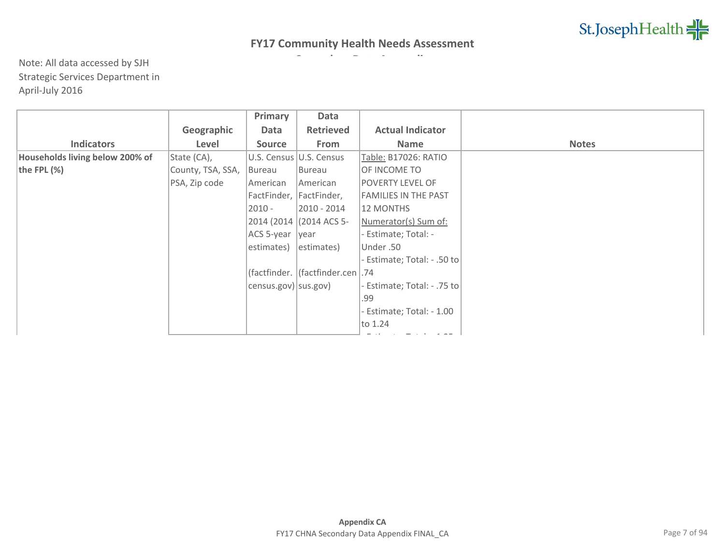|                                 |                   | Primary                | Data                                |                             |              |
|---------------------------------|-------------------|------------------------|-------------------------------------|-----------------------------|--------------|
|                                 | Geographic        | Data                   | <b>Retrieved</b>                    | <b>Actual Indicator</b>     |              |
| <b>Indicators</b>               | Level             | <b>Source</b>          | From                                | Name                        | <b>Notes</b> |
| Households living below 200% of | State (CA),       |                        | U.S. Census U.S. Census             | Table: B17026: RATIO        |              |
| the FPL $(\%)$                  | County, TSA, SSA, | Bureau                 | Bureau                              | OF INCOME TO                |              |
|                                 | PSA, Zip code     | American               | American                            | <b>POVERTY LEVEL OF</b>     |              |
|                                 |                   |                        | FactFinder, FactFinder,             | <b>FAMILIES IN THE PAST</b> |              |
|                                 |                   | $2010 -$               | 2010 - 2014                         | 12 MONTHS                   |              |
|                                 |                   |                        | 2014 (2014 (2014 ACS 5-             | Numerator(s) Sum of:        |              |
|                                 |                   | ACS 5-year             | <i>vear</i>                         | Estimate; Total: -          |              |
|                                 |                   | estimates)             | estimates)                          | Under .50                   |              |
|                                 |                   |                        |                                     | Estimate; Total: - .50 to   |              |
|                                 |                   |                        | (factfinder.  (factfinder.cen   .74 |                             |              |
|                                 |                   | census.gov)   sus.gov) |                                     | Estimate; Total: - .75 to   |              |
|                                 |                   |                        |                                     | .99                         |              |
|                                 |                   |                        |                                     | Estimate; Total: - 1.00     |              |
|                                 |                   |                        |                                     | to 1.24                     |              |
|                                 |                   |                        |                                     |                             |              |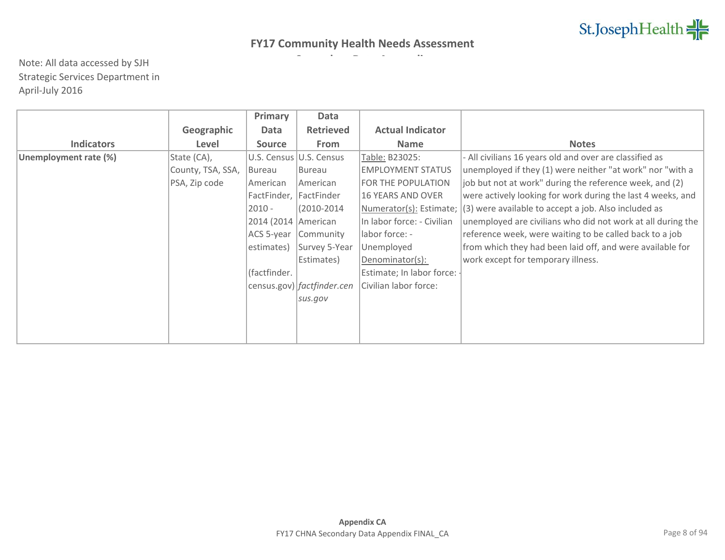|                       |                   | Primary                | Data                         |                            |                                                             |
|-----------------------|-------------------|------------------------|------------------------------|----------------------------|-------------------------------------------------------------|
|                       | Geographic        | Data                   | <b>Retrieved</b>             | <b>Actual Indicator</b>    |                                                             |
| <b>Indicators</b>     | Level             | <b>Source</b>          | From                         | <b>Name</b>                | <b>Notes</b>                                                |
| Unemployment rate (%) | State (CA),       |                        | U.S. Census U.S. Census      | Table: B23025:             | - All civilians 16 years old and over are classified as     |
|                       | County, TSA, SSA, | Bureau                 | Bureau                       | <b>EMPLOYMENT STATUS</b>   | unemployed if they (1) were neither "at work" nor "with a   |
|                       | PSA, Zip code     | American               | American                     | FOR THE POPULATION         | job but not at work" during the reference week, and (2)     |
|                       |                   | FactFinder, FactFinder |                              | <b>16 YEARS AND OVER</b>   | were actively looking for work during the last 4 weeks, and |
|                       |                   | $2010 -$               | (2010-2014)                  | Numerator(s): Estimate;    | $(3)$ were available to accept a job. Also included as      |
|                       |                   | 2014 (2014   American  |                              | In labor force: - Civilian | unemployed are civilians who did not work at all during the |
|                       |                   | ACS 5-year             | Community                    | labor force: -             | reference week, were waiting to be called back to a job     |
|                       |                   | estimates)             | Survey 5-Year                | Unemployed                 | from which they had been laid off, and were available for   |
|                       |                   |                        | Estimates)                   | Denominator(s):            | work except for temporary illness.                          |
|                       |                   | (factfinder.           |                              | Estimate; In labor force:  |                                                             |
|                       |                   |                        | census.gov)   factfinder.cen | Civilian labor force:      |                                                             |
|                       |                   |                        | sus.gov                      |                            |                                                             |
|                       |                   |                        |                              |                            |                                                             |
|                       |                   |                        |                              |                            |                                                             |
|                       |                   |                        |                              |                            |                                                             |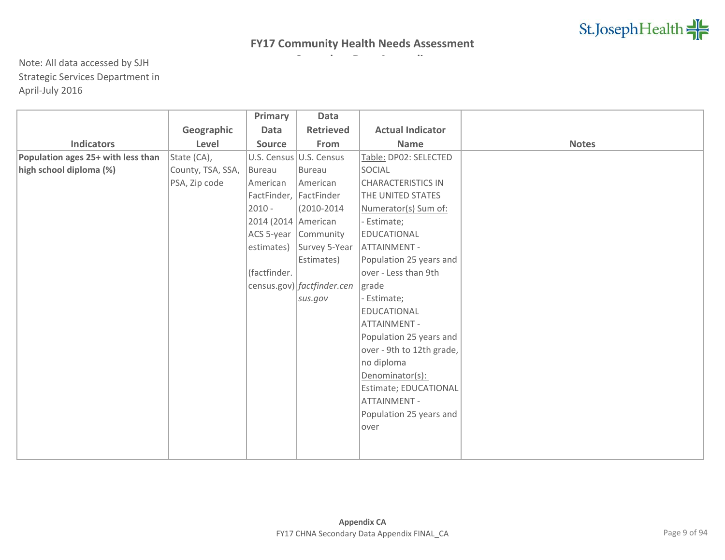|                                    |                   | Primary                | <b>Data</b>                |                           |              |
|------------------------------------|-------------------|------------------------|----------------------------|---------------------------|--------------|
|                                    | Geographic        | <b>Data</b>            | <b>Retrieved</b>           | <b>Actual Indicator</b>   |              |
| <b>Indicators</b>                  | Level             | Source                 | From                       | <b>Name</b>               | <b>Notes</b> |
| Population ages 25+ with less than | State (CA),       |                        | U.S. Census U.S. Census    | Table: DP02: SELECTED     |              |
| high school diploma (%)            | County, TSA, SSA, | Bureau                 | Bureau                     | SOCIAL                    |              |
|                                    | PSA, Zip code     | American               | American                   | <b>CHARACTERISTICS IN</b> |              |
|                                    |                   | FactFinder, FactFinder |                            | THE UNITED STATES         |              |
|                                    |                   | $2010 -$               | $(2010 - 2014)$            | Numerator(s) Sum of:      |              |
|                                    |                   | 2014 (2014 American    |                            | - Estimate;               |              |
|                                    |                   | ACS 5-year             | Community                  | EDUCATIONAL               |              |
|                                    |                   | estimates)             | Survey 5-Year              | <b>ATTAINMENT -</b>       |              |
|                                    |                   |                        | Estimates)                 | Population 25 years and   |              |
|                                    |                   | (factfinder.           |                            | over - Less than 9th      |              |
|                                    |                   |                        | census.gov) factfinder.cen | grade                     |              |
|                                    |                   |                        | sus.gov                    | Estimate;                 |              |
|                                    |                   |                        |                            | <b>EDUCATIONAL</b>        |              |
|                                    |                   |                        |                            | <b>ATTAINMENT -</b>       |              |
|                                    |                   |                        |                            | Population 25 years and   |              |
|                                    |                   |                        |                            | over - 9th to 12th grade, |              |
|                                    |                   |                        |                            | no diploma                |              |
|                                    |                   |                        |                            | Denominator(s):           |              |
|                                    |                   |                        |                            | Estimate; EDUCATIONAL     |              |
|                                    |                   |                        |                            | <b>ATTAINMENT -</b>       |              |
|                                    |                   |                        |                            | Population 25 years and   |              |
|                                    |                   |                        |                            | lover                     |              |
|                                    |                   |                        |                            |                           |              |
|                                    |                   |                        |                            |                           |              |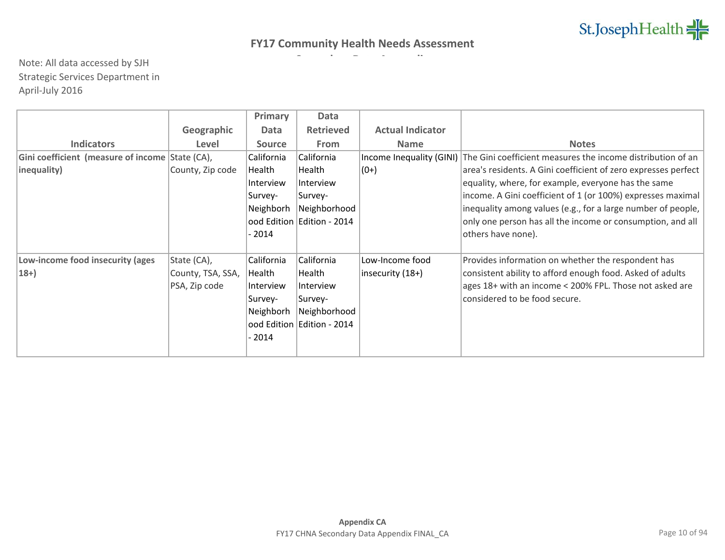|                                                 |                   | Primary       | Data                         |                          |                                                                |
|-------------------------------------------------|-------------------|---------------|------------------------------|--------------------------|----------------------------------------------------------------|
|                                                 | Geographic        | Data          | <b>Retrieved</b>             | <b>Actual Indicator</b>  |                                                                |
| <b>Indicators</b>                               | Level             | <b>Source</b> | <b>From</b>                  | <b>Name</b>              | <b>Notes</b>                                                   |
| Gini coefficient (measure of income State (CA), |                   | California    | California                   | Income Inequality (GINI) | The Gini coefficient measures the income distribution of an    |
| inequality)                                     | County, Zip code  | Health        | Health                       | $(0+)$                   | area's residents. A Gini coefficient of zero expresses perfect |
|                                                 |                   | Interview     | Interview                    |                          | equality, where, for example, everyone has the same            |
|                                                 |                   | Survey-       | Survey-                      |                          | income. A Gini coefficient of 1 (or 100%) expresses maximal    |
|                                                 |                   | Neighborh     | Neighborhood                 |                          | inequality among values (e.g., for a large number of people,   |
|                                                 |                   |               | ood Edition Edition - 2014   |                          | only one person has all the income or consumption, and all     |
|                                                 |                   | - 2014        |                              |                          | others have none).                                             |
|                                                 |                   |               |                              |                          |                                                                |
| Low-income food insecurity (ages                | State (CA),       | California    | California                   | Low-Income food          | Provides information on whether the respondent has             |
| $18+$                                           | County, TSA, SSA, | Health        | Health                       | insecurity $(18+)$       | consistent ability to afford enough food. Asked of adults      |
|                                                 | PSA, Zip code     | Interview     | Interview                    |                          | ages 18+ with an income < 200% FPL. Those not asked are        |
|                                                 |                   | Survey-       | Survey-                      |                          | considered to be food secure.                                  |
|                                                 |                   | Neighborh     | Neighborhood                 |                          |                                                                |
|                                                 |                   |               | ood Edition   Edition - 2014 |                          |                                                                |
|                                                 |                   | - 2014        |                              |                          |                                                                |
|                                                 |                   |               |                              |                          |                                                                |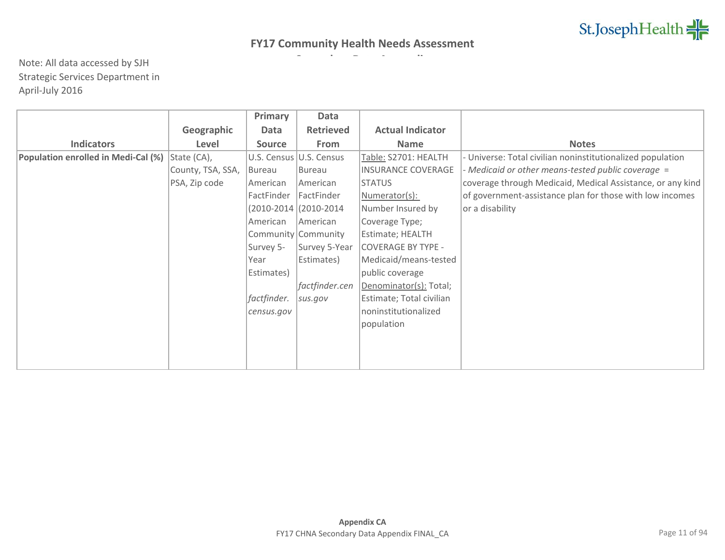|                                     |                   | Primary       | Data                    |                           |                                                            |
|-------------------------------------|-------------------|---------------|-------------------------|---------------------------|------------------------------------------------------------|
|                                     | Geographic        | Data          | <b>Retrieved</b>        | <b>Actual Indicator</b>   |                                                            |
| <b>Indicators</b>                   | Level             | <b>Source</b> | From                    | <b>Name</b>               | <b>Notes</b>                                               |
| Population enrolled in Medi-Cal (%) | State (CA),       |               | U.S. Census U.S. Census | Table: S2701: HEALTH      | Universe: Total civilian noninstitutionalized population   |
|                                     | County, TSA, SSA, | Bureau        | Bureau                  | <b>INSURANCE COVERAGE</b> | - Medicaid or other means-tested public coverage =         |
|                                     | PSA, Zip code     | American      | American                | <b>STATUS</b>             | coverage through Medicaid, Medical Assistance, or any kind |
|                                     |                   | FactFinder    | FactFinder              | Numerator(s):             | of government-assistance plan for those with low incomes   |
|                                     |                   |               | (2010-2014 (2010-2014   | Number Insured by         | or a disability                                            |
|                                     |                   | American      | American                | Coverage Type;            |                                                            |
|                                     |                   |               | Community Community     | Estimate; HEALTH          |                                                            |
|                                     |                   | Survey 5-     | Survey 5-Year           | <b>COVERAGE BY TYPE -</b> |                                                            |
|                                     |                   | Year          | Estimates)              | Medicaid/means-tested     |                                                            |
|                                     |                   | Estimates)    |                         | public coverage           |                                                            |
|                                     |                   |               | factfinder.cen          | Denominator(s): Total;    |                                                            |
|                                     |                   | factfinder.   | sus.gov                 | Estimate; Total civilian  |                                                            |
|                                     |                   | census.gov    |                         | noninstitutionalized      |                                                            |
|                                     |                   |               |                         | population                |                                                            |
|                                     |                   |               |                         |                           |                                                            |
|                                     |                   |               |                         |                           |                                                            |
|                                     |                   |               |                         |                           |                                                            |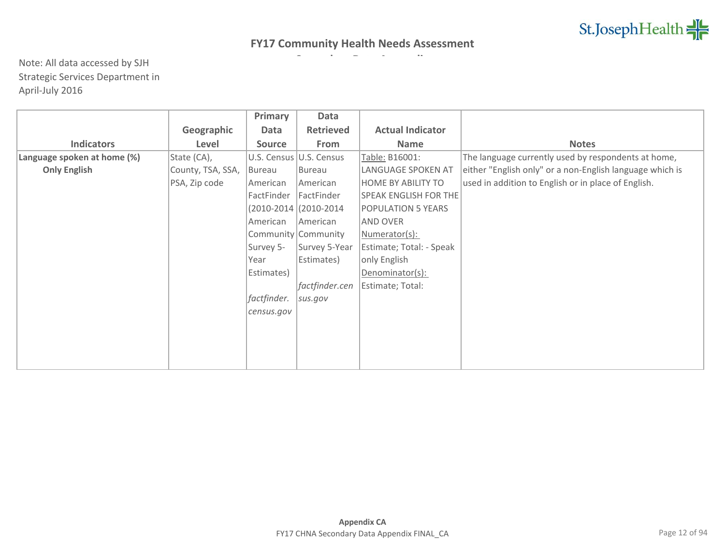|                             |                   | Primary       | Data                     |                          |                                                          |
|-----------------------------|-------------------|---------------|--------------------------|--------------------------|----------------------------------------------------------|
|                             | Geographic        | Data          | <b>Retrieved</b>         | <b>Actual Indicator</b>  |                                                          |
| <b>Indicators</b>           | Level             | <b>Source</b> | From                     | <b>Name</b>              | <b>Notes</b>                                             |
| Language spoken at home (%) | State (CA),       |               | U.S. Census U.S. Census  | Table: B16001:           | The language currently used by respondents at home,      |
| <b>Only English</b>         | County, TSA, SSA, | Bureau        | Bureau                   | LANGUAGE SPOKEN AT       | either "English only" or a non-English language which is |
|                             | PSA, Zip code     | American      | American                 | HOME BY ABILITY TO       | used in addition to English or in place of English.      |
|                             |                   | FactFinder    | FactFinder               | SPEAK ENGLISH FOR THE    |                                                          |
|                             |                   |               | $(2010-2014)(2010-2014)$ | POPULATION 5 YEARS       |                                                          |
|                             |                   | American      | American                 | AND OVER                 |                                                          |
|                             |                   |               | Community Community      | Numerator(s):            |                                                          |
|                             |                   | Survey 5-     | Survey 5-Year            | Estimate; Total: - Speak |                                                          |
|                             |                   | Year          | Estimates)               | only English             |                                                          |
|                             |                   | Estimates)    |                          | Denominator(s):          |                                                          |
|                             |                   |               | factfinder.cen           | Estimate; Total:         |                                                          |
|                             |                   | factfinder.   | sus.gov                  |                          |                                                          |
|                             |                   | census.gov    |                          |                          |                                                          |
|                             |                   |               |                          |                          |                                                          |
|                             |                   |               |                          |                          |                                                          |
|                             |                   |               |                          |                          |                                                          |
|                             |                   |               |                          |                          |                                                          |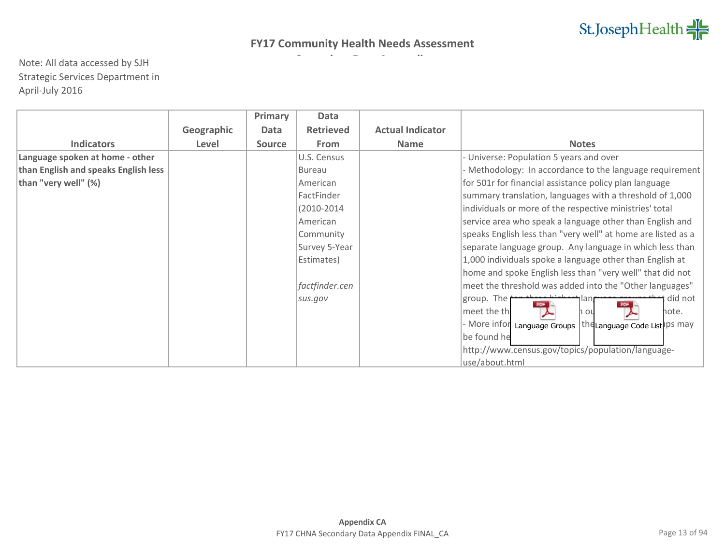|                                      |            | Primary       | Data             |                         |                                                                   |
|--------------------------------------|------------|---------------|------------------|-------------------------|-------------------------------------------------------------------|
|                                      | Geographic | Data          | <b>Retrieved</b> | <b>Actual Indicator</b> |                                                                   |
| <b>Indicators</b>                    | Level      | <b>Source</b> | From             | <b>Name</b>             | <b>Notes</b>                                                      |
| Language spoken at home - other      |            |               | U.S. Census      |                         | Universe: Population 5 years and over                             |
| than English and speaks English less |            |               | Bureau           |                         | Methodology: In accordance to the language requirement            |
| than "very well" (%)                 |            |               | American         |                         | for 501r for financial assistance policy plan language            |
|                                      |            |               | FactFinder       |                         | summary translation, languages with a threshold of 1,000          |
|                                      |            |               | (2010-2014       |                         | individuals or more of the respective ministries' total           |
|                                      |            |               | American         |                         | service area who speak a language other than English and          |
|                                      |            |               | Community        |                         | speaks English less than "very well" at home are listed as a      |
|                                      |            |               | Survey 5-Year    |                         | separate language group. Any language in which less than          |
|                                      |            |               | Estimates)       |                         | 1,000 individuals spoke a language other than English at          |
|                                      |            |               |                  |                         | home and spoke English less than "very well" that did not         |
|                                      |            |               | factfinder.cen   |                         | meet the threshold was added into the "Other languages"           |
|                                      |            |               | sus.gov          |                         | group. The<br>did not<br>lan                                      |
|                                      |            |               |                  |                         | meet the th<br>note.<br>Ωl                                        |
|                                      |            |               |                  |                         | - More infor<br>the Language Code List IPS May<br>Language Groups |
|                                      |            |               |                  |                         | be found he                                                       |
|                                      |            |               |                  |                         | http://www.census.gov/topics/population/language-                 |
|                                      |            |               |                  |                         | use/about.html                                                    |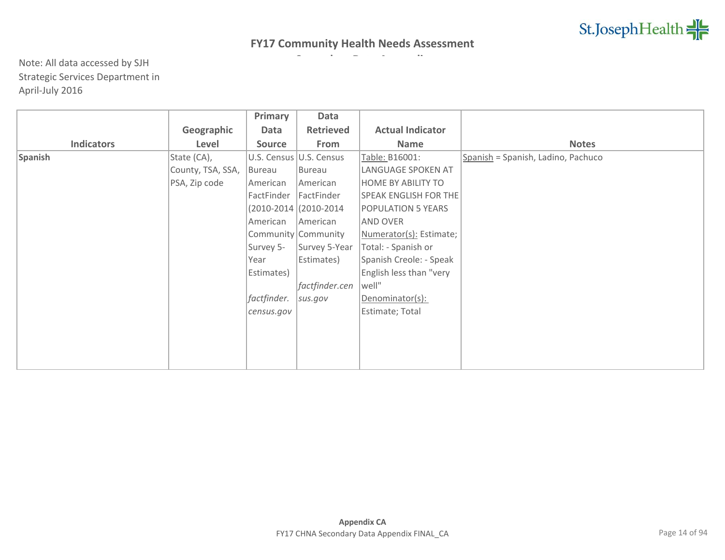|                   |                   | Primary       | Data                     |                              |                                    |
|-------------------|-------------------|---------------|--------------------------|------------------------------|------------------------------------|
|                   | Geographic        | Data          | <b>Retrieved</b>         | <b>Actual Indicator</b>      |                                    |
| <b>Indicators</b> | Level             | <b>Source</b> | From                     | <b>Name</b>                  | <b>Notes</b>                       |
| Spanish           | State (CA),       |               | U.S. Census U.S. Census  | Table: B16001:               | Spanish = Spanish, Ladino, Pachuco |
|                   | County, TSA, SSA, | Bureau        | Bureau                   | LANGUAGE SPOKEN AT           |                                    |
|                   | PSA, Zip code     | American      | American                 | <b>HOME BY ABILITY TO</b>    |                                    |
|                   |                   | FactFinder    | FactFinder               | <b>SPEAK ENGLISH FOR THE</b> |                                    |
|                   |                   |               | $(2010-2014)(2010-2014)$ | <b>POPULATION 5 YEARS</b>    |                                    |
|                   |                   | American      | American                 | <b>AND OVER</b>              |                                    |
|                   |                   |               | Community Community      | Numerator(s): Estimate;      |                                    |
|                   |                   | Survey 5-     | Survey 5-Year            | Total: - Spanish or          |                                    |
|                   |                   | Year          | Estimates)               | Spanish Creole: - Speak      |                                    |
|                   |                   | Estimates)    |                          | English less than "very      |                                    |
|                   |                   |               | factfinder.cen           | well"                        |                                    |
|                   |                   | factfinder.   | sus.gov                  | Denominator(s):              |                                    |
|                   |                   | census.gov    |                          | Estimate; Total              |                                    |
|                   |                   |               |                          |                              |                                    |
|                   |                   |               |                          |                              |                                    |
|                   |                   |               |                          |                              |                                    |
|                   |                   |               |                          |                              |                                    |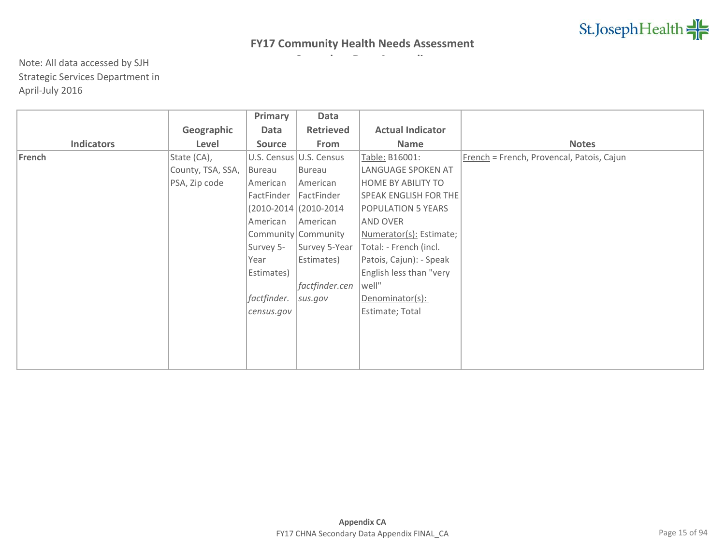|                   |                   | Primary       | Data                     |                              |                                           |
|-------------------|-------------------|---------------|--------------------------|------------------------------|-------------------------------------------|
|                   | Geographic        | Data          | <b>Retrieved</b>         | <b>Actual Indicator</b>      |                                           |
| <b>Indicators</b> | Level             | <b>Source</b> | From                     | Name                         | <b>Notes</b>                              |
| French            | State (CA),       |               | U.S. Census U.S. Census  | Table: B16001:               | French = French, Provencal, Patois, Cajun |
|                   | County, TSA, SSA, | Bureau        | Bureau                   | LANGUAGE SPOKEN AT           |                                           |
|                   | PSA, Zip code     | American      | American                 | <b>HOME BY ABILITY TO</b>    |                                           |
|                   |                   | FactFinder    | FactFinder               | <b>SPEAK ENGLISH FOR THE</b> |                                           |
|                   |                   |               | $(2010-2014)(2010-2014)$ | <b>POPULATION 5 YEARS</b>    |                                           |
|                   |                   | American      | American                 | <b>AND OVER</b>              |                                           |
|                   |                   |               | Community Community      | Numerator(s): Estimate;      |                                           |
|                   |                   | Survey 5-     | Survey 5-Year            | Total: - French (incl.       |                                           |
|                   |                   | Year          | Estimates)               | Patois, Cajun): - Speak      |                                           |
|                   |                   | Estimates)    |                          | English less than "very      |                                           |
|                   |                   |               | factfinder.cen           | well"                        |                                           |
|                   |                   | factfinder.   | sus.gov                  | Denominator(s):              |                                           |
|                   |                   | census.gov    |                          | Estimate; Total              |                                           |
|                   |                   |               |                          |                              |                                           |
|                   |                   |               |                          |                              |                                           |
|                   |                   |               |                          |                              |                                           |
|                   |                   |               |                          |                              |                                           |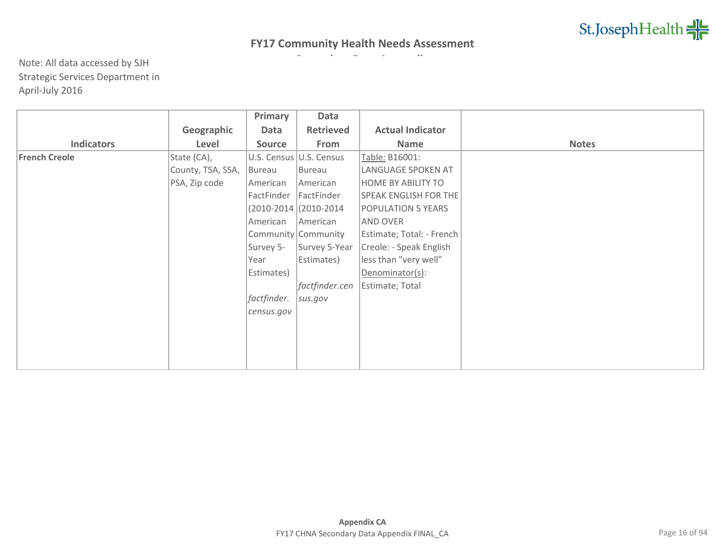|                      |                   | Primary       | Data                    |                              |              |
|----------------------|-------------------|---------------|-------------------------|------------------------------|--------------|
|                      | Geographic        | Data          | <b>Retrieved</b>        | <b>Actual Indicator</b>      |              |
| <b>Indicators</b>    | Level             | <b>Source</b> | From                    | Name                         | <b>Notes</b> |
| <b>French Creole</b> | State (CA),       |               | U.S. Census U.S. Census | Table: B16001:               |              |
|                      | County, TSA, SSA, | Bureau        | Bureau                  | LANGUAGE SPOKEN AT           |              |
|                      | PSA, Zip code     | American      | American                | <b>HOME BY ABILITY TO</b>    |              |
|                      |                   | FactFinder    | FactFinder              | <b>SPEAK ENGLISH FOR THE</b> |              |
|                      |                   |               | (2010-2014 (2010-2014   | POPULATION 5 YEARS           |              |
|                      |                   | American      | American                | AND OVER                     |              |
|                      |                   |               | Community Community     | Estimate; Total: - French    |              |
|                      |                   | Survey 5-     | Survey 5-Year           | Creole: - Speak English      |              |
|                      |                   | Year          | Estimates)              | less than "very well"        |              |
|                      |                   | Estimates)    |                         | Denominator(s):              |              |
|                      |                   |               | factfinder.cen          | Estimate; Total              |              |
|                      |                   | factfinder.   | sus.gov                 |                              |              |
|                      |                   | census.gov    |                         |                              |              |
|                      |                   |               |                         |                              |              |
|                      |                   |               |                         |                              |              |
|                      |                   |               |                         |                              |              |
|                      |                   |               |                         |                              |              |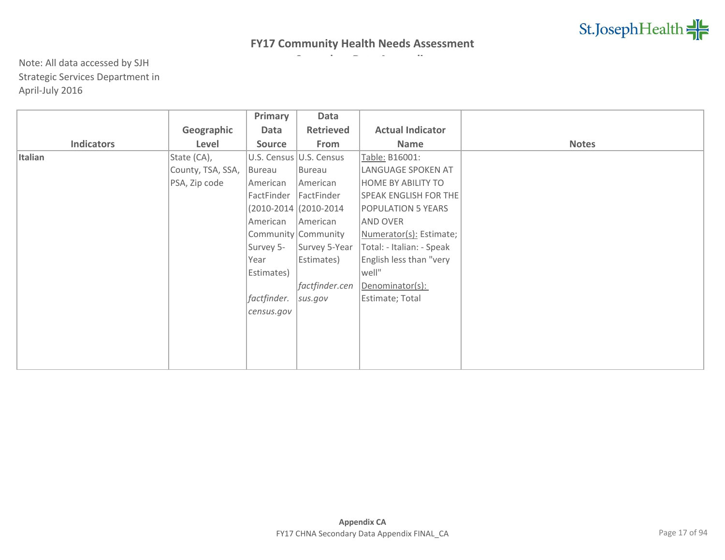|                   |                   | Primary     | Data                     |                              |              |
|-------------------|-------------------|-------------|--------------------------|------------------------------|--------------|
|                   | Geographic        | Data        | <b>Retrieved</b>         | <b>Actual Indicator</b>      |              |
| <b>Indicators</b> | Level             | Source      | From                     | Name                         | <b>Notes</b> |
| Italian           | State (CA),       |             | U.S. Census U.S. Census  | Table: B16001:               |              |
|                   | County, TSA, SSA, | Bureau      | Bureau                   | LANGUAGE SPOKEN AT           |              |
|                   | PSA, Zip code     | American    | American                 | <b>HOME BY ABILITY TO</b>    |              |
|                   |                   | FactFinder  | FactFinder               | <b>SPEAK ENGLISH FOR THE</b> |              |
|                   |                   |             | $(2010-2014)(2010-2014)$ | <b>POPULATION 5 YEARS</b>    |              |
|                   |                   | American    | American                 | <b>AND OVER</b>              |              |
|                   |                   |             | Community Community      | Numerator(s): Estimate;      |              |
|                   |                   | Survey 5-   | Survey 5-Year            | Total: - Italian: - Speak    |              |
|                   |                   | Year        | Estimates)               | English less than "very      |              |
|                   |                   | Estimates)  |                          | well"                        |              |
|                   |                   |             | factfinder.cen           | Denominator(s):              |              |
|                   |                   | factfinder. | sus.gov                  | Estimate; Total              |              |
|                   |                   | census.gov  |                          |                              |              |
|                   |                   |             |                          |                              |              |
|                   |                   |             |                          |                              |              |
|                   |                   |             |                          |                              |              |
|                   |                   |             |                          |                              |              |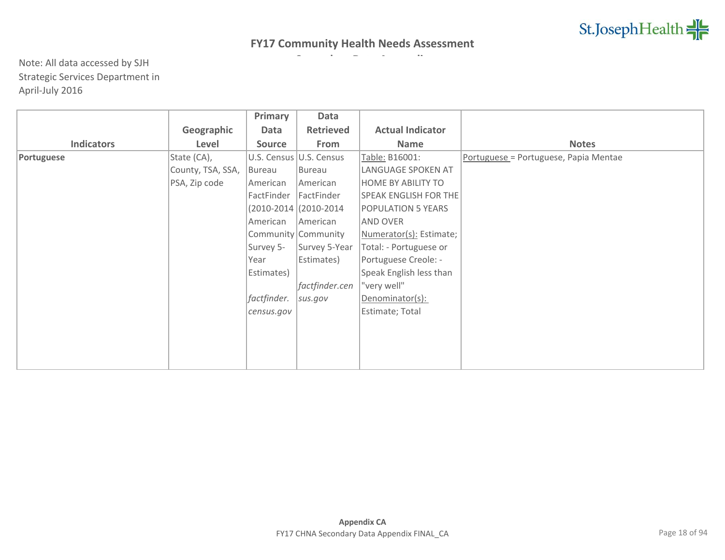|                   |                   | Primary       | Data                    |                              |                                       |
|-------------------|-------------------|---------------|-------------------------|------------------------------|---------------------------------------|
|                   | Geographic        | Data          | <b>Retrieved</b>        | <b>Actual Indicator</b>      |                                       |
| <b>Indicators</b> | Level             | <b>Source</b> | From                    | Name                         | <b>Notes</b>                          |
| Portuguese        | State (CA),       |               | U.S. Census U.S. Census | Table: B16001:               | Portuguese = Portuguese, Papia Mentae |
|                   | County, TSA, SSA, | Bureau        | Bureau                  | LANGUAGE SPOKEN AT           |                                       |
|                   | PSA, Zip code     | American      | American                | <b>HOME BY ABILITY TO</b>    |                                       |
|                   |                   | FactFinder    | FactFinder              | <b>SPEAK ENGLISH FOR THE</b> |                                       |
|                   |                   |               | (2010-2014 (2010-2014)  | <b>POPULATION 5 YEARS</b>    |                                       |
|                   |                   | American      | American                | AND OVER                     |                                       |
|                   |                   |               | Community Community     | Numerator(s): Estimate;      |                                       |
|                   |                   | Survey 5-     | Survey 5-Year           | Total: - Portuguese or       |                                       |
|                   |                   | Year          | Estimates)              | Portuguese Creole: -         |                                       |
|                   |                   | Estimates)    |                         | Speak English less than      |                                       |
|                   |                   |               | factfinder.cen          | "very well"                  |                                       |
|                   |                   | factfinder.   | sus.gov                 | Denominator(s):              |                                       |
|                   |                   | census.gov    |                         | Estimate; Total              |                                       |
|                   |                   |               |                         |                              |                                       |
|                   |                   |               |                         |                              |                                       |
|                   |                   |               |                         |                              |                                       |
|                   |                   |               |                         |                              |                                       |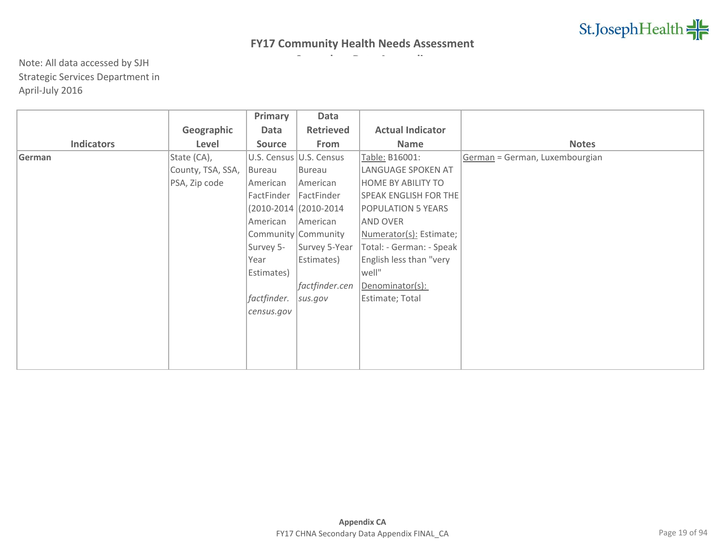|                   |                   | Primary       | Data                      |                              |                                |
|-------------------|-------------------|---------------|---------------------------|------------------------------|--------------------------------|
|                   | Geographic        | Data          | <b>Retrieved</b>          | <b>Actual Indicator</b>      |                                |
| <b>Indicators</b> | Level             | <b>Source</b> | From                      | <b>Name</b>                  | <b>Notes</b>                   |
| German            | State (CA),       |               | U.S. Census   U.S. Census | Table: B16001:               | German = German, Luxembourgian |
|                   | County, TSA, SSA, | Bureau        | Bureau                    | LANGUAGE SPOKEN AT           |                                |
|                   | PSA, Zip code     | American      | American                  | <b>HOME BY ABILITY TO</b>    |                                |
|                   |                   | FactFinder    | FactFinder                | <b>SPEAK ENGLISH FOR THE</b> |                                |
|                   |                   |               | $(2010-2014)(2010-2014)$  | <b>POPULATION 5 YEARS</b>    |                                |
|                   |                   | American      | American                  | AND OVER                     |                                |
|                   |                   |               | Community Community       | Numerator(s): Estimate;      |                                |
|                   |                   | Survey 5-     | Survey 5-Year             | Total: - German: - Speak     |                                |
|                   |                   | Year          | Estimates)                | English less than "very      |                                |
|                   |                   | Estimates)    |                           | well"                        |                                |
|                   |                   |               | factfinder.cen            | Denominator(s):              |                                |
|                   |                   | factfinder.   | sus.gov                   | Estimate; Total              |                                |
|                   |                   | census.gov    |                           |                              |                                |
|                   |                   |               |                           |                              |                                |
|                   |                   |               |                           |                              |                                |
|                   |                   |               |                           |                              |                                |
|                   |                   |               |                           |                              |                                |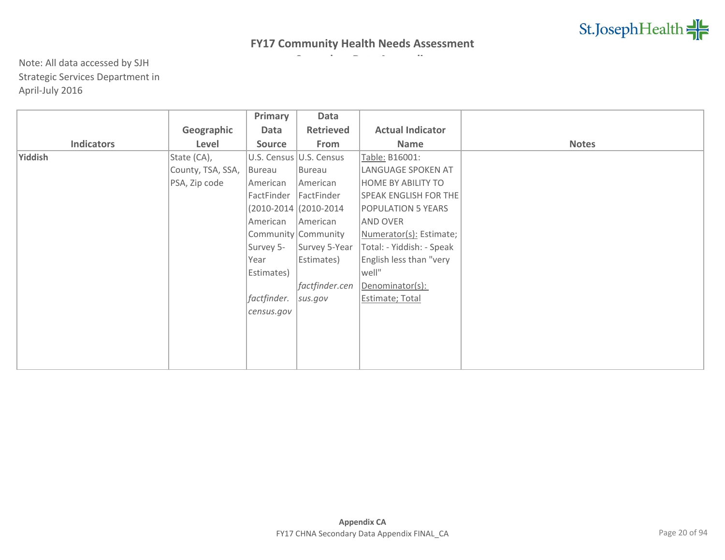|                   |                   | Primary       | Data                     |                              |              |
|-------------------|-------------------|---------------|--------------------------|------------------------------|--------------|
|                   | Geographic        | Data          | <b>Retrieved</b>         | <b>Actual Indicator</b>      |              |
| <b>Indicators</b> | Level             | <b>Source</b> | From                     | <b>Name</b>                  | <b>Notes</b> |
| Yiddish           | State (CA),       |               | U.S. Census U.S. Census  | Table: B16001:               |              |
|                   | County, TSA, SSA, | Bureau        | Bureau                   | LANGUAGE SPOKEN AT           |              |
|                   | PSA, Zip code     | American      | American                 | <b>HOME BY ABILITY TO</b>    |              |
|                   |                   | FactFinder    | FactFinder               | <b>SPEAK ENGLISH FOR THE</b> |              |
|                   |                   |               | $(2010-2014)(2010-2014)$ | <b>POPULATION 5 YEARS</b>    |              |
|                   |                   | American      | American                 | <b>AND OVER</b>              |              |
|                   |                   |               | Community Community      | Numerator(s): Estimate;      |              |
|                   |                   | Survey 5-     | Survey 5-Year            | Total: - Yiddish: - Speak    |              |
|                   |                   | Year          | Estimates)               | English less than "very      |              |
|                   |                   | Estimates)    |                          | well"                        |              |
|                   |                   |               | factfinder.cen           | Denominator(s):              |              |
|                   |                   | factfinder.   | sus.gov                  | Estimate; Total              |              |
|                   |                   | census.gov    |                          |                              |              |
|                   |                   |               |                          |                              |              |
|                   |                   |               |                          |                              |              |
|                   |                   |               |                          |                              |              |
|                   |                   |               |                          |                              |              |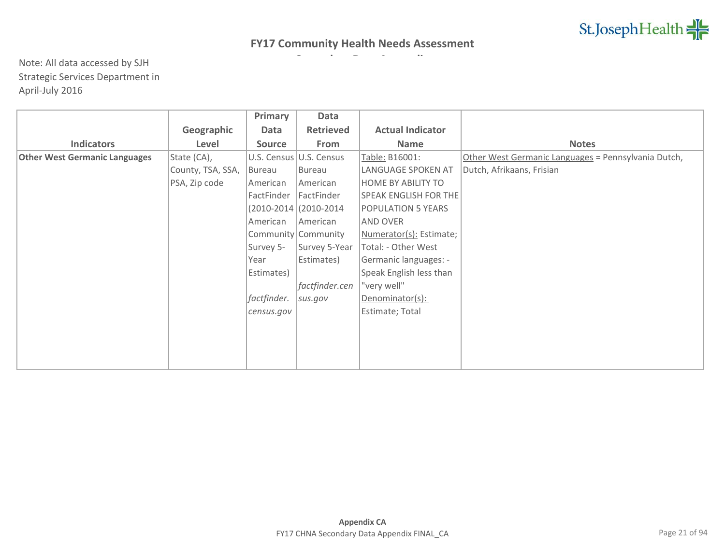|                                      |                   | Primary       | Data                     |                         |                                                     |
|--------------------------------------|-------------------|---------------|--------------------------|-------------------------|-----------------------------------------------------|
|                                      | Geographic        | Data          | <b>Retrieved</b>         | <b>Actual Indicator</b> |                                                     |
| <b>Indicators</b>                    | Level             | <b>Source</b> | From                     | <b>Name</b>             | <b>Notes</b>                                        |
| <b>Other West Germanic Languages</b> | State (CA),       |               | U.S. Census U.S. Census  | Table: B16001:          | Other West Germanic Languages = Pennsylvania Dutch, |
|                                      | County, TSA, SSA, | Bureau        | Bureau                   | LANGUAGE SPOKEN AT      | Dutch, Afrikaans, Frisian                           |
|                                      | PSA, Zip code     | American      | American                 | HOME BY ABILITY TO      |                                                     |
|                                      |                   | FactFinder    | FactFinder               | SPEAK ENGLISH FOR THE   |                                                     |
|                                      |                   |               | $(2010-2014)(2010-2014)$ | POPULATION 5 YEARS      |                                                     |
|                                      |                   | American      | <b>American</b>          | <b>AND OVER</b>         |                                                     |
|                                      |                   |               | Community Community      | Numerator(s): Estimate; |                                                     |
|                                      |                   | Survey 5-     | Survey 5-Year            | Total: - Other West     |                                                     |
|                                      |                   | Year          | Estimates)               | Germanic languages: -   |                                                     |
|                                      |                   | Estimates)    |                          | Speak English less than |                                                     |
|                                      |                   |               | factfinder.cen           | "very well"             |                                                     |
|                                      |                   | factfinder.   | sus.gov                  | Denominator(s):         |                                                     |
|                                      |                   | census.gov    |                          | Estimate; Total         |                                                     |
|                                      |                   |               |                          |                         |                                                     |
|                                      |                   |               |                          |                         |                                                     |
|                                      |                   |               |                          |                         |                                                     |
|                                      |                   |               |                          |                         |                                                     |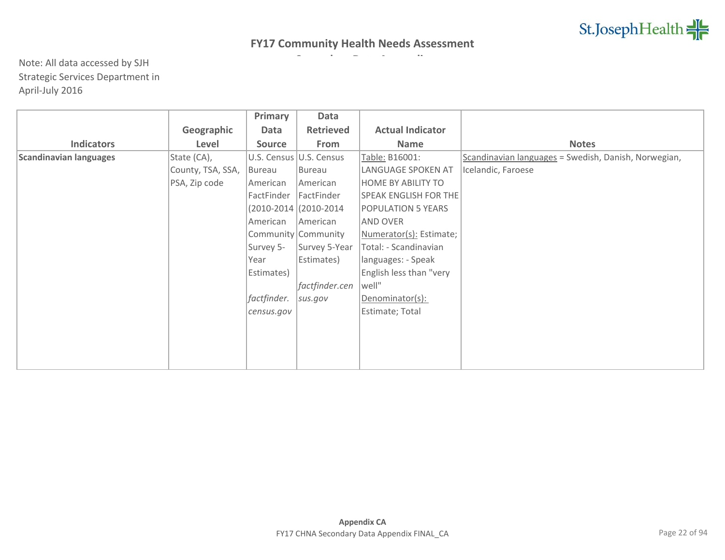|                               |                   | Primary       | Data                     |                              |                                                      |
|-------------------------------|-------------------|---------------|--------------------------|------------------------------|------------------------------------------------------|
|                               | Geographic        | Data          | <b>Retrieved</b>         | <b>Actual Indicator</b>      |                                                      |
| <b>Indicators</b>             | Level             | <b>Source</b> | From                     | Name                         | <b>Notes</b>                                         |
| <b>Scandinavian languages</b> | State (CA),       |               | U.S. Census U.S. Census  | Table: B16001:               | Scandinavian languages = Swedish, Danish, Norwegian, |
|                               | County, TSA, SSA, | Bureau        | Bureau                   | LANGUAGE SPOKEN AT           | Icelandic, Faroese                                   |
|                               | PSA, Zip code     | American      | American                 | HOME BY ABILITY TO           |                                                      |
|                               |                   | FactFinder    | FactFinder               | <b>SPEAK ENGLISH FOR THE</b> |                                                      |
|                               |                   |               | $(2010-2014)(2010-2014)$ | POPULATION 5 YEARS           |                                                      |
|                               |                   | American      | American                 | AND OVER                     |                                                      |
|                               |                   |               | Community Community      | Numerator(s): Estimate;      |                                                      |
|                               |                   | Survey 5-     | Survey 5-Year            | Total: - Scandinavian        |                                                      |
|                               |                   | Year          | Estimates)               | languages: - Speak           |                                                      |
|                               |                   | Estimates)    |                          | English less than "very      |                                                      |
|                               |                   |               | factfinder.cen           | well"                        |                                                      |
|                               |                   | factfinder.   | sus.gov                  | Denominator(s):              |                                                      |
|                               |                   | census.gov    |                          | Estimate; Total              |                                                      |
|                               |                   |               |                          |                              |                                                      |
|                               |                   |               |                          |                              |                                                      |
|                               |                   |               |                          |                              |                                                      |
|                               |                   |               |                          |                              |                                                      |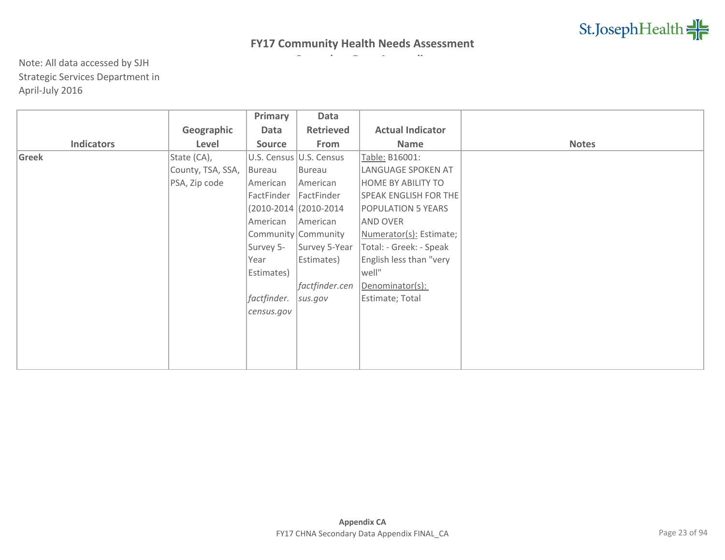|                   |                   | Primary     | Data                     |                              |              |
|-------------------|-------------------|-------------|--------------------------|------------------------------|--------------|
|                   | Geographic        | Data        | <b>Retrieved</b>         | <b>Actual Indicator</b>      |              |
| <b>Indicators</b> | Level             | Source      | From                     | Name                         | <b>Notes</b> |
| Greek             | State (CA),       |             | U.S. Census U.S. Census  | Table: B16001:               |              |
|                   | County, TSA, SSA, | Bureau      | Bureau                   | LANGUAGE SPOKEN AT           |              |
|                   | PSA, Zip code     | American    | American                 | <b>HOME BY ABILITY TO</b>    |              |
|                   |                   | FactFinder  | FactFinder               | <b>SPEAK ENGLISH FOR THE</b> |              |
|                   |                   |             | $(2010-2014)(2010-2014)$ | <b>POPULATION 5 YEARS</b>    |              |
|                   |                   | American    | American                 | <b>AND OVER</b>              |              |
|                   |                   |             | Community Community      | Numerator(s): Estimate;      |              |
|                   |                   | Survey 5-   | Survey 5-Year            | Total: - Greek: - Speak      |              |
|                   |                   | Year        | Estimates)               | English less than "very      |              |
|                   |                   | Estimates)  |                          | well"                        |              |
|                   |                   |             | factfinder.cen           | Denominator(s):              |              |
|                   |                   | factfinder. | sus.gov                  | Estimate; Total              |              |
|                   |                   | census.gov  |                          |                              |              |
|                   |                   |             |                          |                              |              |
|                   |                   |             |                          |                              |              |
|                   |                   |             |                          |                              |              |
|                   |                   |             |                          |                              |              |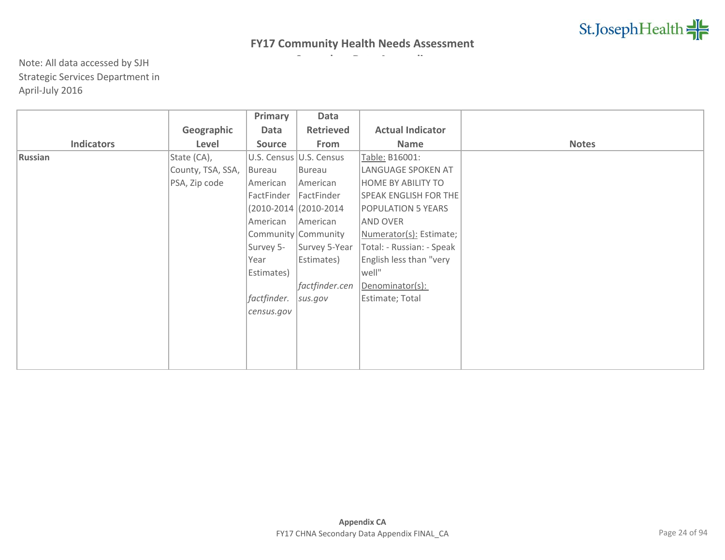|                   |                   | Primary     | Data                     |                              |              |
|-------------------|-------------------|-------------|--------------------------|------------------------------|--------------|
|                   | Geographic        | Data        | <b>Retrieved</b>         | <b>Actual Indicator</b>      |              |
| <b>Indicators</b> | Level             | Source      | From                     | <b>Name</b>                  | <b>Notes</b> |
| Russian           | State (CA),       |             | U.S. Census U.S. Census  | Table: B16001:               |              |
|                   | County, TSA, SSA, | Bureau      | Bureau                   | LANGUAGE SPOKEN AT           |              |
|                   | PSA, Zip code     | American    | American                 | <b>HOME BY ABILITY TO</b>    |              |
|                   |                   | FactFinder  | FactFinder               | <b>SPEAK ENGLISH FOR THE</b> |              |
|                   |                   |             | $(2010-2014)(2010-2014)$ | <b>POPULATION 5 YEARS</b>    |              |
|                   |                   | American    | American                 | <b>AND OVER</b>              |              |
|                   |                   |             | Community Community      | Numerator(s): Estimate;      |              |
|                   |                   | Survey 5-   | Survey 5-Year            | Total: - Russian: - Speak    |              |
|                   |                   | Year        | Estimates)               | English less than "very      |              |
|                   |                   | Estimates)  |                          | well"                        |              |
|                   |                   |             | factfinder.cen           | Denominator(s):              |              |
|                   |                   | factfinder. | sus.gov                  | Estimate; Total              |              |
|                   |                   | census.gov  |                          |                              |              |
|                   |                   |             |                          |                              |              |
|                   |                   |             |                          |                              |              |
|                   |                   |             |                          |                              |              |
|                   |                   |             |                          |                              |              |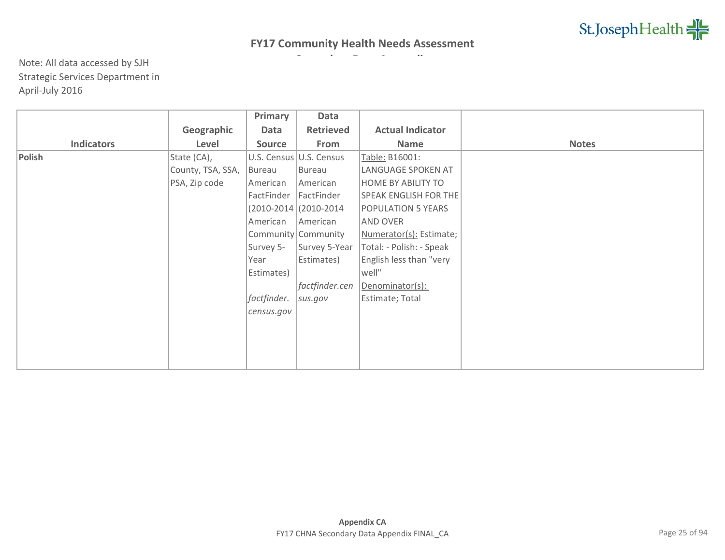|                   |                   | Primary       | Data                     |                              |              |
|-------------------|-------------------|---------------|--------------------------|------------------------------|--------------|
|                   | Geographic        | Data          | <b>Retrieved</b>         | <b>Actual Indicator</b>      |              |
| <b>Indicators</b> | Level             | <b>Source</b> | From                     | <b>Name</b>                  | <b>Notes</b> |
| Polish            | State (CA),       |               | U.S. Census U.S. Census  | Table: B16001:               |              |
|                   | County, TSA, SSA, | Bureau        | Bureau                   | LANGUAGE SPOKEN AT           |              |
|                   | PSA, Zip code     | American      | American                 | <b>HOME BY ABILITY TO</b>    |              |
|                   |                   | FactFinder    | FactFinder               | <b>SPEAK ENGLISH FOR THE</b> |              |
|                   |                   |               | $(2010-2014)(2010-2014)$ | <b>POPULATION 5 YEARS</b>    |              |
|                   |                   | American      | American                 | <b>AND OVER</b>              |              |
|                   |                   |               | Community Community      | Numerator(s): Estimate;      |              |
|                   |                   | Survey 5-     | Survey 5-Year            | Total: - Polish: - Speak     |              |
|                   |                   | Year          | Estimates)               | English less than "very      |              |
|                   |                   | Estimates)    |                          | well"                        |              |
|                   |                   |               | factfinder.cen           | Denominator(s):              |              |
|                   |                   | factfinder.   | sus.gov                  | Estimate; Total              |              |
|                   |                   | census.gov    |                          |                              |              |
|                   |                   |               |                          |                              |              |
|                   |                   |               |                          |                              |              |
|                   |                   |               |                          |                              |              |
|                   |                   |               |                          |                              |              |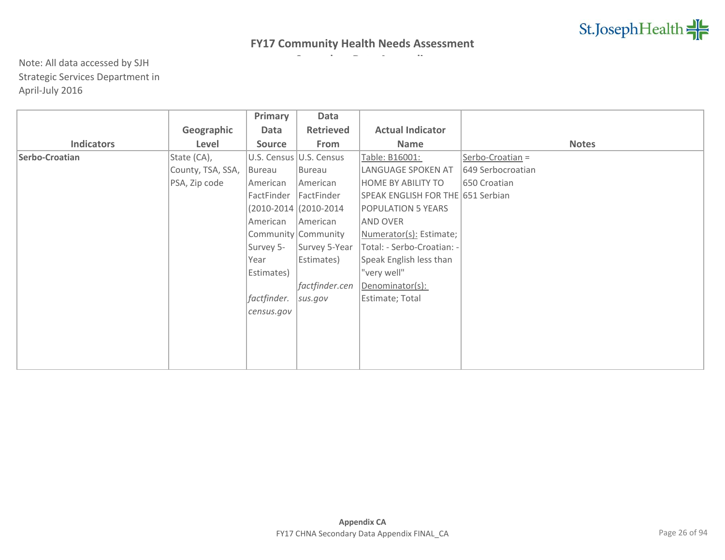|                   |                   | Primary       | Data                    |                                   |                   |
|-------------------|-------------------|---------------|-------------------------|-----------------------------------|-------------------|
|                   | Geographic        | Data          | <b>Retrieved</b>        | <b>Actual Indicator</b>           |                   |
| <b>Indicators</b> | Level             | <b>Source</b> | From                    | <b>Name</b>                       | <b>Notes</b>      |
| Serbo-Croatian    | State (CA),       |               | U.S. Census U.S. Census | Table: B16001:                    | Serbo-Croatian =  |
|                   | County, TSA, SSA, | Bureau        | Bureau                  | LANGUAGE SPOKEN AT                | 649 Serbocroatian |
|                   | PSA, Zip code     | American      | American                | HOME BY ABILITY TO                | 650 Croatian      |
|                   |                   | FactFinder    | FactFinder              | SPEAK ENGLISH FOR THE 651 Serbian |                   |
|                   |                   |               | (2010-2014 (2010-2014   | <b>POPULATION 5 YEARS</b>         |                   |
|                   |                   | American      | American                | AND OVER                          |                   |
|                   |                   |               | Community Community     | Numerator(s): Estimate;           |                   |
|                   |                   | Survey 5-     | Survey 5-Year           | Total: - Serbo-Croatian: -        |                   |
|                   |                   | Year          | Estimates)              | Speak English less than           |                   |
|                   |                   | Estimates)    |                         | "very well"                       |                   |
|                   |                   |               | factfinder.cen          | Denominator(s):                   |                   |
|                   |                   | factfinder.   | sus.gov                 | Estimate; Total                   |                   |
|                   |                   | census.gov    |                         |                                   |                   |
|                   |                   |               |                         |                                   |                   |
|                   |                   |               |                         |                                   |                   |
|                   |                   |               |                         |                                   |                   |
|                   |                   |               |                         |                                   |                   |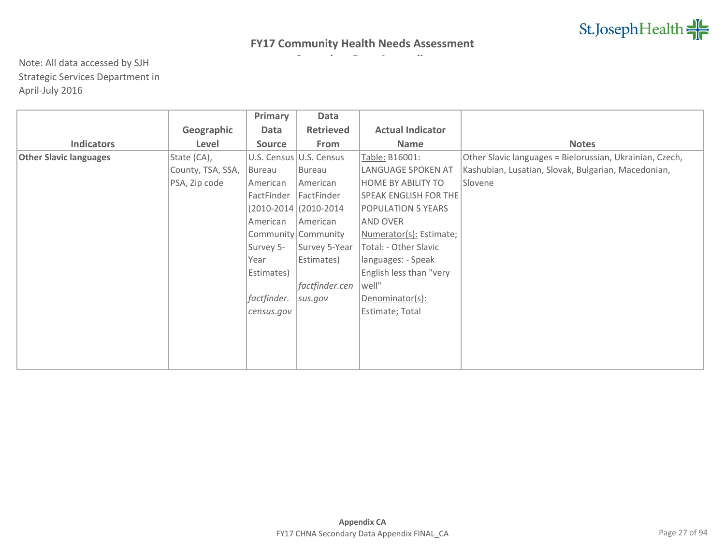|                               |                   | Primary       | Data                     |                              |                                                          |
|-------------------------------|-------------------|---------------|--------------------------|------------------------------|----------------------------------------------------------|
|                               | Geographic        | Data          | <b>Retrieved</b>         | <b>Actual Indicator</b>      |                                                          |
| <b>Indicators</b>             | Level             | <b>Source</b> | From                     | <b>Name</b>                  | <b>Notes</b>                                             |
| <b>Other Slavic languages</b> | State (CA),       |               | U.S. Census U.S. Census  | Table: B16001:               | Other Slavic languages = Bielorussian, Ukrainian, Czech, |
|                               | County, TSA, SSA, | Bureau        | Bureau                   | LANGUAGE SPOKEN AT           | Kashubian, Lusatian, Slovak, Bulgarian, Macedonian,      |
|                               | PSA, Zip code     | American      | American                 | HOME BY ABILITY TO           | Slovene                                                  |
|                               |                   | FactFinder    | FactFinder               | <b>SPEAK ENGLISH FOR THE</b> |                                                          |
|                               |                   |               | $(2010-2014)(2010-2014)$ | POPULATION 5 YEARS           |                                                          |
|                               |                   | American      | American                 | AND OVER                     |                                                          |
|                               |                   |               | Community Community      | Numerator(s): Estimate;      |                                                          |
|                               |                   | Survey 5-     | Survey 5-Year            | Total: - Other Slavic        |                                                          |
|                               |                   | Year          | Estimates)               | languages: - Speak           |                                                          |
|                               |                   | Estimates)    |                          | English less than "very      |                                                          |
|                               |                   |               | factfinder.cen           | well"                        |                                                          |
|                               |                   | factfinder.   | sus.gov                  | Denominator(s):              |                                                          |
|                               |                   | census.gov    |                          | Estimate; Total              |                                                          |
|                               |                   |               |                          |                              |                                                          |
|                               |                   |               |                          |                              |                                                          |
|                               |                   |               |                          |                              |                                                          |
|                               |                   |               |                          |                              |                                                          |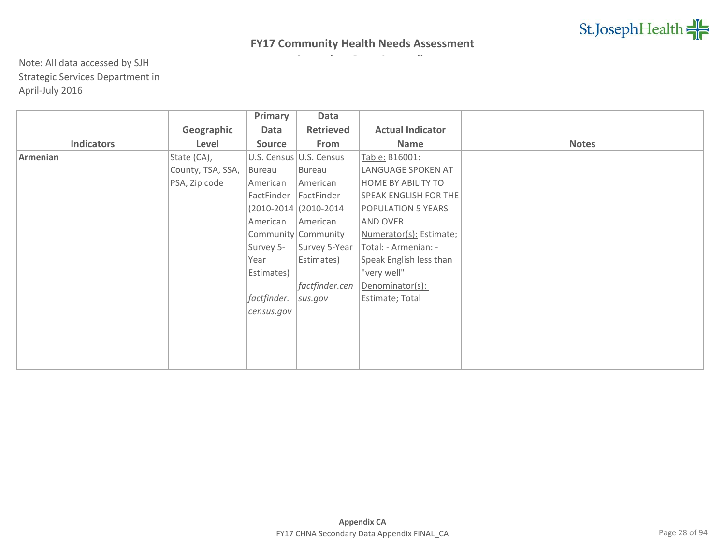|                   |                   | Primary       | Data                    |                              |              |
|-------------------|-------------------|---------------|-------------------------|------------------------------|--------------|
|                   | Geographic        | Data          | <b>Retrieved</b>        | <b>Actual Indicator</b>      |              |
| <b>Indicators</b> | Level             | <b>Source</b> | From                    | <b>Name</b>                  | <b>Notes</b> |
| Armenian          | State (CA),       |               | U.S. Census U.S. Census | Table: B16001:               |              |
|                   | County, TSA, SSA, | Bureau        | Bureau                  | LANGUAGE SPOKEN AT           |              |
|                   | PSA, Zip code     | American      | American                | <b>HOME BY ABILITY TO</b>    |              |
|                   |                   | FactFinder    | FactFinder              | <b>SPEAK ENGLISH FOR THE</b> |              |
|                   |                   |               | (2010-2014 (2010-2014)  | POPULATION 5 YEARS           |              |
|                   |                   | American      | American                | AND OVER                     |              |
|                   |                   |               | Community Community     | Numerator(s): Estimate;      |              |
|                   |                   | Survey 5-     | Survey 5-Year           | Total: - Armenian: -         |              |
|                   |                   | Year          | Estimates)              | Speak English less than      |              |
|                   |                   | Estimates)    |                         | "very well"                  |              |
|                   |                   |               | factfinder.cen          | Denominator(s):              |              |
|                   |                   | factfinder.   | sus.gov                 | Estimate; Total              |              |
|                   |                   | census.gov    |                         |                              |              |
|                   |                   |               |                         |                              |              |
|                   |                   |               |                         |                              |              |
|                   |                   |               |                         |                              |              |
|                   |                   |               |                         |                              |              |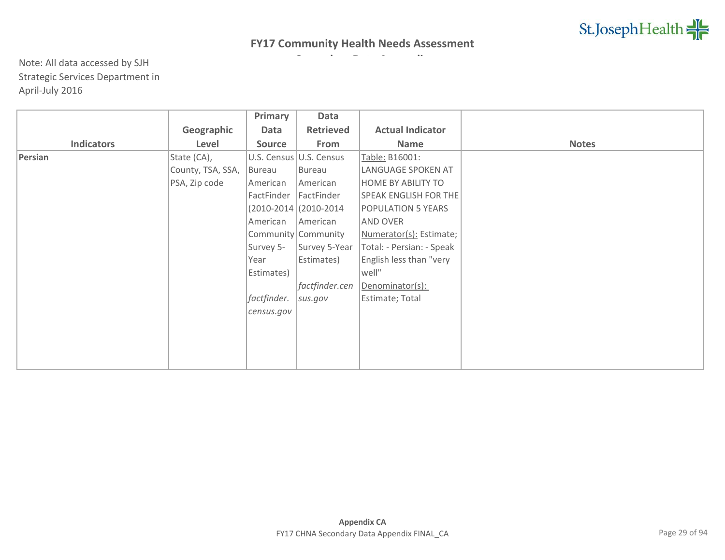|                   |                   | Primary       | Data                     |                              |              |
|-------------------|-------------------|---------------|--------------------------|------------------------------|--------------|
|                   | Geographic        | Data          | <b>Retrieved</b>         | <b>Actual Indicator</b>      |              |
| <b>Indicators</b> | Level             | <b>Source</b> | From                     | <b>Name</b>                  | <b>Notes</b> |
| Persian           | State (CA),       |               | U.S. Census U.S. Census  | Table: B16001:               |              |
|                   | County, TSA, SSA, | Bureau        | Bureau                   | LANGUAGE SPOKEN AT           |              |
|                   | PSA, Zip code     | American      | American                 | <b>HOME BY ABILITY TO</b>    |              |
|                   |                   | FactFinder    | FactFinder               | <b>SPEAK ENGLISH FOR THE</b> |              |
|                   |                   |               | $(2010-2014)(2010-2014)$ | <b>POPULATION 5 YEARS</b>    |              |
|                   |                   | American      | American                 | <b>AND OVER</b>              |              |
|                   |                   |               | Community Community      | Numerator(s): Estimate;      |              |
|                   |                   | Survey 5-     | Survey 5-Year            | Total: - Persian: - Speak    |              |
|                   |                   | Year          | Estimates)               | English less than "very      |              |
|                   |                   | Estimates)    |                          | well"                        |              |
|                   |                   |               | factfinder.cen           | Denominator(s):              |              |
|                   |                   | factfinder.   | sus.gov                  | Estimate; Total              |              |
|                   |                   | census.gov    |                          |                              |              |
|                   |                   |               |                          |                              |              |
|                   |                   |               |                          |                              |              |
|                   |                   |               |                          |                              |              |
|                   |                   |               |                          |                              |              |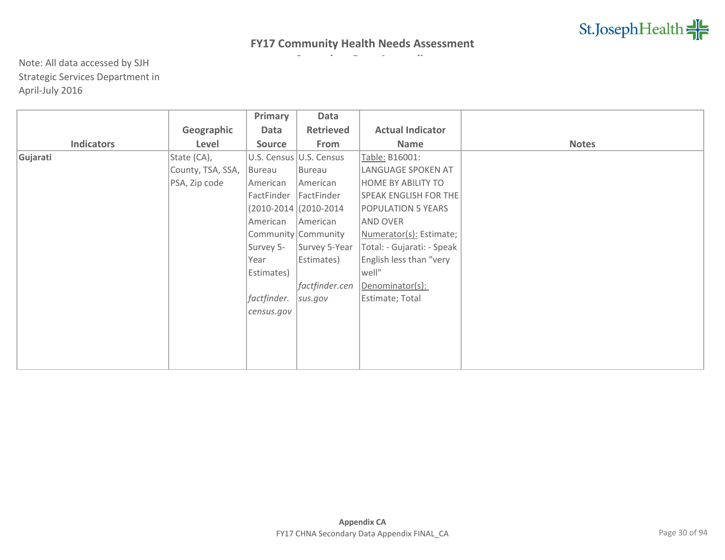|                   |                   | Primary       | Data                     |                              |              |
|-------------------|-------------------|---------------|--------------------------|------------------------------|--------------|
|                   | Geographic        | Data          | <b>Retrieved</b>         | <b>Actual Indicator</b>      |              |
| <b>Indicators</b> | Level             | <b>Source</b> | From                     | <b>Name</b>                  | <b>Notes</b> |
| Gujarati          | State (CA),       |               | U.S. Census U.S. Census  | Table: B16001:               |              |
|                   | County, TSA, SSA, | Bureau        | Bureau                   | LANGUAGE SPOKEN AT           |              |
|                   | PSA, Zip code     | American      | American                 | <b>HOME BY ABILITY TO</b>    |              |
|                   |                   | FactFinder    | FactFinder               | <b>SPEAK ENGLISH FOR THE</b> |              |
|                   |                   |               | $(2010-2014)(2010-2014)$ | <b>POPULATION 5 YEARS</b>    |              |
|                   |                   | American      | American                 | <b>AND OVER</b>              |              |
|                   |                   |               | Community Community      | Numerator(s): Estimate;      |              |
|                   |                   | Survey 5-     | Survey 5-Year            | Total: - Gujarati: - Speak   |              |
|                   |                   | Year          | Estimates)               | English less than "very      |              |
|                   |                   | Estimates)    |                          | well"                        |              |
|                   |                   |               | factfinder.cen           | Denominator(s):              |              |
|                   |                   | factfinder.   | sus.gov                  | Estimate; Total              |              |
|                   |                   | census.gov    |                          |                              |              |
|                   |                   |               |                          |                              |              |
|                   |                   |               |                          |                              |              |
|                   |                   |               |                          |                              |              |
|                   |                   |               |                          |                              |              |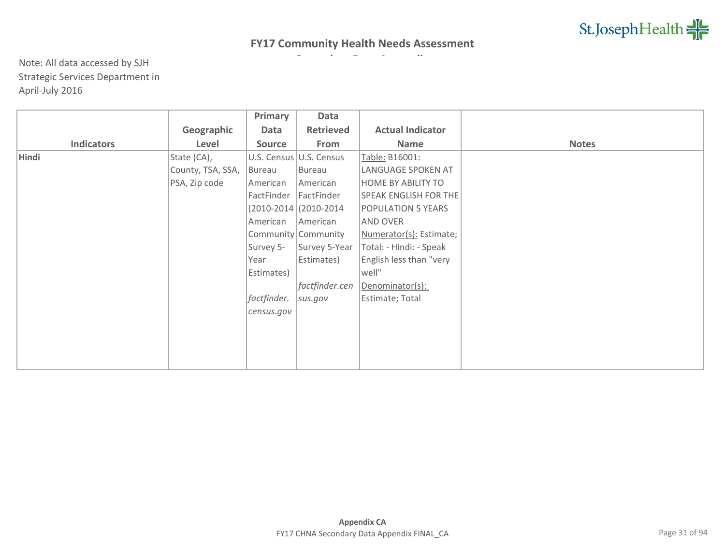|                   |                   | Primary     | Data                     |                              |              |
|-------------------|-------------------|-------------|--------------------------|------------------------------|--------------|
|                   | Geographic        | Data        | <b>Retrieved</b>         | <b>Actual Indicator</b>      |              |
| <b>Indicators</b> | Level             | Source      | From                     | Name                         | <b>Notes</b> |
| Hindi             | State (CA),       |             | U.S. Census U.S. Census  | Table: B16001:               |              |
|                   | County, TSA, SSA, | Bureau      | Bureau                   | LANGUAGE SPOKEN AT           |              |
|                   | PSA, Zip code     | American    | American                 | <b>HOME BY ABILITY TO</b>    |              |
|                   |                   | FactFinder  | FactFinder               | <b>SPEAK ENGLISH FOR THE</b> |              |
|                   |                   |             | $(2010-2014)(2010-2014)$ | <b>POPULATION 5 YEARS</b>    |              |
|                   |                   | American    | American                 | <b>AND OVER</b>              |              |
|                   |                   |             | Community Community      | Numerator(s): Estimate;      |              |
|                   |                   | Survey 5-   | Survey 5-Year            | Total: - Hindi: - Speak      |              |
|                   |                   | Year        | Estimates)               | English less than "very      |              |
|                   |                   | Estimates)  |                          | well"                        |              |
|                   |                   |             | factfinder.cen           | Denominator(s):              |              |
|                   |                   | factfinder. | sus.gov                  | Estimate; Total              |              |
|                   |                   | census.gov  |                          |                              |              |
|                   |                   |             |                          |                              |              |
|                   |                   |             |                          |                              |              |
|                   |                   |             |                          |                              |              |
|                   |                   |             |                          |                              |              |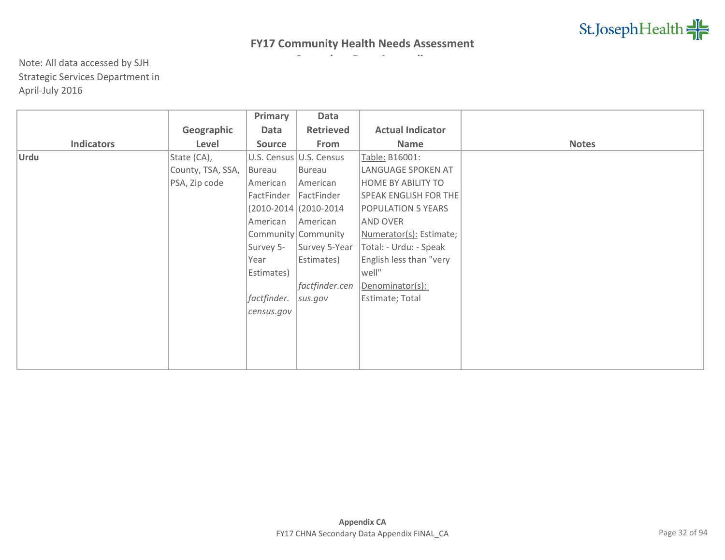|                   |                   | Primary       | Data                     |                              |              |
|-------------------|-------------------|---------------|--------------------------|------------------------------|--------------|
|                   | Geographic        | Data          | <b>Retrieved</b>         | <b>Actual Indicator</b>      |              |
| <b>Indicators</b> | Level             | <b>Source</b> | From                     | <b>Name</b>                  | <b>Notes</b> |
| Urdu              | State (CA),       |               | U.S. Census U.S. Census  | Table: B16001:               |              |
|                   | County, TSA, SSA, | Bureau        | Bureau                   | LANGUAGE SPOKEN AT           |              |
|                   | PSA, Zip code     | American      | American                 | <b>HOME BY ABILITY TO</b>    |              |
|                   |                   | FactFinder    | FactFinder               | <b>SPEAK ENGLISH FOR THE</b> |              |
|                   |                   |               | $(2010-2014)(2010-2014)$ | <b>POPULATION 5 YEARS</b>    |              |
|                   |                   | American      | American                 | <b>AND OVER</b>              |              |
|                   |                   |               | Community Community      | Numerator(s): Estimate;      |              |
|                   |                   | Survey 5-     | Survey 5-Year            | Total: - Urdu: - Speak       |              |
|                   |                   | Year          | Estimates)               | English less than "very      |              |
|                   |                   | Estimates)    |                          | well"                        |              |
|                   |                   |               | factfinder.cen           | Denominator(s):              |              |
|                   |                   | factfinder.   | sus.gov                  | Estimate; Total              |              |
|                   |                   | census.gov    |                          |                              |              |
|                   |                   |               |                          |                              |              |
|                   |                   |               |                          |                              |              |
|                   |                   |               |                          |                              |              |
|                   |                   |               |                          |                              |              |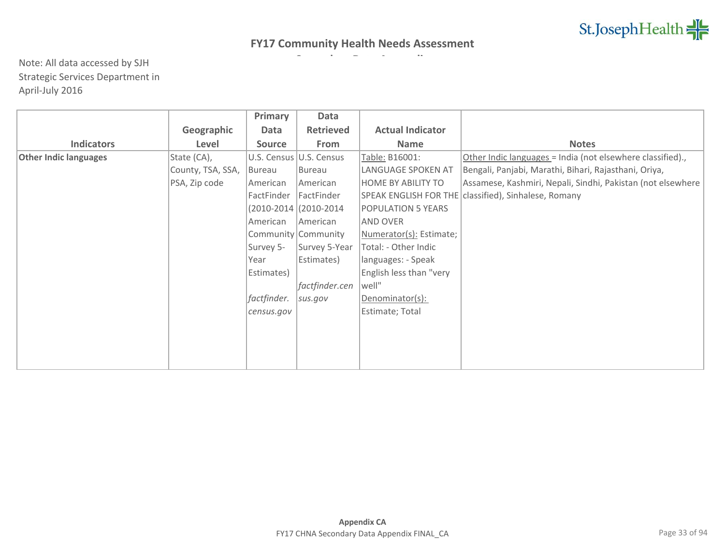|                              |                   | Primary       | Data                      |                           |                                                             |
|------------------------------|-------------------|---------------|---------------------------|---------------------------|-------------------------------------------------------------|
|                              | Geographic        | Data          | <b>Retrieved</b>          | <b>Actual Indicator</b>   |                                                             |
| <b>Indicators</b>            | Level             | <b>Source</b> | From                      | <b>Name</b>               | <b>Notes</b>                                                |
| <b>Other Indic languages</b> | State (CA),       |               | U.S. Census   U.S. Census | Table: B16001:            | Other Indic languages = India (not elsewhere classified).,  |
|                              | County, TSA, SSA, | Bureau        | Bureau                    | LANGUAGE SPOKEN AT        | Bengali, Panjabi, Marathi, Bihari, Rajasthani, Oriya,       |
|                              | PSA, Zip code     | American      | American                  | <b>HOME BY ABILITY TO</b> | Assamese, Kashmiri, Nepali, Sindhi, Pakistan (not elsewhere |
|                              |                   | FactFinder    | FactFinder                |                           | SPEAK ENGLISH FOR THE classified), Sinhalese, Romany        |
|                              |                   |               | $(2010-2014)(2010-2014)$  | <b>POPULATION 5 YEARS</b> |                                                             |
|                              |                   | American      | American                  | AND OVER                  |                                                             |
|                              |                   |               | Community Community       | Numerator(s): Estimate;   |                                                             |
|                              |                   | Survey 5-     | Survey 5-Year             | Total: - Other Indic      |                                                             |
|                              |                   | Year          | Estimates)                | languages: - Speak        |                                                             |
|                              |                   | Estimates)    |                           | English less than "very   |                                                             |
|                              |                   |               | factfinder.cen            | well"                     |                                                             |
|                              |                   | factfinder.   | sus.gov                   | Denominator(s):           |                                                             |
|                              |                   | census.gov    |                           | Estimate; Total           |                                                             |
|                              |                   |               |                           |                           |                                                             |
|                              |                   |               |                           |                           |                                                             |
|                              |                   |               |                           |                           |                                                             |
|                              |                   |               |                           |                           |                                                             |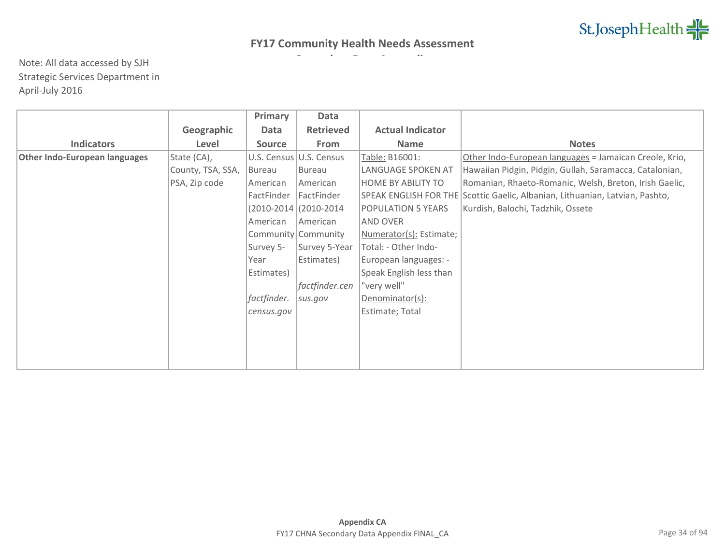|                               |                   | Primary       | Data                    |                           |                                                                              |
|-------------------------------|-------------------|---------------|-------------------------|---------------------------|------------------------------------------------------------------------------|
|                               | Geographic        | Data          | <b>Retrieved</b>        | <b>Actual Indicator</b>   |                                                                              |
| <b>Indicators</b>             | Level             | <b>Source</b> | From                    | <b>Name</b>               | <b>Notes</b>                                                                 |
| Other Indo-European languages | State (CA),       |               | U.S. Census U.S. Census | Table: B16001:            | Other Indo-European languages = Jamaican Creole, Krio,                       |
|                               | County, TSA, SSA, | Bureau        | Bureau                  | LANGUAGE SPOKEN AT        | Hawaiian Pidgin, Pidgin, Gullah, Saramacca, Catalonian,                      |
|                               | PSA, Zip code     | American      | American                | <b>HOME BY ABILITY TO</b> | Romanian, Rhaeto-Romanic, Welsh, Breton, Irish Gaelic,                       |
|                               |                   | FactFinder    | FactFinder              |                           | SPEAK ENGLISH FOR THE Scottic Gaelic, Albanian, Lithuanian, Latvian, Pashto, |
|                               |                   |               | (2010-2014 (2010-2014   | <b>POPULATION 5 YEARS</b> | Kurdish, Balochi, Tadzhik, Ossete                                            |
|                               |                   | American      | American                | AND OVER                  |                                                                              |
|                               |                   |               | Community Community     | Numerator(s): Estimate;   |                                                                              |
|                               |                   | Survey 5-     | Survey 5-Year           | Total: - Other Indo-      |                                                                              |
|                               |                   | Year          | Estimates)              | European languages: -     |                                                                              |
|                               |                   | Estimates)    |                         | Speak English less than   |                                                                              |
|                               |                   |               | factfinder.cen          | "very well"               |                                                                              |
|                               |                   | factfinder.   | sus.gov                 | Denominator(s):           |                                                                              |
|                               |                   | census.gov    |                         | Estimate; Total           |                                                                              |
|                               |                   |               |                         |                           |                                                                              |
|                               |                   |               |                         |                           |                                                                              |
|                               |                   |               |                         |                           |                                                                              |
|                               |                   |               |                         |                           |                                                                              |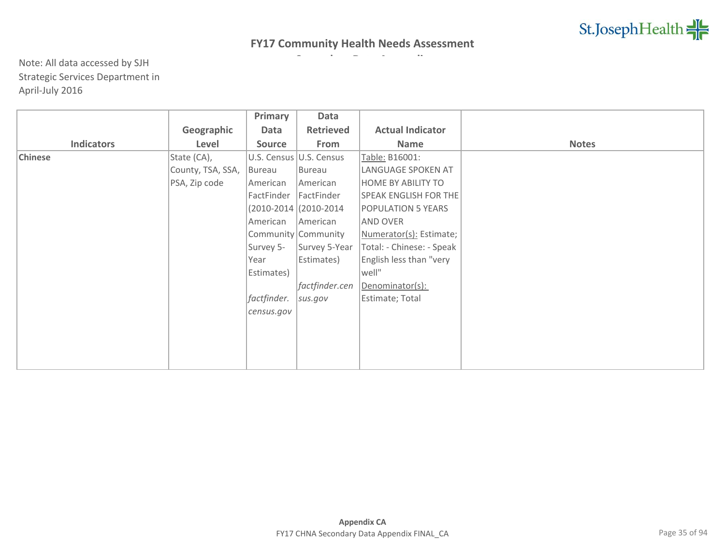|                   |                   | Primary       | Data                     |                              |              |
|-------------------|-------------------|---------------|--------------------------|------------------------------|--------------|
|                   | Geographic        | Data          | <b>Retrieved</b>         | <b>Actual Indicator</b>      |              |
| <b>Indicators</b> | Level             | <b>Source</b> | From                     | Name                         | <b>Notes</b> |
| <b>Chinese</b>    | State (CA),       |               | U.S. Census U.S. Census  | Table: B16001:               |              |
|                   | County, TSA, SSA, | Bureau        | Bureau                   | LANGUAGE SPOKEN AT           |              |
|                   | PSA, Zip code     | American      | American                 | <b>HOME BY ABILITY TO</b>    |              |
|                   |                   | FactFinder    | FactFinder               | <b>SPEAK ENGLISH FOR THE</b> |              |
|                   |                   |               | $(2010-2014)(2010-2014)$ | <b>POPULATION 5 YEARS</b>    |              |
|                   |                   | American      | American                 | <b>AND OVER</b>              |              |
|                   |                   |               | Community Community      | Numerator(s): Estimate;      |              |
|                   |                   | Survey 5-     | Survey 5-Year            | Total: - Chinese: - Speak    |              |
|                   |                   | Year          | Estimates)               | English less than "very      |              |
|                   |                   | Estimates)    |                          | well"                        |              |
|                   |                   |               | factfinder.cen           | Denominator(s):              |              |
|                   |                   | factfinder.   | sus.gov                  | Estimate; Total              |              |
|                   |                   | census.gov    |                          |                              |              |
|                   |                   |               |                          |                              |              |
|                   |                   |               |                          |                              |              |
|                   |                   |               |                          |                              |              |
|                   |                   |               |                          |                              |              |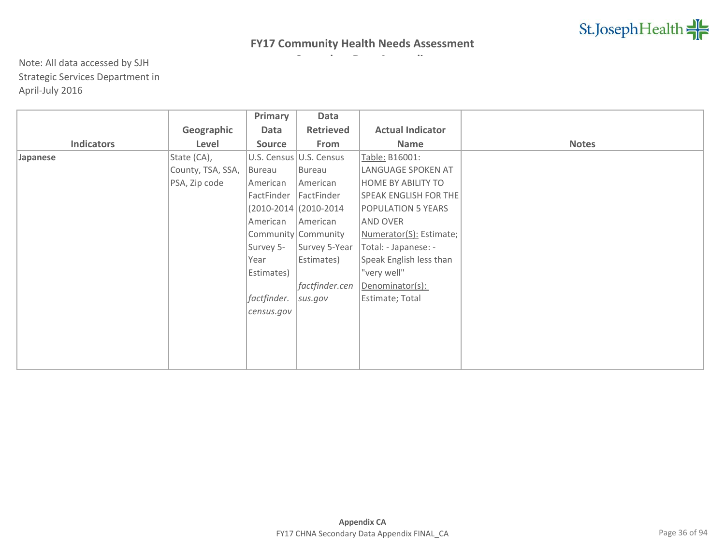|                   |                   | Primary       | Data                    |                              |              |
|-------------------|-------------------|---------------|-------------------------|------------------------------|--------------|
|                   | Geographic        | Data          | <b>Retrieved</b>        | <b>Actual Indicator</b>      |              |
| <b>Indicators</b> | Level             | <b>Source</b> | From                    | <b>Name</b>                  | <b>Notes</b> |
| Japanese          | State (CA),       |               | U.S. Census U.S. Census | Table: B16001:               |              |
|                   | County, TSA, SSA, | Bureau        | Bureau                  | LANGUAGE SPOKEN AT           |              |
|                   | PSA, Zip code     | American      | American                | <b>HOME BY ABILITY TO</b>    |              |
|                   |                   | FactFinder    | FactFinder              | <b>SPEAK ENGLISH FOR THE</b> |              |
|                   |                   |               | (2010-2014 (2010-2014)  | POPULATION 5 YEARS           |              |
|                   |                   | American      | American                | AND OVER                     |              |
|                   |                   |               | Community Community     | Numerator(S): Estimate;      |              |
|                   |                   | Survey 5-     | Survey 5-Year           | Total: - Japanese: -         |              |
|                   |                   | Year          | Estimates)              | Speak English less than      |              |
|                   |                   | Estimates)    |                         | "very well"                  |              |
|                   |                   |               | factfinder.cen          | Denominator(s):              |              |
|                   |                   | factfinder.   | sus.gov                 | Estimate; Total              |              |
|                   |                   | census.gov    |                         |                              |              |
|                   |                   |               |                         |                              |              |
|                   |                   |               |                         |                              |              |
|                   |                   |               |                         |                              |              |
|                   |                   |               |                         |                              |              |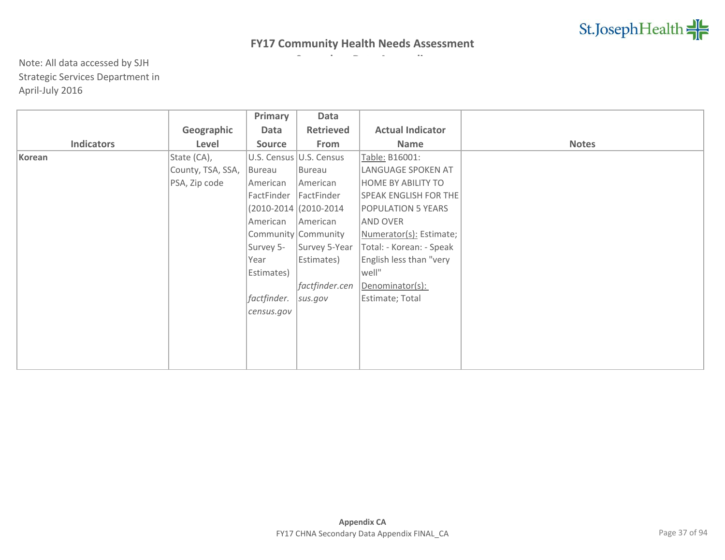|                   |                   | Primary       | Data                     |                              |              |
|-------------------|-------------------|---------------|--------------------------|------------------------------|--------------|
|                   | Geographic        | Data          | <b>Retrieved</b>         | <b>Actual Indicator</b>      |              |
| <b>Indicators</b> | Level             | <b>Source</b> | From                     | <b>Name</b>                  | <b>Notes</b> |
| Korean            | State (CA),       |               | U.S. Census U.S. Census  | Table: B16001:               |              |
|                   | County, TSA, SSA, | Bureau        | Bureau                   | LANGUAGE SPOKEN AT           |              |
|                   | PSA, Zip code     | American      | American                 | <b>HOME BY ABILITY TO</b>    |              |
|                   |                   | FactFinder    | FactFinder               | <b>SPEAK ENGLISH FOR THE</b> |              |
|                   |                   |               | $(2010-2014)(2010-2014)$ | <b>POPULATION 5 YEARS</b>    |              |
|                   |                   | American      | American                 | <b>AND OVER</b>              |              |
|                   |                   |               | Community Community      | Numerator(s): Estimate;      |              |
|                   |                   | Survey 5-     | Survey 5-Year            | Total: - Korean: - Speak     |              |
|                   |                   | Year          | Estimates)               | English less than "very      |              |
|                   |                   | Estimates)    |                          | well"                        |              |
|                   |                   |               | factfinder.cen           | Denominator(s):              |              |
|                   |                   | factfinder.   | sus.gov                  | Estimate; Total              |              |
|                   |                   | census.gov    |                          |                              |              |
|                   |                   |               |                          |                              |              |
|                   |                   |               |                          |                              |              |
|                   |                   |               |                          |                              |              |
|                   |                   |               |                          |                              |              |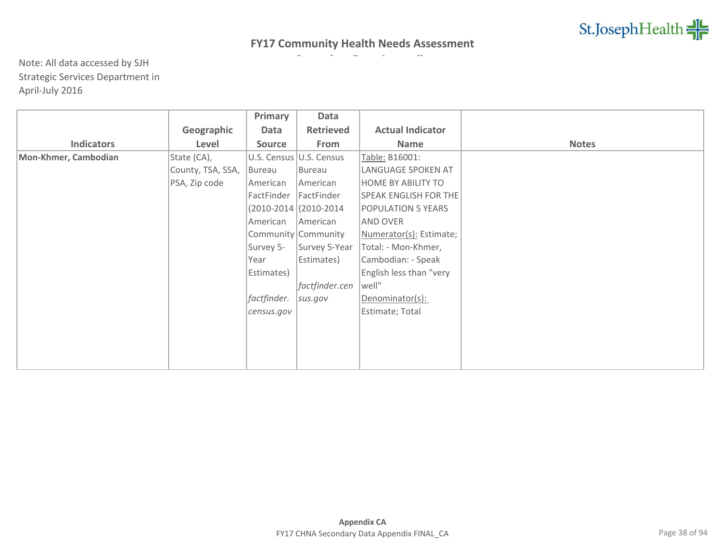|                      |                   | Primary       | Data                     |                              |              |
|----------------------|-------------------|---------------|--------------------------|------------------------------|--------------|
|                      | Geographic        | Data          | <b>Retrieved</b>         | <b>Actual Indicator</b>      |              |
| <b>Indicators</b>    | Level             | <b>Source</b> | From                     | Name                         | <b>Notes</b> |
| Mon-Khmer, Cambodian | State (CA),       |               | U.S. Census U.S. Census  | Table: B16001:               |              |
|                      | County, TSA, SSA, | Bureau        | Bureau                   | LANGUAGE SPOKEN AT           |              |
|                      | PSA, Zip code     | American      | American                 | <b>HOME BY ABILITY TO</b>    |              |
|                      |                   | FactFinder    | FactFinder               | <b>SPEAK ENGLISH FOR THE</b> |              |
|                      |                   |               | $(2010-2014)(2010-2014)$ | <b>POPULATION 5 YEARS</b>    |              |
|                      |                   | American      | American                 | <b>AND OVER</b>              |              |
|                      |                   |               | Community Community      | Numerator(s): Estimate;      |              |
|                      |                   | Survey 5-     | Survey 5-Year            | Total: - Mon-Khmer,          |              |
|                      |                   | Year          | Estimates)               | Cambodian: - Speak           |              |
|                      |                   | Estimates)    |                          | English less than "very      |              |
|                      |                   |               | factfinder.cen           | well"                        |              |
|                      |                   | factfinder.   | sus.gov                  | Denominator(s):              |              |
|                      |                   | census.gov    |                          | Estimate; Total              |              |
|                      |                   |               |                          |                              |              |
|                      |                   |               |                          |                              |              |
|                      |                   |               |                          |                              |              |
|                      |                   |               |                          |                              |              |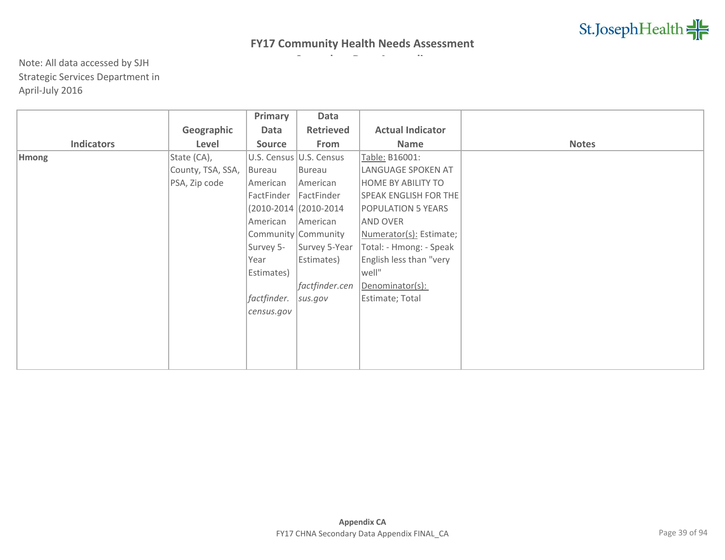|                   |                   | Primary     | Data                     |                              |              |
|-------------------|-------------------|-------------|--------------------------|------------------------------|--------------|
|                   | Geographic        | Data        | <b>Retrieved</b>         | <b>Actual Indicator</b>      |              |
| <b>Indicators</b> | Level             | Source      | From                     | <b>Name</b>                  | <b>Notes</b> |
| <b>Hmong</b>      | State (CA),       |             | U.S. Census U.S. Census  | Table: B16001:               |              |
|                   | County, TSA, SSA, | Bureau      | Bureau                   | LANGUAGE SPOKEN AT           |              |
|                   | PSA, Zip code     | American    | American                 | <b>HOME BY ABILITY TO</b>    |              |
|                   |                   | FactFinder  | FactFinder               | <b>SPEAK ENGLISH FOR THE</b> |              |
|                   |                   |             | $(2010-2014)(2010-2014)$ | <b>POPULATION 5 YEARS</b>    |              |
|                   |                   | American    | American                 | <b>AND OVER</b>              |              |
|                   |                   |             | Community Community      | Numerator(s): Estimate;      |              |
|                   |                   | Survey 5-   | Survey 5-Year            | Total: - Hmong: - Speak      |              |
|                   |                   | Year        | Estimates)               | English less than "very      |              |
|                   |                   | Estimates)  |                          | well"                        |              |
|                   |                   |             | factfinder.cen           | Denominator(s):              |              |
|                   |                   | factfinder. | sus.gov                  | Estimate; Total              |              |
|                   |                   | census.gov  |                          |                              |              |
|                   |                   |             |                          |                              |              |
|                   |                   |             |                          |                              |              |
|                   |                   |             |                          |                              |              |
|                   |                   |             |                          |                              |              |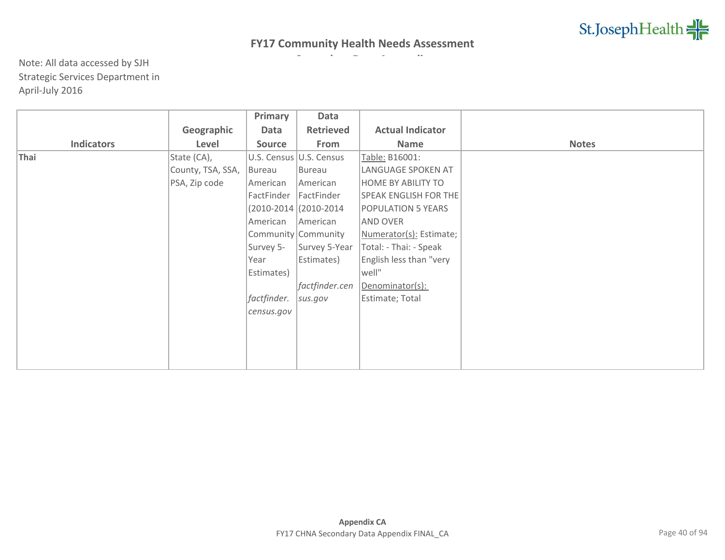|                   |                   | Primary       | Data                     |                           |              |
|-------------------|-------------------|---------------|--------------------------|---------------------------|--------------|
|                   | Geographic        | Data          | <b>Retrieved</b>         | <b>Actual Indicator</b>   |              |
| <b>Indicators</b> | Level             | <b>Source</b> | From                     | <b>Name</b>               | <b>Notes</b> |
| Thai              | State (CA),       |               | U.S. Census U.S. Census  | Table: B16001:            |              |
|                   | County, TSA, SSA, | Bureau        | Bureau                   | LANGUAGE SPOKEN AT        |              |
|                   | PSA, Zip code     | American      | American                 | <b>HOME BY ABILITY TO</b> |              |
|                   |                   | FactFinder    | FactFinder               | SPEAK ENGLISH FOR THE     |              |
|                   |                   |               | $(2010-2014)(2010-2014)$ | <b>POPULATION 5 YEARS</b> |              |
|                   |                   | American      | American                 | AND OVER                  |              |
|                   |                   |               | Community Community      | Numerator(s): Estimate;   |              |
|                   |                   | Survey 5-     | Survey 5-Year            | Total: - Thai: - Speak    |              |
|                   |                   | Year          | Estimates)               | English less than "very   |              |
|                   |                   | Estimates)    |                          | well"                     |              |
|                   |                   |               | factfinder.cen           | Denominator(s):           |              |
|                   |                   | factfinder.   | sus.gov                  | Estimate; Total           |              |
|                   |                   | census.gov    |                          |                           |              |
|                   |                   |               |                          |                           |              |
|                   |                   |               |                          |                           |              |
|                   |                   |               |                          |                           |              |
|                   |                   |               |                          |                           |              |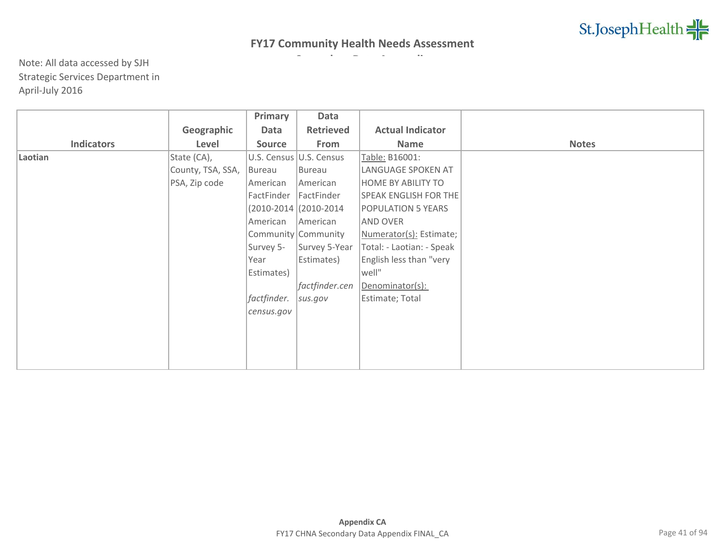|                   |                   | Primary     | Data                     |                              |              |
|-------------------|-------------------|-------------|--------------------------|------------------------------|--------------|
|                   | Geographic        | Data        | <b>Retrieved</b>         | <b>Actual Indicator</b>      |              |
| <b>Indicators</b> | Level             | Source      | From                     | Name                         | <b>Notes</b> |
| Laotian           | State (CA),       |             | U.S. Census U.S. Census  | Table: B16001:               |              |
|                   | County, TSA, SSA, | Bureau      | Bureau                   | LANGUAGE SPOKEN AT           |              |
|                   | PSA, Zip code     | American    | American                 | <b>HOME BY ABILITY TO</b>    |              |
|                   |                   | FactFinder  | FactFinder               | <b>SPEAK ENGLISH FOR THE</b> |              |
|                   |                   |             | $(2010-2014)(2010-2014)$ | <b>POPULATION 5 YEARS</b>    |              |
|                   |                   | American    | American                 | <b>AND OVER</b>              |              |
|                   |                   |             | Community Community      | Numerator(s): Estimate;      |              |
|                   |                   | Survey 5-   | Survey 5-Year            | Total: - Laotian: - Speak    |              |
|                   |                   | Year        | Estimates)               | English less than "very      |              |
|                   |                   | Estimates)  |                          | well"                        |              |
|                   |                   |             | factfinder.cen           | Denominator(s):              |              |
|                   |                   | factfinder. | sus.gov                  | Estimate; Total              |              |
|                   |                   | census.gov  |                          |                              |              |
|                   |                   |             |                          |                              |              |
|                   |                   |             |                          |                              |              |
|                   |                   |             |                          |                              |              |
|                   |                   |             |                          |                              |              |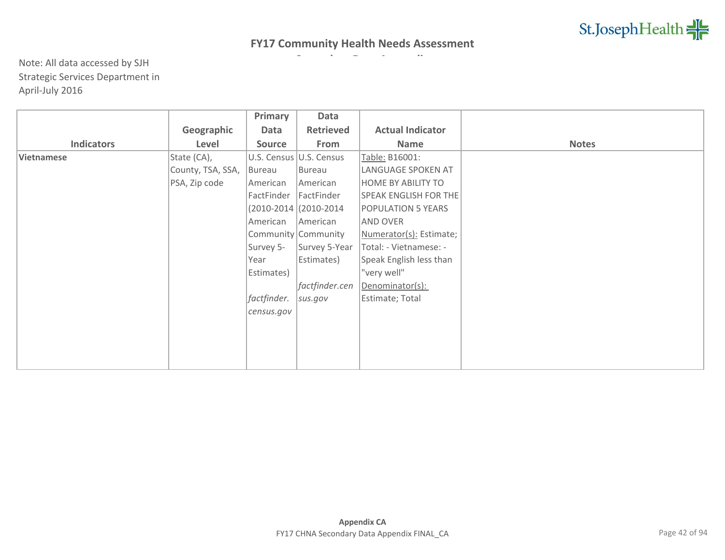|                   |                   | Primary       | Data                    |                              |              |
|-------------------|-------------------|---------------|-------------------------|------------------------------|--------------|
|                   | Geographic        | Data          | <b>Retrieved</b>        | <b>Actual Indicator</b>      |              |
| <b>Indicators</b> | Level             | <b>Source</b> | From                    | Name                         | <b>Notes</b> |
| Vietnamese        | State (CA),       |               | U.S. Census U.S. Census | Table: B16001:               |              |
|                   | County, TSA, SSA, | Bureau        | Bureau                  | LANGUAGE SPOKEN AT           |              |
|                   | PSA, Zip code     | American      | American                | <b>HOME BY ABILITY TO</b>    |              |
|                   |                   | FactFinder    | FactFinder              | <b>SPEAK ENGLISH FOR THE</b> |              |
|                   |                   |               | (2010-2014 (2010-2014   | POPULATION 5 YEARS           |              |
|                   |                   | American      | American                | AND OVER                     |              |
|                   |                   |               | Community Community     | Numerator(s): Estimate;      |              |
|                   |                   | Survey 5-     | Survey 5-Year           | Total: - Vietnamese: -       |              |
|                   |                   | Year          | Estimates)              | Speak English less than      |              |
|                   |                   | Estimates)    |                         | "very well"                  |              |
|                   |                   |               | factfinder.cen          | Denominator(s):              |              |
|                   |                   | factfinder.   | sus.gov                 | Estimate; Total              |              |
|                   |                   | census.gov    |                         |                              |              |
|                   |                   |               |                         |                              |              |
|                   |                   |               |                         |                              |              |
|                   |                   |               |                         |                              |              |
|                   |                   |               |                         |                              |              |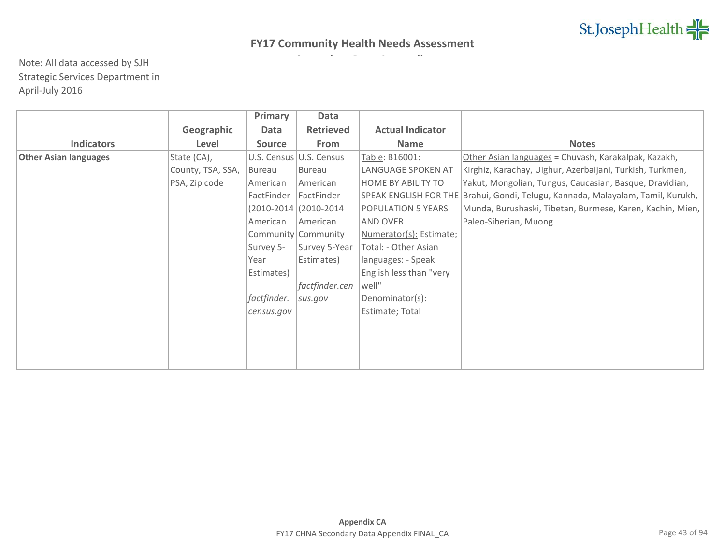|                              |                   | Primary       | Data                      |                         |                                                                                   |
|------------------------------|-------------------|---------------|---------------------------|-------------------------|-----------------------------------------------------------------------------------|
|                              | Geographic        | Data          | <b>Retrieved</b>          | <b>Actual Indicator</b> |                                                                                   |
| <b>Indicators</b>            | Level             | <b>Source</b> | From                      | <b>Name</b>             | <b>Notes</b>                                                                      |
| <b>Other Asian languages</b> | State (CA),       |               | U.S. Census   U.S. Census | Table: B16001:          | Other Asian languages = Chuvash, Karakalpak, Kazakh,                              |
|                              | County, TSA, SSA, | Bureau        | Bureau                    | LANGUAGE SPOKEN AT      | Kirghiz, Karachay, Uighur, Azerbaijani, Turkish, Turkmen,                         |
|                              | PSA, Zip code     | American      | American                  | HOME BY ABILITY TO      | Yakut, Mongolian, Tungus, Caucasian, Basque, Dravidian,                           |
|                              |                   | FactFinder    | FactFinder                |                         | SPEAK ENGLISH FOR THE   Brahui, Gondi, Telugu, Kannada, Malayalam, Tamil, Kurukh, |
|                              |                   |               | $(2010-2014)(2010-2014)$  | POPULATION 5 YEARS      | Munda, Burushaski, Tibetan, Burmese, Karen, Kachin, Mien,                         |
|                              |                   | American      | American                  | AND OVER                | Paleo-Siberian, Muong                                                             |
|                              |                   |               | Community Community       | Numerator(s): Estimate; |                                                                                   |
|                              |                   | Survey 5-     | Survey 5-Year             | Total: - Other Asian    |                                                                                   |
|                              |                   | Year          | Estimates)                | languages: - Speak      |                                                                                   |
|                              |                   | Estimates)    |                           | English less than "very |                                                                                   |
|                              |                   |               | factfinder.cen            | well"                   |                                                                                   |
|                              |                   | factfinder.   | sus.gov                   | Denominator(s):         |                                                                                   |
|                              |                   | census.gov    |                           | Estimate; Total         |                                                                                   |
|                              |                   |               |                           |                         |                                                                                   |
|                              |                   |               |                           |                         |                                                                                   |
|                              |                   |               |                           |                         |                                                                                   |
|                              |                   |               |                           |                         |                                                                                   |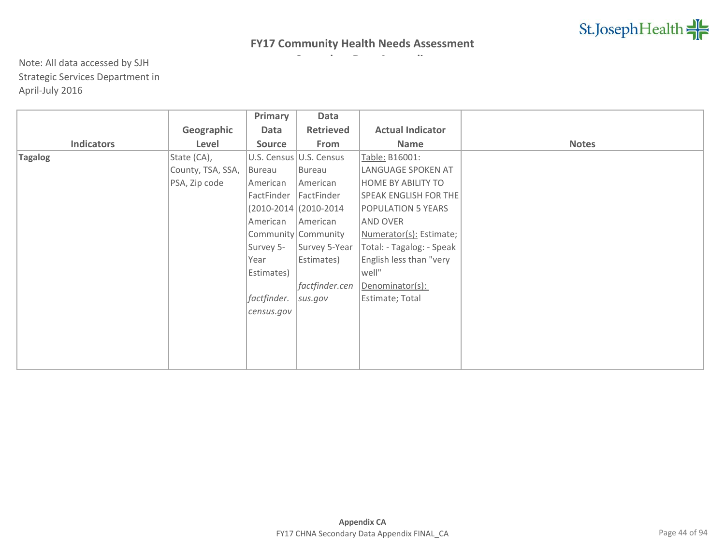|                   |                   | Primary       | Data                     |                              |              |
|-------------------|-------------------|---------------|--------------------------|------------------------------|--------------|
|                   | Geographic        | Data          | <b>Retrieved</b>         | <b>Actual Indicator</b>      |              |
| <b>Indicators</b> | Level             | <b>Source</b> | From                     | Name                         | <b>Notes</b> |
| <b>Tagalog</b>    | State (CA),       |               | U.S. Census U.S. Census  | Table: B16001:               |              |
|                   | County, TSA, SSA, | Bureau        | Bureau                   | LANGUAGE SPOKEN AT           |              |
|                   | PSA, Zip code     | American      | American                 | <b>HOME BY ABILITY TO</b>    |              |
|                   |                   | FactFinder    | FactFinder               | <b>SPEAK ENGLISH FOR THE</b> |              |
|                   |                   |               | $(2010-2014)(2010-2014)$ | <b>POPULATION 5 YEARS</b>    |              |
|                   |                   | American      | American                 | <b>AND OVER</b>              |              |
|                   |                   |               | Community Community      | Numerator(s): Estimate;      |              |
|                   |                   | Survey 5-     | Survey 5-Year            | Total: - Tagalog: - Speak    |              |
|                   |                   | Year          | Estimates)               | English less than "very      |              |
|                   |                   | Estimates)    |                          | well"                        |              |
|                   |                   |               | factfinder.cen           | Denominator(s):              |              |
|                   |                   | factfinder.   | sus.gov                  | Estimate; Total              |              |
|                   |                   | census.gov    |                          |                              |              |
|                   |                   |               |                          |                              |              |
|                   |                   |               |                          |                              |              |
|                   |                   |               |                          |                              |              |
|                   |                   |               |                          |                              |              |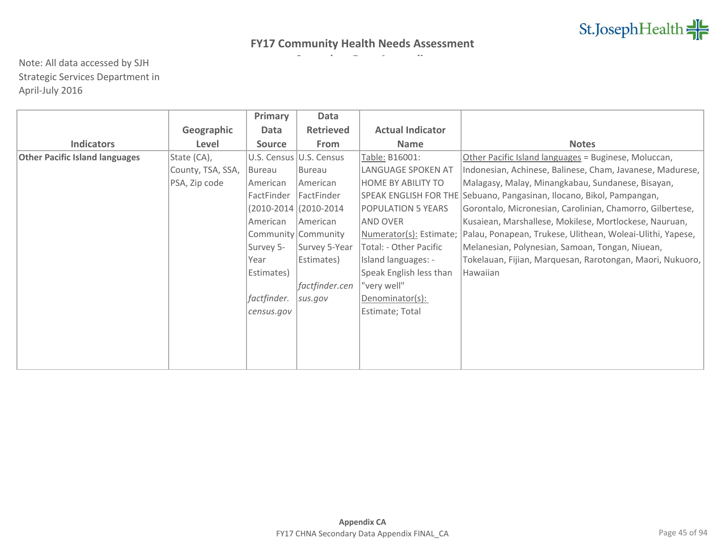|                                       |                   | Primary       | Data                    |                           |                                                                       |
|---------------------------------------|-------------------|---------------|-------------------------|---------------------------|-----------------------------------------------------------------------|
|                                       | Geographic        | Data          | <b>Retrieved</b>        | <b>Actual Indicator</b>   |                                                                       |
| <b>Indicators</b>                     | Level             | <b>Source</b> | <b>From</b>             | <b>Name</b>               | <b>Notes</b>                                                          |
| <b>Other Pacific Island languages</b> | State (CA),       |               | U.S. Census U.S. Census | Table: B16001:            | Other Pacific Island languages = Buginese, Moluccan,                  |
|                                       | County, TSA, SSA, | Bureau        | Bureau                  | LANGUAGE SPOKEN AT        | Indonesian, Achinese, Balinese, Cham, Javanese, Madurese,             |
|                                       | PSA, Zip code     | American      | American                | <b>HOME BY ABILITY TO</b> | Malagasy, Malay, Minangkabau, Sundanese, Bisayan,                     |
|                                       |                   | FactFinder    | FactFinder              |                           | SPEAK ENGLISH FOR THE Sebuano, Pangasinan, Ilocano, Bikol, Pampangan, |
|                                       |                   |               | (2010-2014 (2010-2014   | POPULATION 5 YEARS        | Gorontalo, Micronesian, Carolinian, Chamorro, Gilbertese,             |
|                                       |                   | American      | American                | AND OVER                  | Kusaiean, Marshallese, Mokilese, Mortlockese, Nauruan,                |
|                                       |                   |               | Community Community     | Numerator(s): Estimate;   | Palau, Ponapean, Trukese, Ulithean, Woleai-Ulithi, Yapese,            |
|                                       |                   | Survey 5-     | Survey 5-Year           | Total: - Other Pacific    | Melanesian, Polynesian, Samoan, Tongan, Niuean,                       |
|                                       |                   | Year          | Estimates)              | Island languages: -       | Tokelauan, Fijian, Marquesan, Rarotongan, Maori, Nukuoro,             |
|                                       |                   | Estimates)    |                         | Speak English less than   | Hawaiian                                                              |
|                                       |                   |               | factfinder.cen          | "very well"               |                                                                       |
|                                       |                   | factfinder.   | sus.gov                 | Denominator(s):           |                                                                       |
|                                       |                   | census.gov    |                         | Estimate; Total           |                                                                       |
|                                       |                   |               |                         |                           |                                                                       |
|                                       |                   |               |                         |                           |                                                                       |
|                                       |                   |               |                         |                           |                                                                       |
|                                       |                   |               |                         |                           |                                                                       |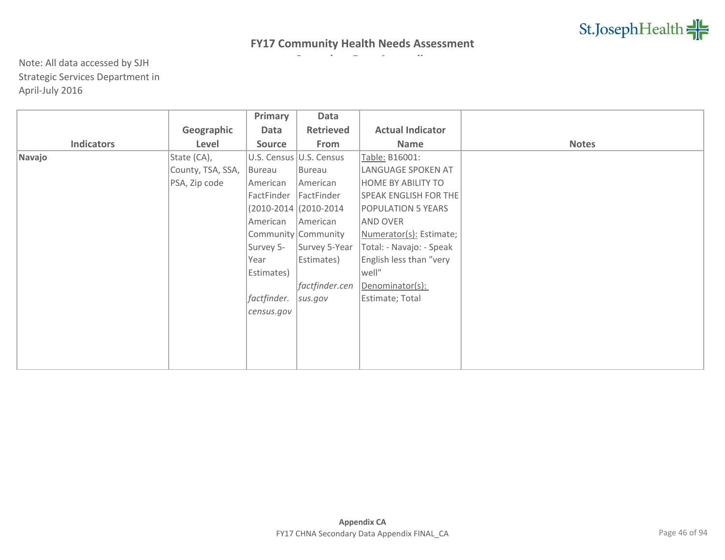|                   |                   | Primary       | Data                     |                              |              |
|-------------------|-------------------|---------------|--------------------------|------------------------------|--------------|
|                   | Geographic        | Data          | <b>Retrieved</b>         | <b>Actual Indicator</b>      |              |
| <b>Indicators</b> | Level             | <b>Source</b> | From                     | Name                         | <b>Notes</b> |
| Navajo            | State (CA),       |               | U.S. Census U.S. Census  | Table: B16001:               |              |
|                   | County, TSA, SSA, | Bureau        | Bureau                   | LANGUAGE SPOKEN AT           |              |
|                   | PSA, Zip code     | American      | American                 | <b>HOME BY ABILITY TO</b>    |              |
|                   |                   | FactFinder    | FactFinder               | <b>SPEAK ENGLISH FOR THE</b> |              |
|                   |                   |               | $(2010-2014)(2010-2014)$ | <b>POPULATION 5 YEARS</b>    |              |
|                   |                   | American      | American                 | <b>AND OVER</b>              |              |
|                   |                   |               | Community Community      | Numerator(s): Estimate;      |              |
|                   |                   | Survey 5-     | Survey 5-Year            | Total: - Navajo: - Speak     |              |
|                   |                   | Year          | Estimates)               | English less than "very      |              |
|                   |                   | Estimates)    |                          | well"                        |              |
|                   |                   |               | factfinder.cen           | Denominator(s):              |              |
|                   |                   | factfinder.   | sus.gov                  | Estimate; Total              |              |
|                   |                   | census.gov    |                          |                              |              |
|                   |                   |               |                          |                              |              |
|                   |                   |               |                          |                              |              |
|                   |                   |               |                          |                              |              |
|                   |                   |               |                          |                              |              |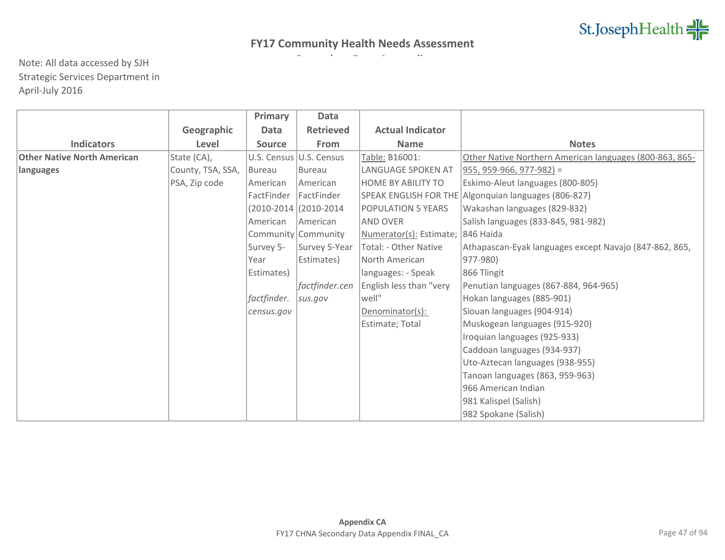|                                    |                   | <b>Primary</b> | <b>Data</b>              |                                   |                                                         |
|------------------------------------|-------------------|----------------|--------------------------|-----------------------------------|---------------------------------------------------------|
|                                    | Geographic        | <b>Data</b>    | <b>Retrieved</b>         | <b>Actual Indicator</b>           |                                                         |
| <b>Indicators</b>                  | Level             | <b>Source</b>  | From                     | <b>Name</b>                       | <b>Notes</b>                                            |
| <b>Other Native North American</b> | State (CA),       |                | U.S. Census U.S. Census  | Table: B16001:                    | Other Native Northern American languages (800-863, 865- |
| languages                          | County, TSA, SSA, | Bureau         | Bureau                   | LANGUAGE SPOKEN AT                | 955, 959-966, 977-982) =                                |
|                                    | PSA, Zip code     | American       | <b>American</b>          | HOME BY ABILITY TO                | Eskimo-Aleut languages (800-805)                        |
|                                    |                   | FactFinder     | FactFinder               |                                   | SPEAK ENGLISH FOR THE Algonquian languages (806-827)    |
|                                    |                   |                | $(2010-2014)(2010-2014)$ | POPULATION 5 YEARS                | Wakashan languages (829-832)                            |
|                                    |                   | American       | American                 | AND OVER                          | Salish languages (833-845, 981-982)                     |
|                                    |                   |                | Community Community      | Numerator(s): Estimate; 846 Haida |                                                         |
|                                    |                   | Survey 5-      | Survey 5-Year            | Total: - Other Native             | Athapascan-Eyak languages except Navajo (847-862, 865,  |
|                                    |                   | Year           | Estimates)               | North American                    | 977-980)                                                |
|                                    |                   | Estimates)     |                          | languages: - Speak                | 866 Tlingit                                             |
|                                    |                   |                | factfinder.cen           | English less than "very           | Penutian languages (867-884, 964-965)                   |
|                                    |                   | factfinder.    | sus.gov                  | well"                             | Hokan languages (885-901)                               |
|                                    |                   | census.gov     |                          | Denominator(s):                   | Siouan languages (904-914)                              |
|                                    |                   |                |                          | Estimate; Total                   | Muskogean languages (915-920)                           |
|                                    |                   |                |                          |                                   | Iroquian languages (925-933)                            |
|                                    |                   |                |                          |                                   | Caddoan languages (934-937)                             |
|                                    |                   |                |                          |                                   | Uto-Aztecan languages (938-955)                         |
|                                    |                   |                |                          |                                   | Tanoan languages (863, 959-963)                         |
|                                    |                   |                |                          |                                   | 966 American Indian                                     |
|                                    |                   |                |                          |                                   | 981 Kalispel (Salish)                                   |
|                                    |                   |                |                          |                                   | 982 Spokane (Salish)                                    |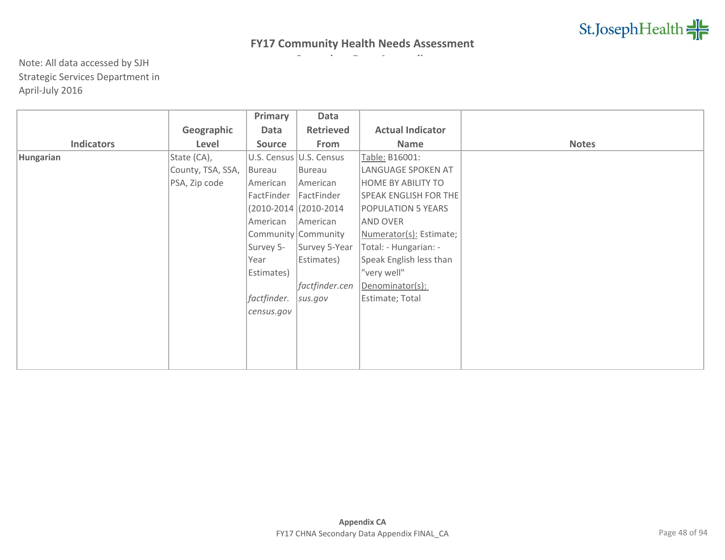|                   |                   | Primary       | Data                    |                              |              |
|-------------------|-------------------|---------------|-------------------------|------------------------------|--------------|
|                   | Geographic        | Data          | <b>Retrieved</b>        | <b>Actual Indicator</b>      |              |
| <b>Indicators</b> | Level             | <b>Source</b> | From                    | Name                         | <b>Notes</b> |
| Hungarian         | State (CA),       |               | U.S. Census U.S. Census | Table: B16001:               |              |
|                   | County, TSA, SSA, | Bureau        | Bureau                  | LANGUAGE SPOKEN AT           |              |
|                   | PSA, Zip code     | American      | American                | <b>HOME BY ABILITY TO</b>    |              |
|                   |                   | FactFinder    | FactFinder              | <b>SPEAK ENGLISH FOR THE</b> |              |
|                   |                   |               | (2010-2014 (2010-2014   | POPULATION 5 YEARS           |              |
|                   |                   | American      | American                | AND OVER                     |              |
|                   |                   |               | Community Community     | Numerator(s): Estimate;      |              |
|                   |                   | Survey 5-     | Survey 5-Year           | Total: - Hungarian: -        |              |
|                   |                   | Year          | Estimates)              | Speak English less than      |              |
|                   |                   | Estimates)    |                         | "very well"                  |              |
|                   |                   |               | factfinder.cen          | Denominator(s):              |              |
|                   |                   | factfinder.   | sus.gov                 | Estimate; Total              |              |
|                   |                   | census.gov    |                         |                              |              |
|                   |                   |               |                         |                              |              |
|                   |                   |               |                         |                              |              |
|                   |                   |               |                         |                              |              |
|                   |                   |               |                         |                              |              |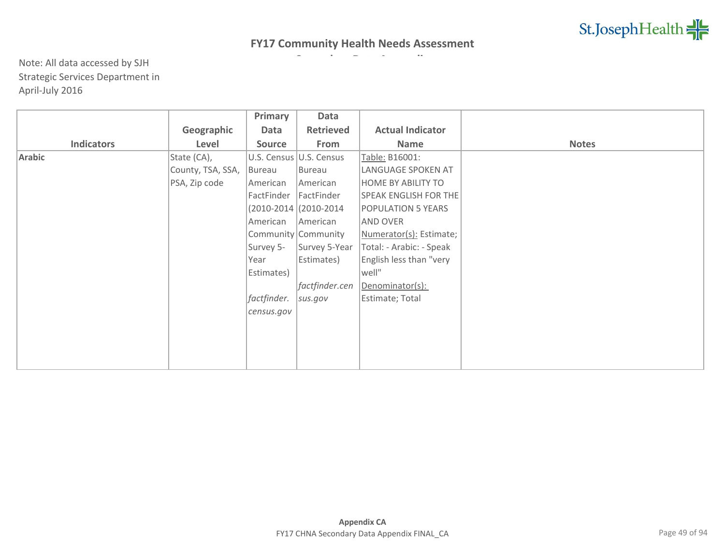|                   |                   | Primary       | Data                     |                              |              |
|-------------------|-------------------|---------------|--------------------------|------------------------------|--------------|
|                   | Geographic        | Data          | <b>Retrieved</b>         | <b>Actual Indicator</b>      |              |
| <b>Indicators</b> | Level             | <b>Source</b> | From                     | Name                         | <b>Notes</b> |
| Arabic            | State (CA),       |               | U.S. Census U.S. Census  | Table: B16001:               |              |
|                   | County, TSA, SSA, | Bureau        | Bureau                   | LANGUAGE SPOKEN AT           |              |
|                   | PSA, Zip code     | American      | American                 | <b>HOME BY ABILITY TO</b>    |              |
|                   |                   | FactFinder    | FactFinder               | <b>SPEAK ENGLISH FOR THE</b> |              |
|                   |                   |               | $(2010-2014)(2010-2014)$ | <b>POPULATION 5 YEARS</b>    |              |
|                   |                   | American      | American                 | <b>AND OVER</b>              |              |
|                   |                   |               | Community Community      | Numerator(s): Estimate;      |              |
|                   |                   | Survey 5-     | Survey 5-Year            | Total: - Arabic: - Speak     |              |
|                   |                   | Year          | Estimates)               | English less than "very      |              |
|                   |                   | Estimates)    |                          | well"                        |              |
|                   |                   |               | factfinder.cen           | Denominator(s):              |              |
|                   |                   | factfinder.   | sus.gov                  | Estimate; Total              |              |
|                   |                   | census.gov    |                          |                              |              |
|                   |                   |               |                          |                              |              |
|                   |                   |               |                          |                              |              |
|                   |                   |               |                          |                              |              |
|                   |                   |               |                          |                              |              |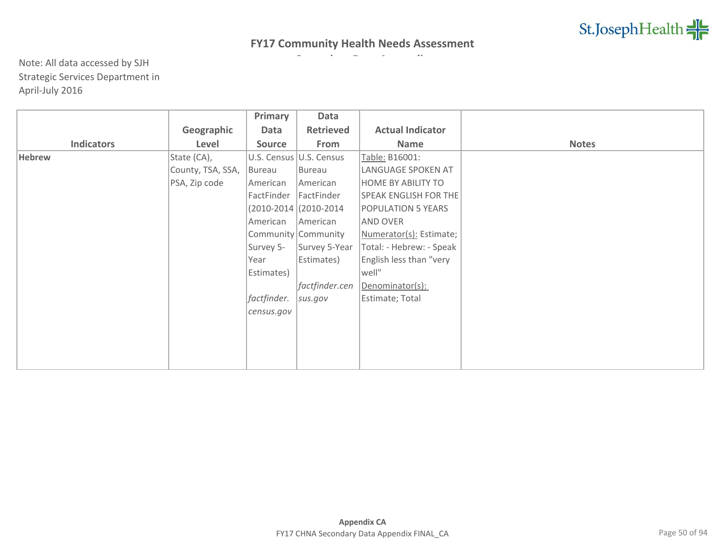|                   |                   | Primary       | Data                     |                              |              |
|-------------------|-------------------|---------------|--------------------------|------------------------------|--------------|
|                   | Geographic        | Data          | <b>Retrieved</b>         | <b>Actual Indicator</b>      |              |
| <b>Indicators</b> | Level             | <b>Source</b> | From                     | Name                         | <b>Notes</b> |
| <b>Hebrew</b>     | State (CA),       |               | U.S. Census U.S. Census  | Table: B16001:               |              |
|                   | County, TSA, SSA, | Bureau        | Bureau                   | LANGUAGE SPOKEN AT           |              |
|                   | PSA, Zip code     | American      | American                 | <b>HOME BY ABILITY TO</b>    |              |
|                   |                   | FactFinder    | FactFinder               | <b>SPEAK ENGLISH FOR THE</b> |              |
|                   |                   |               | $(2010-2014)(2010-2014)$ | <b>POPULATION 5 YEARS</b>    |              |
|                   |                   | American      | American                 | <b>AND OVER</b>              |              |
|                   |                   |               | Community Community      | Numerator(s): Estimate;      |              |
|                   |                   | Survey 5-     | Survey 5-Year            | Total: - Hebrew: - Speak     |              |
|                   |                   | Year          | Estimates)               | English less than "very      |              |
|                   |                   | Estimates)    |                          | well"                        |              |
|                   |                   |               | factfinder.cen           | Denominator(s):              |              |
|                   |                   | factfinder.   | sus.gov                  | Estimate; Total              |              |
|                   |                   | census.gov    |                          |                              |              |
|                   |                   |               |                          |                              |              |
|                   |                   |               |                          |                              |              |
|                   |                   |               |                          |                              |              |
|                   |                   |               |                          |                              |              |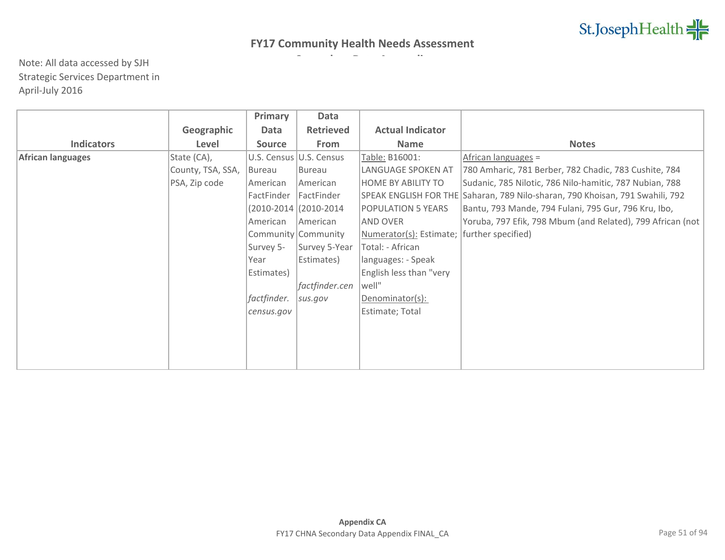|                   |                   | Primary       | Data                    |                                              |                                                                               |
|-------------------|-------------------|---------------|-------------------------|----------------------------------------------|-------------------------------------------------------------------------------|
|                   | Geographic        | Data          | <b>Retrieved</b>        | <b>Actual Indicator</b>                      |                                                                               |
| <b>Indicators</b> | Level             | <b>Source</b> | From                    | <b>Name</b>                                  | <b>Notes</b>                                                                  |
| African languages | State (CA),       |               | U.S. Census U.S. Census | Table: B16001:                               | African languages =                                                           |
|                   | County, TSA, SSA, | <b>Bureau</b> | Bureau                  | LANGUAGE SPOKEN AT                           | 780 Amharic, 781 Berber, 782 Chadic, 783 Cushite, 784                         |
|                   | PSA, Zip code     | American      | American                | <b>HOME BY ABILITY TO</b>                    | Sudanic, 785 Nilotic, 786 Nilo-hamitic, 787 Nubian, 788                       |
|                   |                   | FactFinder    | FactFinder              |                                              | SPEAK ENGLISH FOR THE Saharan, 789 Nilo-sharan, 790 Khoisan, 791 Swahili, 792 |
|                   |                   |               | (2010-2014) (2010-2014) | <b>POPULATION 5 YEARS</b>                    | Bantu, 793 Mande, 794 Fulani, 795 Gur, 796 Kru, Ibo,                          |
|                   |                   | American      | American                | <b>AND OVER</b>                              | Yoruba, 797 Efik, 798 Mbum (and Related), 799 African (not                    |
|                   |                   |               | Community Community     | Numerator(s): Estimate;   further specified) |                                                                               |
|                   |                   | Survey 5-     | Survey 5-Year           | Total: - African                             |                                                                               |
|                   |                   | Year          | Estimates)              | Ianguages: - Speak                           |                                                                               |
|                   |                   | Estimates)    |                         | English less than "very                      |                                                                               |
|                   |                   |               | factfinder.cen          | well"                                        |                                                                               |
|                   |                   | factfinder.   | sus.gov                 | Denominator(s):                              |                                                                               |
|                   |                   | census.gov    |                         | Estimate; Total                              |                                                                               |
|                   |                   |               |                         |                                              |                                                                               |
|                   |                   |               |                         |                                              |                                                                               |
|                   |                   |               |                         |                                              |                                                                               |
|                   |                   |               |                         |                                              |                                                                               |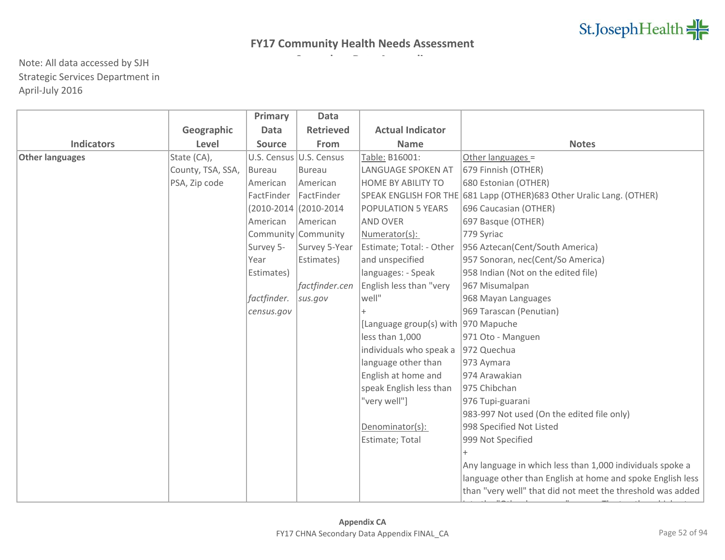|                        |                   | Primary       | <b>Data</b>             |                                     |                                                                       |
|------------------------|-------------------|---------------|-------------------------|-------------------------------------|-----------------------------------------------------------------------|
|                        | Geographic        | <b>Data</b>   | <b>Retrieved</b>        | <b>Actual Indicator</b>             |                                                                       |
| <b>Indicators</b>      | Level             | <b>Source</b> | From                    | <b>Name</b>                         | <b>Notes</b>                                                          |
| <b>Other languages</b> | State (CA),       |               | U.S. Census U.S. Census | Table: B16001:                      | Other languages =                                                     |
|                        | County, TSA, SSA, | Bureau        | <b>Bureau</b>           | LANGUAGE SPOKEN AT                  | 679 Finnish (OTHER)                                                   |
|                        | PSA, Zip code     | American      | American                | <b>HOME BY ABILITY TO</b>           | 680 Estonian (OTHER)                                                  |
|                        |                   | FactFinder    | FactFinder              |                                     | SPEAK ENGLISH FOR THE 681 Lapp (OTHER) 683 Other Uralic Lang. (OTHER) |
|                        |                   |               | (2010-2014 (2010-2014   | <b>POPULATION 5 YEARS</b>           | 696 Caucasian (OTHER)                                                 |
|                        |                   | American      | American                | <b>AND OVER</b>                     | 697 Basque (OTHER)                                                    |
|                        |                   |               | Community Community     | Numerator(s):                       | 779 Syriac                                                            |
|                        |                   | Survey 5-     | Survey 5-Year           | Estimate; Total: - Other            | 956 Aztecan(Cent/South America)                                       |
|                        |                   | Year          | Estimates)              | and unspecified                     | 957 Sonoran, nec(Cent/So America)                                     |
|                        |                   | Estimates)    |                         | languages: - Speak                  | 958 Indian (Not on the edited file)                                   |
|                        |                   |               | factfinder.cen          | English less than "very             | 967 Misumalpan                                                        |
|                        |                   | factfinder.   | sus.gov                 | well"                               | 968 Mayan Languages                                                   |
|                        |                   | census.gov    |                         |                                     | 969 Tarascan (Penutian)                                               |
|                        |                   |               |                         | [Language group(s) with 970 Mapuche |                                                                       |
|                        |                   |               |                         | less than 1,000                     | 971 Oto - Manguen                                                     |
|                        |                   |               |                         | individuals who speak a             | 972 Quechua                                                           |
|                        |                   |               |                         | language other than                 | 973 Aymara                                                            |
|                        |                   |               |                         | English at home and                 | 974 Arawakian                                                         |
|                        |                   |               |                         | speak English less than             | 975 Chibchan                                                          |
|                        |                   |               |                         | "very well"]                        | 976 Tupi-guarani                                                      |
|                        |                   |               |                         |                                     | 983-997 Not used (On the edited file only)                            |
|                        |                   |               |                         | Denominator(s):                     | 998 Specified Not Listed                                              |
|                        |                   |               |                         | Estimate; Total                     | 999 Not Specified                                                     |
|                        |                   |               |                         |                                     |                                                                       |
|                        |                   |               |                         |                                     | Any language in which less than 1,000 individuals spoke a             |
|                        |                   |               |                         |                                     | language other than English at home and spoke English less            |
|                        |                   |               |                         |                                     | than "very well" that did not meet the threshold was added            |
|                        |                   |               |                         |                                     |                                                                       |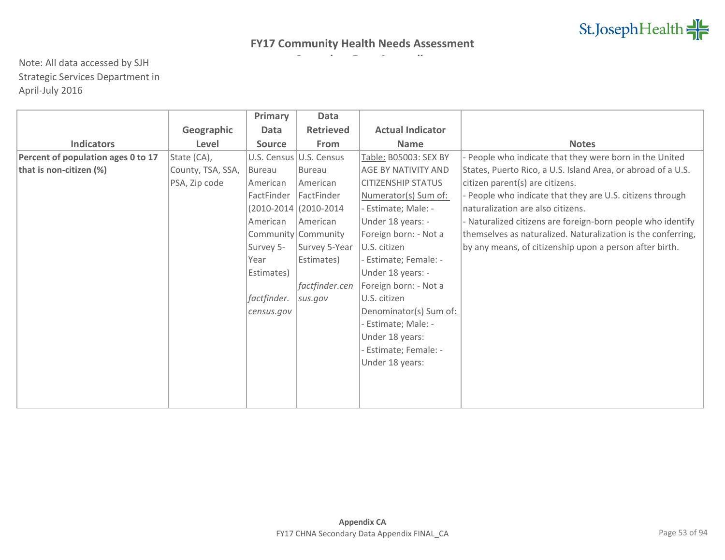|                                    |                   | Primary       | <b>Data</b>              |                           |                                                              |
|------------------------------------|-------------------|---------------|--------------------------|---------------------------|--------------------------------------------------------------|
|                                    | Geographic        | <b>Data</b>   | <b>Retrieved</b>         | <b>Actual Indicator</b>   |                                                              |
| <b>Indicators</b>                  | Level             | <b>Source</b> | From                     | <b>Name</b>               | <b>Notes</b>                                                 |
| Percent of population ages 0 to 17 | State (CA),       |               | U.S. Census U.S. Census  | Table: B05003: SEX BY     | - People who indicate that they were born in the United      |
| that is non-citizen (%)            | County, TSA, SSA, | Bureau        | Bureau                   | AGE BY NATIVITY AND       | States, Puerto Rico, a U.S. Island Area, or abroad of a U.S. |
|                                    | PSA, Zip code     | American      | American                 | <b>CITIZENSHIP STATUS</b> | citizen parent(s) are citizens.                              |
|                                    |                   | FactFinder    | FactFinder               | Numerator(s) Sum of:      | - People who indicate that they are U.S. citizens through    |
|                                    |                   |               | $(2010-2014)(2010-2014)$ | Estimate; Male: -         | naturalization are also citizens.                            |
|                                    |                   | American      | American                 | Under 18 years: -         | - Naturalized citizens are foreign-born people who identify  |
|                                    |                   |               | Community Community      | Foreign born: - Not a     | themselves as naturalized. Naturalization is the conferring, |
|                                    |                   | Survey 5-     | Survey 5-Year            | U.S. citizen              | by any means, of citizenship upon a person after birth.      |
|                                    |                   | Year          | Estimates)               | - Estimate; Female: -     |                                                              |
|                                    |                   | Estimates)    |                          | Under 18 years: -         |                                                              |
|                                    |                   |               | factfinder.cen           | Foreign born: - Not a     |                                                              |
|                                    |                   | factfinder.   | sus.gov                  | U.S. citizen              |                                                              |
|                                    |                   | census.gov    |                          | Denominator(s) Sum of:    |                                                              |
|                                    |                   |               |                          | Estimate; Male: -         |                                                              |
|                                    |                   |               |                          | Under 18 years:           |                                                              |
|                                    |                   |               |                          | - Estimate; Female: -     |                                                              |
|                                    |                   |               |                          | Under 18 years:           |                                                              |
|                                    |                   |               |                          |                           |                                                              |
|                                    |                   |               |                          |                           |                                                              |
|                                    |                   |               |                          |                           |                                                              |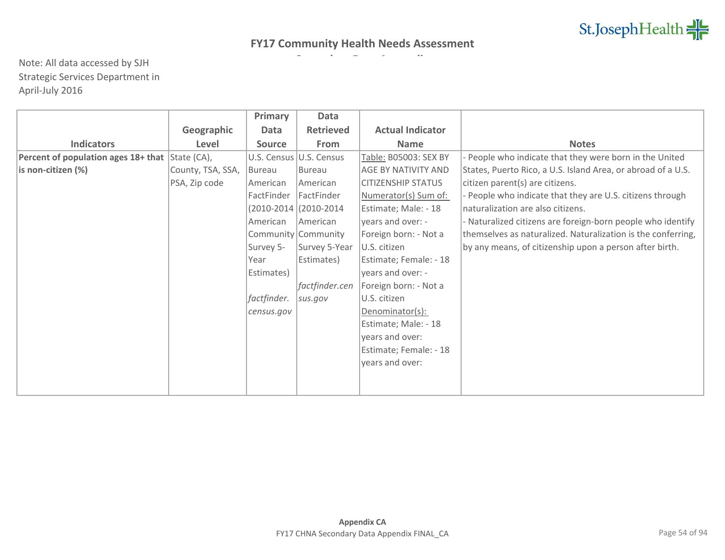|                                                 |                   | Primary       | <b>Data</b>             |                           |                                                              |
|-------------------------------------------------|-------------------|---------------|-------------------------|---------------------------|--------------------------------------------------------------|
|                                                 | Geographic        | Data          | <b>Retrieved</b>        | <b>Actual Indicator</b>   |                                                              |
| <b>Indicators</b>                               | Level             | <b>Source</b> | From                    | <b>Name</b>               | <b>Notes</b>                                                 |
| Percent of population ages 18+ that State (CA), |                   |               | U.S. Census U.S. Census | Table: B05003: SEX BY     | - People who indicate that they were born in the United      |
| is non-citizen (%)                              | County, TSA, SSA, | Bureau        | <b>Bureau</b>           | AGE BY NATIVITY AND       | States, Puerto Rico, a U.S. Island Area, or abroad of a U.S. |
|                                                 | PSA, Zip code     | American      | American                | <b>CITIZENSHIP STATUS</b> | citizen parent(s) are citizens.                              |
|                                                 |                   | FactFinder    | FactFinder              | Numerator(s) Sum of:      | - People who indicate that they are U.S. citizens through    |
|                                                 |                   |               | (2010-2014 (2010-2014   | Estimate; Male: - 18      | naturalization are also citizens.                            |
|                                                 |                   | American      | <b>American</b>         | years and over: -         | - Naturalized citizens are foreign-born people who identify  |
|                                                 |                   |               | Community Community     | Foreign born: - Not a     | themselves as naturalized. Naturalization is the conferring, |
|                                                 |                   | Survey 5-     | Survey 5-Year           | U.S. citizen              | by any means, of citizenship upon a person after birth.      |
|                                                 |                   | Year          | Estimates)              | Estimate; Female: - 18    |                                                              |
|                                                 |                   | Estimates)    |                         | years and over: -         |                                                              |
|                                                 |                   |               | factfinder.cen          | Foreign born: - Not a     |                                                              |
|                                                 |                   | factfinder.   | sus.gov                 | U.S. citizen              |                                                              |
|                                                 |                   | census.gov    |                         | Denominator(s):           |                                                              |
|                                                 |                   |               |                         | Estimate; Male: - 18      |                                                              |
|                                                 |                   |               |                         | years and over:           |                                                              |
|                                                 |                   |               |                         | Estimate; Female: - 18    |                                                              |
|                                                 |                   |               |                         | years and over:           |                                                              |
|                                                 |                   |               |                         |                           |                                                              |
|                                                 |                   |               |                         |                           |                                                              |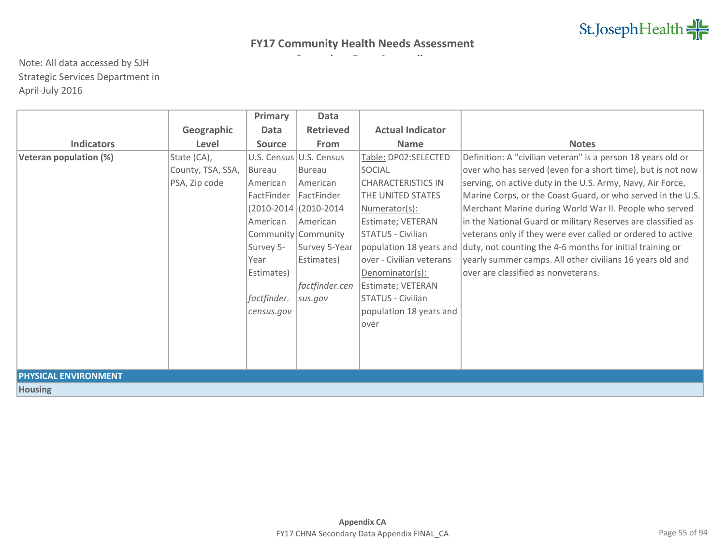|                             |                   | Primary       | Data                    |                           |                                                              |
|-----------------------------|-------------------|---------------|-------------------------|---------------------------|--------------------------------------------------------------|
|                             | Geographic        | Data          | <b>Retrieved</b>        | <b>Actual Indicator</b>   |                                                              |
| <b>Indicators</b>           | Level             | <b>Source</b> | <b>From</b>             | <b>Name</b>               | <b>Notes</b>                                                 |
| Veteran population (%)      | State (CA),       |               | U.S. Census U.S. Census | Table: DP02:SELECTED      | Definition: A "civilian veteran" is a person 18 years old or |
|                             | County, TSA, SSA, | Bureau        | <b>Bureau</b>           | SOCIAL                    | over who has served (even for a short time), but is not now  |
|                             | PSA, Zip code     | American      | <b>American</b>         | <b>CHARACTERISTICS IN</b> | serving, on active duty in the U.S. Army, Navy, Air Force,   |
|                             |                   | FactFinder    | <b>IFactFinder</b>      | THE UNITED STATES         | Marine Corps, or the Coast Guard, or who served in the U.S.  |
|                             |                   |               | (2010-2014) (2010-2014  | Numerator(s):             | Merchant Marine during World War II. People who served       |
|                             |                   | American      | <b>American</b>         | Estimate; VETERAN         | in the National Guard or military Reserves are classified as |
|                             |                   |               | Community Community     | <b>STATUS - Civilian</b>  | veterans only if they were ever called or ordered to active  |
|                             |                   | Survey 5-     | Survey 5-Year           | population 18 years and   | duty, not counting the 4-6 months for initial training or    |
|                             |                   | Year          | Estimates)              | over - Civilian veterans  | yearly summer camps. All other civilians 16 years old and    |
|                             |                   | Estimates)    |                         | Denominator(s):           | over are classified as nonveterans.                          |
|                             |                   |               | factfinder.cen          | Estimate; VETERAN         |                                                              |
|                             |                   | factfinder.   | sus.gov                 | STATUS - Civilian         |                                                              |
|                             |                   | census.gov    |                         | population 18 years and   |                                                              |
|                             |                   |               |                         | over                      |                                                              |
|                             |                   |               |                         |                           |                                                              |
|                             |                   |               |                         |                           |                                                              |
|                             |                   |               |                         |                           |                                                              |
| <b>PHYSICAL ENVIRONMENT</b> |                   |               |                         |                           |                                                              |
| <b>Housing</b>              |                   |               |                         |                           |                                                              |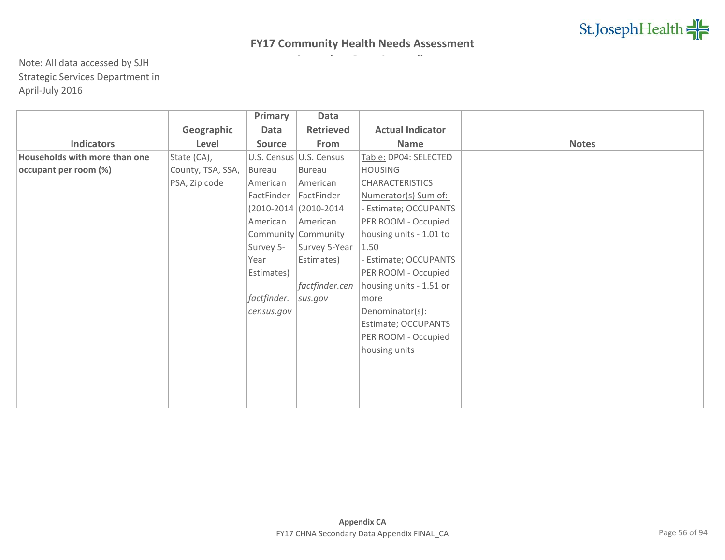|                               |                   | Primary       | Data                    |                         |              |
|-------------------------------|-------------------|---------------|-------------------------|-------------------------|--------------|
|                               | Geographic        | Data          | <b>Retrieved</b>        | <b>Actual Indicator</b> |              |
| <b>Indicators</b>             | Level             | <b>Source</b> | From                    | Name                    | <b>Notes</b> |
| Households with more than one | State (CA),       |               | U.S. Census U.S. Census | Table: DP04: SELECTED   |              |
| occupant per room (%)         | County, TSA, SSA, | Bureau        | Bureau                  | <b>HOUSING</b>          |              |
|                               | PSA, Zip code     | American      | American                | <b>CHARACTERISTICS</b>  |              |
|                               |                   | FactFinder    | FactFinder              | Numerator(s) Sum of:    |              |
|                               |                   |               | (2010-2014 (2010-2014   | - Estimate; OCCUPANTS   |              |
|                               |                   | American      | American                | PER ROOM - Occupied     |              |
|                               |                   |               | Community Community     | housing units - 1.01 to |              |
|                               |                   | Survey 5-     | Survey 5-Year           | 1.50                    |              |
|                               |                   | Year          | Estimates)              | - Estimate; OCCUPANTS   |              |
|                               |                   | Estimates)    |                         | PER ROOM - Occupied     |              |
|                               |                   |               | factfinder.cen          | housing units - 1.51 or |              |
|                               |                   | factfinder.   | sus.gov                 | more                    |              |
|                               |                   | census.gov    |                         | Denominator(s):         |              |
|                               |                   |               |                         | Estimate; OCCUPANTS     |              |
|                               |                   |               |                         | PER ROOM - Occupied     |              |
|                               |                   |               |                         | housing units           |              |
|                               |                   |               |                         |                         |              |
|                               |                   |               |                         |                         |              |
|                               |                   |               |                         |                         |              |
|                               |                   |               |                         |                         |              |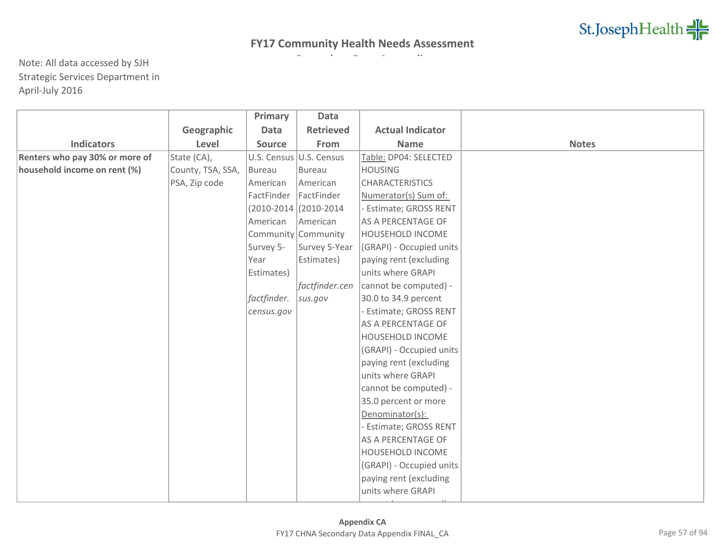|                                |                   | Primary       | Data                     |                           |              |
|--------------------------------|-------------------|---------------|--------------------------|---------------------------|--------------|
|                                | Geographic        | <b>Data</b>   | <b>Retrieved</b>         | <b>Actual Indicator</b>   |              |
| <b>Indicators</b>              | Level             | <b>Source</b> | From                     | <b>Name</b>               | <b>Notes</b> |
| Renters who pay 30% or more of | State (CA),       |               | U.S. Census U.S. Census  | Table: DP04: SELECTED     |              |
| household income on rent (%)   | County, TSA, SSA, | <b>Bureau</b> | <b>Bureau</b>            | <b>HOUSING</b>            |              |
|                                | PSA, Zip code     | American      | American                 | <b>CHARACTERISTICS</b>    |              |
|                                |                   | FactFinder    | FactFinder               | Numerator(s) Sum of:      |              |
|                                |                   |               | $(2010-2014)(2010-2014)$ | - Estimate; GROSS RENT    |              |
|                                |                   | American      | American                 | AS A PERCENTAGE OF        |              |
|                                |                   |               | Community Community      | HOUSEHOLD INCOME          |              |
|                                |                   | Survey 5-     | Survey 5-Year            | (GRAPI) - Occupied units  |              |
|                                |                   | Year          | Estimates)               | paying rent (excluding    |              |
|                                |                   | Estimates)    |                          | units where GRAPI         |              |
|                                |                   |               | factfinder.cen           | cannot be computed) -     |              |
|                                |                   | factfinder.   | sus.gov                  | 30.0 to 34.9 percent      |              |
|                                |                   | census.gov    |                          | - Estimate; GROSS RENT    |              |
|                                |                   |               |                          | AS A PERCENTAGE OF        |              |
|                                |                   |               |                          | HOUSEHOLD INCOME          |              |
|                                |                   |               |                          | (GRAPI) - Occupied units  |              |
|                                |                   |               |                          | paying rent (excluding    |              |
|                                |                   |               |                          | units where GRAPI         |              |
|                                |                   |               |                          | cannot be computed) -     |              |
|                                |                   |               |                          | 35.0 percent or more      |              |
|                                |                   |               |                          | Denominator(s):           |              |
|                                |                   |               |                          | - Estimate; GROSS RENT    |              |
|                                |                   |               |                          | <b>AS A PERCENTAGE OF</b> |              |
|                                |                   |               |                          | HOUSEHOLD INCOME          |              |
|                                |                   |               |                          | (GRAPI) - Occupied units  |              |
|                                |                   |               |                          | paying rent (excluding    |              |
|                                |                   |               |                          | units where GRAPI         |              |
|                                |                   |               |                          |                           |              |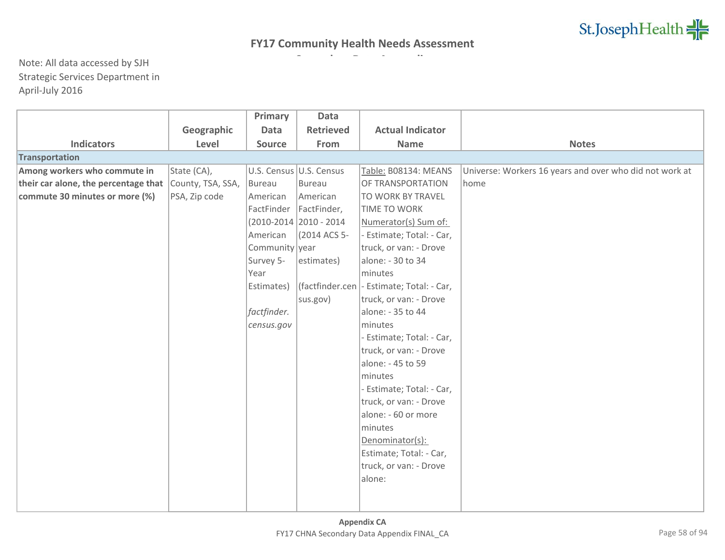|                                      |                   | Primary        | Data                    |                                             |                                                         |
|--------------------------------------|-------------------|----------------|-------------------------|---------------------------------------------|---------------------------------------------------------|
|                                      | Geographic        | <b>Data</b>    | <b>Retrieved</b>        | <b>Actual Indicator</b>                     |                                                         |
| <b>Indicators</b>                    | Level             | <b>Source</b>  | From                    | <b>Name</b>                                 | <b>Notes</b>                                            |
| <b>Transportation</b>                |                   |                |                         |                                             |                                                         |
| Among workers who commute in         | State (CA),       |                | U.S. Census U.S. Census | Table: B08134: MEANS                        | Universe: Workers 16 years and over who did not work at |
| their car alone, the percentage that | County, TSA, SSA, | Bureau         | Bureau                  | OF TRANSPORTATION                           | home                                                    |
| commute 30 minutes or more (%)       | PSA, Zip code     | American       | American                | TO WORK BY TRAVEL                           |                                                         |
|                                      |                   | FactFinder     | FactFinder,             | TIME TO WORK                                |                                                         |
|                                      |                   |                | (2010-2014 2010 - 2014  | Numerator(s) Sum of:                        |                                                         |
|                                      |                   | American       | (2014 ACS 5-            | - Estimate; Total: - Car,                   |                                                         |
|                                      |                   | Community year |                         | truck, or van: - Drove                      |                                                         |
|                                      |                   | Survey 5-      | estimates)              | alone: - 30 to 34                           |                                                         |
|                                      |                   | Year           |                         | minutes                                     |                                                         |
|                                      |                   | Estimates)     |                         | (factfinder.cen   - Estimate; Total: - Car, |                                                         |
|                                      |                   |                | sus.gov)                | truck, or van: - Drove                      |                                                         |
|                                      |                   | factfinder.    |                         | alone: - 35 to 44                           |                                                         |
|                                      |                   | census.gov     |                         | minutes                                     |                                                         |
|                                      |                   |                |                         | - Estimate; Total: - Car,                   |                                                         |
|                                      |                   |                |                         | truck, or van: - Drove                      |                                                         |
|                                      |                   |                |                         | alone: - 45 to 59                           |                                                         |
|                                      |                   |                |                         | minutes                                     |                                                         |
|                                      |                   |                |                         | - Estimate; Total: - Car,                   |                                                         |
|                                      |                   |                |                         | truck, or van: - Drove                      |                                                         |
|                                      |                   |                |                         | alone: - 60 or more                         |                                                         |
|                                      |                   |                |                         | minutes                                     |                                                         |
|                                      |                   |                |                         | Denominator(s):                             |                                                         |
|                                      |                   |                |                         | Estimate; Total: - Car,                     |                                                         |
|                                      |                   |                |                         | truck, or van: - Drove                      |                                                         |
|                                      |                   |                |                         | alone:                                      |                                                         |
|                                      |                   |                |                         |                                             |                                                         |
|                                      |                   |                |                         |                                             |                                                         |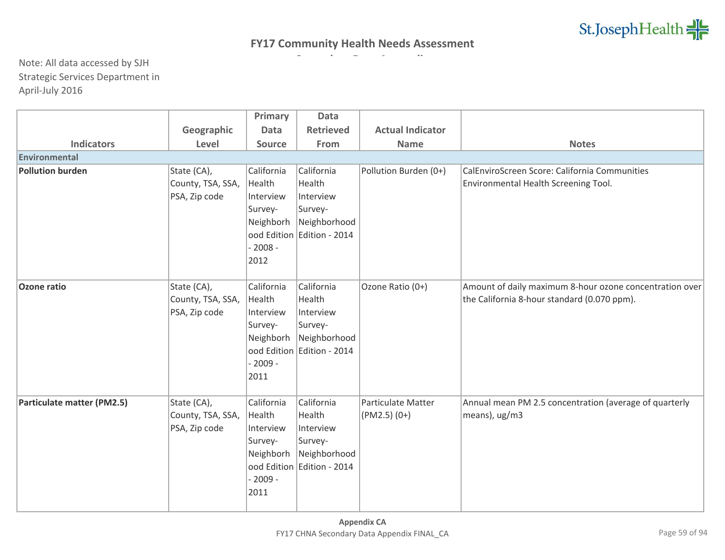|                            |                   | Primary       | <b>Data</b>                |                           |                                                         |
|----------------------------|-------------------|---------------|----------------------------|---------------------------|---------------------------------------------------------|
|                            | Geographic        | <b>Data</b>   | <b>Retrieved</b>           | <b>Actual Indicator</b>   |                                                         |
| <b>Indicators</b>          | Level             | <b>Source</b> | From                       | <b>Name</b>               | <b>Notes</b>                                            |
| Environmental              |                   |               |                            |                           |                                                         |
| <b>Pollution burden</b>    | State (CA),       | California    | California                 | Pollution Burden (0+)     | CalEnviroScreen Score: California Communities           |
|                            | County, TSA, SSA, | Health        | Health                     |                           | Environmental Health Screening Tool.                    |
|                            | PSA, Zip code     | Interview     | Interview                  |                           |                                                         |
|                            |                   | Survey-       | Survey-                    |                           |                                                         |
|                            |                   | Neighborh     | Neighborhood               |                           |                                                         |
|                            |                   |               | ood Edition Edition - 2014 |                           |                                                         |
|                            |                   | $-2008 -$     |                            |                           |                                                         |
|                            |                   | 2012          |                            |                           |                                                         |
|                            |                   |               |                            |                           |                                                         |
| <b>Ozone ratio</b>         | State (CA),       | California    | California                 | Ozone Ratio (0+)          | Amount of daily maximum 8-hour ozone concentration over |
|                            | County, TSA, SSA, | Health        | Health                     |                           | the California 8-hour standard (0.070 ppm).             |
|                            | PSA, Zip code     | Interview     | Interview                  |                           |                                                         |
|                            |                   | Survey-       | Survey-                    |                           |                                                         |
|                            |                   | Neighborh     | Neighborhood               |                           |                                                         |
|                            |                   |               | ood Edition Edition - 2014 |                           |                                                         |
|                            |                   | $-2009 -$     |                            |                           |                                                         |
|                            |                   | 2011          |                            |                           |                                                         |
| Particulate matter (PM2.5) | State (CA),       | California    | California                 | <b>Particulate Matter</b> | Annual mean PM 2.5 concentration (average of quarterly  |
|                            | County, TSA, SSA, | Health        | Health                     | $(PM2.5)(0+)$             | means), ug/m3                                           |
|                            | PSA, Zip code     | Interview     | Interview                  |                           |                                                         |
|                            |                   | Survey-       | Survey-                    |                           |                                                         |
|                            |                   | Neighborh     | Neighborhood               |                           |                                                         |
|                            |                   |               | ood Edition Edition - 2014 |                           |                                                         |
|                            |                   | $-2009 -$     |                            |                           |                                                         |
|                            |                   | 2011          |                            |                           |                                                         |
|                            |                   |               |                            |                           |                                                         |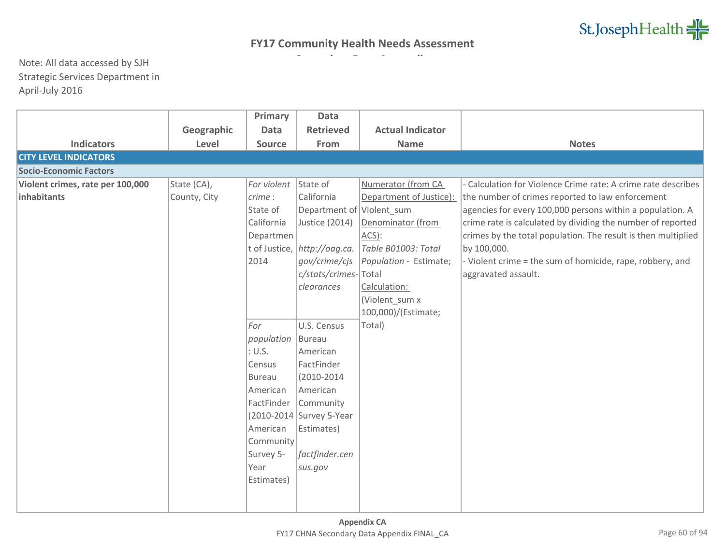|                                  |              | Primary       | <b>Data</b>                  |                         |                                                               |
|----------------------------------|--------------|---------------|------------------------------|-------------------------|---------------------------------------------------------------|
|                                  | Geographic   | <b>Data</b>   | <b>Retrieved</b>             | <b>Actual Indicator</b> |                                                               |
| <b>Indicators</b>                | Level        | Source        | From                         | <b>Name</b>             | <b>Notes</b>                                                  |
| <b>CITY LEVEL INDICATORS</b>     |              |               |                              |                         |                                                               |
| <b>Socio-Economic Factors</b>    |              |               |                              |                         |                                                               |
| Violent crimes, rate per 100,000 | State (CA),  | For violent   | State of                     | Numerator (from CA      | Calculation for Violence Crime rate: A crime rate describes   |
| inhabitants                      | County, City | $ $ crime:    | California                   | Department of Justice): | the number of crimes reported to law enforcement              |
|                                  |              | State of      | Department of Violent sum    |                         | agencies for every 100,000 persons within a population. A     |
|                                  |              | California    | Justice (2014)               | Denominator (from       | crime rate is calculated by dividing the number of reported   |
|                                  |              | Departmen     |                              | ACS):                   | crimes by the total population. The result is then multiplied |
|                                  |              |               | t of Justice, http://oag.ca. | Table B01003: Total     | by 100,000.                                                   |
|                                  |              | 2014          | gov/crime/cjs                | Population - Estimate;  | - Violent crime = the sum of homicide, rape, robbery, and     |
|                                  |              |               | c/stats/crimes-Total         |                         | aggravated assault.                                           |
|                                  |              |               | clearances                   | Calculation:            |                                                               |
|                                  |              |               |                              | (Violent sum x          |                                                               |
|                                  |              |               |                              | 100,000)/(Estimate;     |                                                               |
|                                  |              | For           | U.S. Census                  | Total)                  |                                                               |
|                                  |              | population    | Bureau                       |                         |                                                               |
|                                  |              | : <i>U.S.</i> | American                     |                         |                                                               |
|                                  |              | Census        | FactFinder                   |                         |                                                               |
|                                  |              | <b>Bureau</b> | $(2010 - 2014)$              |                         |                                                               |
|                                  |              | American      | American                     |                         |                                                               |
|                                  |              | FactFinder    | Community                    |                         |                                                               |
|                                  |              |               | (2010-2014 Survey 5-Year     |                         |                                                               |
|                                  |              | American      | Estimates)                   |                         |                                                               |
|                                  |              | Community     |                              |                         |                                                               |
|                                  |              | Survey 5-     | factfinder.cen               |                         |                                                               |
|                                  |              | Year          | sus.gov                      |                         |                                                               |
|                                  |              | Estimates)    |                              |                         |                                                               |
|                                  |              |               |                              |                         |                                                               |
|                                  |              |               |                              |                         |                                                               |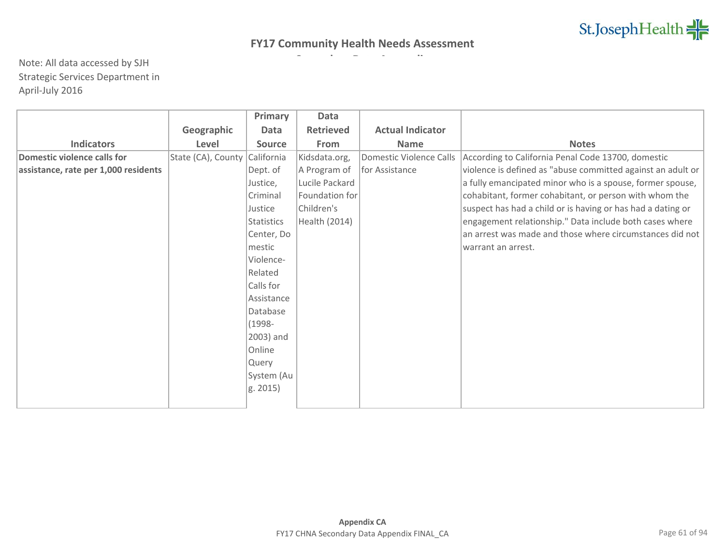|                                      |                    | Primary           | Data             |                                |                                                             |
|--------------------------------------|--------------------|-------------------|------------------|--------------------------------|-------------------------------------------------------------|
|                                      | Geographic         | Data              | <b>Retrieved</b> | <b>Actual Indicator</b>        |                                                             |
| <b>Indicators</b>                    | Level              | <b>Source</b>     | From             | <b>Name</b>                    | <b>Notes</b>                                                |
| <b>Domestic violence calls for</b>   | State (CA), County | California        | Kidsdata.org,    | <b>Domestic Violence Calls</b> | According to California Penal Code 13700, domestic          |
| assistance, rate per 1,000 residents |                    | Dept. of          | A Program of     | for Assistance                 | violence is defined as "abuse committed against an adult or |
|                                      |                    | Justice,          | Lucile Packard   |                                | a fully emancipated minor who is a spouse, former spouse,   |
|                                      |                    | Criminal          | Foundation for   |                                | cohabitant, former cohabitant, or person with whom the      |
|                                      |                    | Justice           | Children's       |                                | suspect has had a child or is having or has had a dating or |
|                                      |                    | <b>Statistics</b> | Health (2014)    |                                | engagement relationship." Data include both cases where     |
|                                      |                    | Center, Do        |                  |                                | an arrest was made and those where circumstances did not    |
|                                      |                    | mestic            |                  |                                | warrant an arrest.                                          |
|                                      |                    | Violence-         |                  |                                |                                                             |
|                                      |                    | Related           |                  |                                |                                                             |
|                                      |                    | Calls for         |                  |                                |                                                             |
|                                      |                    | Assistance        |                  |                                |                                                             |
|                                      |                    | Database          |                  |                                |                                                             |
|                                      |                    | $(1998 -$         |                  |                                |                                                             |
|                                      |                    | 2003) and         |                  |                                |                                                             |
|                                      |                    | Online            |                  |                                |                                                             |
|                                      |                    | Query             |                  |                                |                                                             |
|                                      |                    | System (Au        |                  |                                |                                                             |
|                                      |                    | g. 2015)          |                  |                                |                                                             |
|                                      |                    |                   |                  |                                |                                                             |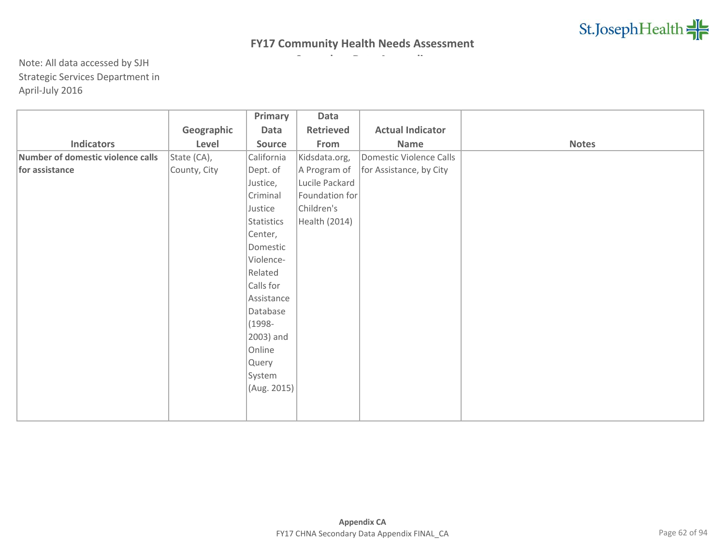|                                   |              | Primary     | Data           |                         |              |
|-----------------------------------|--------------|-------------|----------------|-------------------------|--------------|
|                                   | Geographic   | Data        | Retrieved      | <b>Actual Indicator</b> |              |
| <b>Indicators</b>                 | Level        | Source      | From           | Name                    | <b>Notes</b> |
| Number of domestic violence calls | State (CA),  | California  | Kidsdata.org,  | Domestic Violence Calls |              |
| for assistance                    | County, City | Dept. of    | A Program of   | for Assistance, by City |              |
|                                   |              | Justice,    | Lucile Packard |                         |              |
|                                   |              | Criminal    | Foundation for |                         |              |
|                                   |              | Justice     | Children's     |                         |              |
|                                   |              | Statistics  | Health (2014)  |                         |              |
|                                   |              | Center,     |                |                         |              |
|                                   |              | Domestic    |                |                         |              |
|                                   |              | Violence-   |                |                         |              |
|                                   |              | Related     |                |                         |              |
|                                   |              | Calls for   |                |                         |              |
|                                   |              | Assistance  |                |                         |              |
|                                   |              | Database    |                |                         |              |
|                                   |              | $(1998 -$   |                |                         |              |
|                                   |              | 2003) and   |                |                         |              |
|                                   |              | Online      |                |                         |              |
|                                   |              | Query       |                |                         |              |
|                                   |              | System      |                |                         |              |
|                                   |              | (Aug. 2015) |                |                         |              |
|                                   |              |             |                |                         |              |
|                                   |              |             |                |                         |              |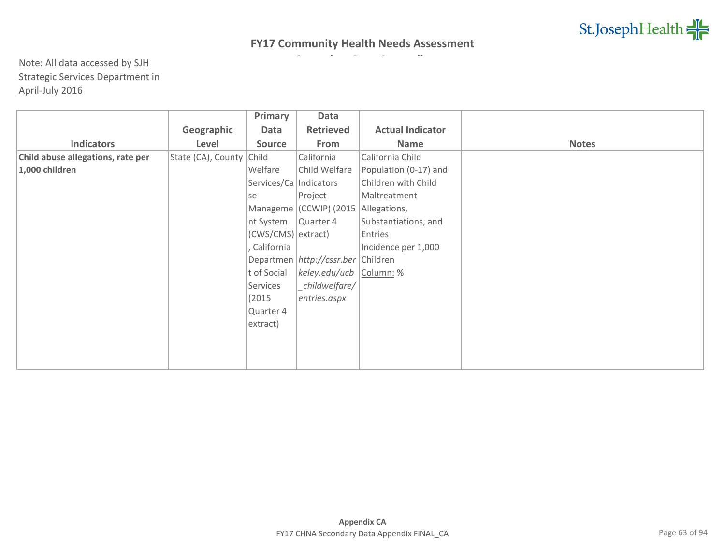|                                   |                            | Primary                  | Data                                   |                         |              |
|-----------------------------------|----------------------------|--------------------------|----------------------------------------|-------------------------|--------------|
|                                   | Geographic                 | Data                     | <b>Retrieved</b>                       | <b>Actual Indicator</b> |              |
| <b>Indicators</b>                 | Level                      | <b>Source</b>            | From                                   | Name                    | <b>Notes</b> |
| Child abuse allegations, rate per | State (CA), County   Child |                          | California                             | California Child        |              |
| 1,000 children                    |                            | Welfare                  | Child Welfare                          | Population (0-17) and   |              |
|                                   |                            | Services/Ca   Indicators |                                        | Children with Child     |              |
|                                   |                            | se                       | Project                                | Maltreatment            |              |
|                                   |                            |                          | Manageme (CCWIP) (2015                 | Allegations,            |              |
|                                   |                            | nt System                | Quarter 4                              | Substantiations, and    |              |
|                                   |                            | (CWS/CMS) extract)       |                                        | Entries                 |              |
|                                   |                            | California               |                                        | Incidence per 1,000     |              |
|                                   |                            |                          | Departmen   http://cssr.ber   Children |                         |              |
|                                   |                            | t of Social              | keley.edu/ucb                          | Column: %               |              |
|                                   |                            | Services                 | _childwelfare/                         |                         |              |
|                                   |                            | (2015)                   | entries.aspx                           |                         |              |
|                                   |                            | Quarter 4                |                                        |                         |              |
|                                   |                            | extract)                 |                                        |                         |              |
|                                   |                            |                          |                                        |                         |              |
|                                   |                            |                          |                                        |                         |              |
|                                   |                            |                          |                                        |                         |              |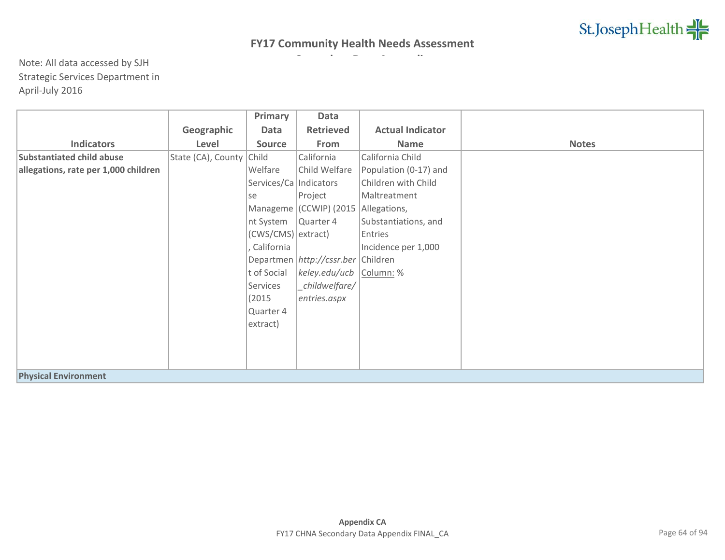|                                      |                          | Primary                  | Data                                   |                         |              |
|--------------------------------------|--------------------------|--------------------------|----------------------------------------|-------------------------|--------------|
|                                      | Geographic               | Data                     | <b>Retrieved</b>                       | <b>Actual Indicator</b> |              |
| <b>Indicators</b>                    | Level                    | <b>Source</b>            | From                                   | <b>Name</b>             | <b>Notes</b> |
| <b>Substantiated child abuse</b>     | State (CA), County Child |                          | California                             | California Child        |              |
| allegations, rate per 1,000 children |                          | Welfare                  | Child Welfare                          | Population (0-17) and   |              |
|                                      |                          | Services/Ca   Indicators |                                        | Children with Child     |              |
|                                      |                          | lse                      | Project                                | Maltreatment            |              |
|                                      |                          |                          | Manageme (CCWIP) (2015                 | Allegations,            |              |
|                                      |                          | nt System                | Quarter 4                              | Substantiations, and    |              |
|                                      |                          | (CWS/CMS) extract)       |                                        | Entries                 |              |
|                                      |                          | California               |                                        | Incidence per 1,000     |              |
|                                      |                          |                          | Departmen   http://cssr.ber   Children |                         |              |
|                                      |                          | t of Social              | keley.edu/ucb                          | Column: %               |              |
|                                      |                          | Services                 | childwelfare/                          |                         |              |
|                                      |                          | (2015)                   | entries.aspx                           |                         |              |
|                                      |                          | Quarter 4                |                                        |                         |              |
|                                      |                          | extract)                 |                                        |                         |              |
|                                      |                          |                          |                                        |                         |              |
|                                      |                          |                          |                                        |                         |              |
|                                      |                          |                          |                                        |                         |              |
| <b>Physical Environment</b>          |                          |                          |                                        |                         |              |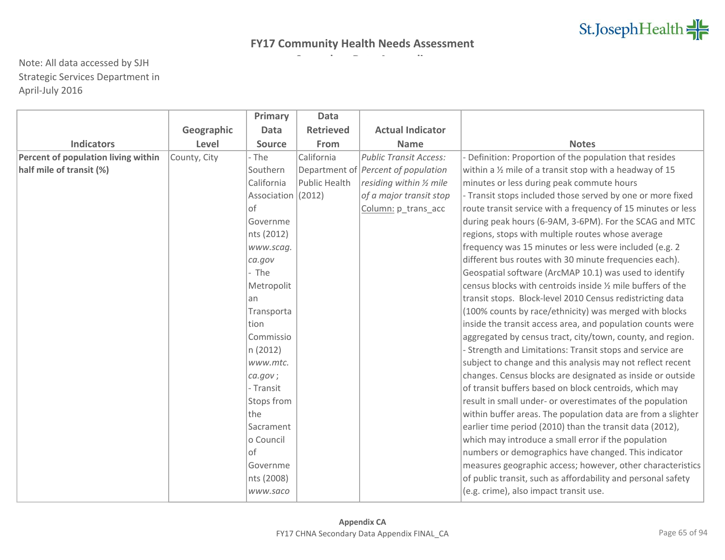|                                     |              | Primary            | <b>Data</b>      |                                            |                                                                    |
|-------------------------------------|--------------|--------------------|------------------|--------------------------------------------|--------------------------------------------------------------------|
|                                     | Geographic   | <b>Data</b>        | <b>Retrieved</b> | <b>Actual Indicator</b>                    |                                                                    |
| <b>Indicators</b>                   | Level        | <b>Source</b>      | From             | <b>Name</b>                                | <b>Notes</b>                                                       |
| Percent of population living within | County, City | - The              | California       | <b>Public Transit Access:</b>              | Definition: Proportion of the population that resides              |
| half mile of transit (%)            |              | Southern           |                  | Department of <i>Percent of population</i> | within a $\frac{1}{2}$ mile of a transit stop with a headway of 15 |
|                                     |              | California         | Public Health    | residing within 1/2 mile                   | minutes or less during peak commute hours                          |
|                                     |              | Association (2012) |                  | of a major transit stop                    | - Transit stops included those served by one or more fixed         |
|                                     |              | $ $ of             |                  | Column: p_trans_acc                        | route transit service with a frequency of 15 minutes or less       |
|                                     |              | Governme           |                  |                                            | during peak hours (6-9AM, 3-6PM). For the SCAG and MTC             |
|                                     |              | nts (2012)         |                  |                                            | regions, stops with multiple routes whose average                  |
|                                     |              | www.scag.          |                  |                                            | frequency was 15 minutes or less were included (e.g. 2             |
|                                     |              | ca.gov             |                  |                                            | different bus routes with 30 minute frequencies each).             |
|                                     |              | - The              |                  |                                            | Geospatial software (ArcMAP 10.1) was used to identify             |
|                                     |              | Metropolit         |                  |                                            | census blocks with centroids inside 1/2 mile buffers of the        |
|                                     |              | an                 |                  |                                            | transit stops. Block-level 2010 Census redistricting data          |
|                                     |              | Transporta         |                  |                                            | (100% counts by race/ethnicity) was merged with blocks             |
|                                     |              | <b>tion</b>        |                  |                                            | inside the transit access area, and population counts were         |
|                                     |              | Commissio          |                  |                                            | aggregated by census tract, city/town, county, and region.         |
|                                     |              | n (2012)           |                  |                                            | - Strength and Limitations: Transit stops and service are          |
|                                     |              | www.mtc.           |                  |                                            | subject to change and this analysis may not reflect recent         |
|                                     |              | ca.gov;            |                  |                                            | changes. Census blocks are designated as inside or outside         |
|                                     |              | - Transit          |                  |                                            | of transit buffers based on block centroids, which may             |
|                                     |              | Stops from         |                  |                                            | result in small under- or overestimates of the population          |
|                                     |              | the                |                  |                                            | within buffer areas. The population data are from a slighter       |
|                                     |              | Sacrament          |                  |                                            | earlier time period (2010) than the transit data (2012),           |
|                                     |              | o Council          |                  |                                            | which may introduce a small error if the population                |
|                                     |              | of                 |                  |                                            | numbers or demographics have changed. This indicator               |
|                                     |              | Governme           |                  |                                            | measures geographic access; however, other characteristics         |
|                                     |              | nts (2008)         |                  |                                            | of public transit, such as affordability and personal safety       |
|                                     |              | www.saco           |                  |                                            | (e.g. crime), also impact transit use.                             |
|                                     |              |                    |                  |                                            |                                                                    |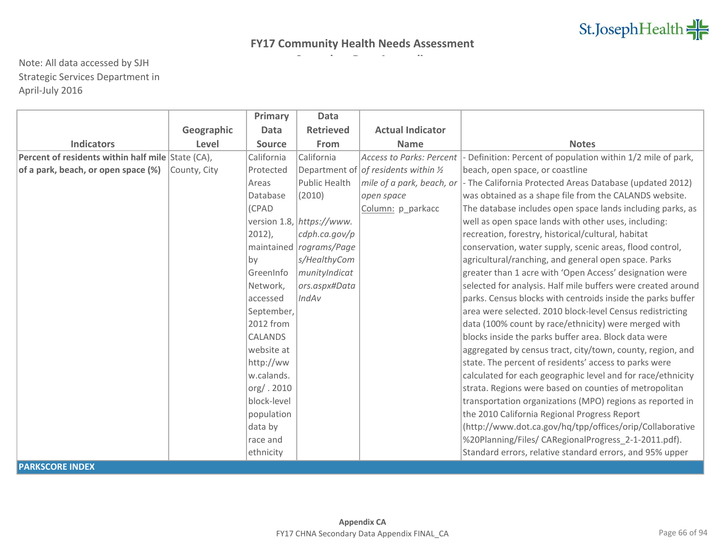|                                                   |              | Primary                | <b>Data</b>               |                                                 |                                                              |
|---------------------------------------------------|--------------|------------------------|---------------------------|-------------------------------------------------|--------------------------------------------------------------|
|                                                   | Geographic   | <b>Data</b>            | <b>Retrieved</b>          | <b>Actual Indicator</b>                         |                                                              |
| <b>Indicators</b>                                 | Level        | <b>Source</b>          | From                      | <b>Name</b>                                     | <b>Notes</b>                                                 |
| Percent of residents within half mile State (CA), |              | California             | California                | Access to Parks: Percent                        | - Definition: Percent of population within 1/2 mile of park, |
| of a park, beach, or open space (%)               | County, City | Protected              |                           | Department of of residents within $\frac{1}{2}$ | beach, open space, or coastline                              |
|                                                   |              | Areas                  | Public Health             | mile of a park, beach, or                       | - The California Protected Areas Database (updated 2012)     |
|                                                   |              | Database               | (2010)                    | open space                                      | was obtained as a shape file from the CALANDS website.       |
|                                                   |              | (CPAD                  |                           | Column: p_parkacc                               | The database includes open space lands including parks, as   |
|                                                   |              |                        | version 1.8, https://www. |                                                 | well as open space lands with other uses, including:         |
|                                                   |              | $ 2012\rangle,$        | cdph.ca.gov/p             |                                                 | recreation, forestry, historical/cultural, habitat           |
|                                                   |              |                        | maintained rograms/Page   |                                                 | conservation, water supply, scenic areas, flood control,     |
|                                                   |              | $\mathsf{b}\mathsf{v}$ | s/HealthyCom              |                                                 | agricultural/ranching, and general open space. Parks         |
|                                                   |              | GreenInfo              | munityIndicat             |                                                 | greater than 1 acre with 'Open Access' designation were      |
|                                                   |              | Network,               | ors.aspx#Data             |                                                 | selected for analysis. Half mile buffers were created around |
|                                                   |              | accessed               | IndAv                     |                                                 | parks. Census blocks with centroids inside the parks buffer  |
|                                                   |              | September,             |                           |                                                 | area were selected. 2010 block-level Census redistricting    |
|                                                   |              | 2012 from              |                           |                                                 | data (100% count by race/ethnicity) were merged with         |
|                                                   |              | <b>CALANDS</b>         |                           |                                                 | blocks inside the parks buffer area. Block data were         |
|                                                   |              | website at             |                           |                                                 | aggregated by census tract, city/town, county, region, and   |
|                                                   |              | http://ww              |                           |                                                 | state. The percent of residents' access to parks were        |
|                                                   |              | w.calands.             |                           |                                                 | calculated for each geographic level and for race/ethnicity  |
|                                                   |              | org/. 2010             |                           |                                                 | strata. Regions were based on counties of metropolitan       |
|                                                   |              | block-level            |                           |                                                 | transportation organizations (MPO) regions as reported in    |
|                                                   |              | population             |                           |                                                 | the 2010 California Regional Progress Report                 |
|                                                   |              | data by                |                           |                                                 | (http://www.dot.ca.gov/hq/tpp/offices/orip/Collaborative     |
|                                                   |              | race and               |                           |                                                 | %20Planning/Files/ CARegionalProgress_2-1-2011.pdf).         |
|                                                   |              | ethnicity              |                           |                                                 | Standard errors, relative standard errors, and 95% upper     |
| <b>PARKSCORE INDEX</b>                            |              |                        |                           |                                                 |                                                              |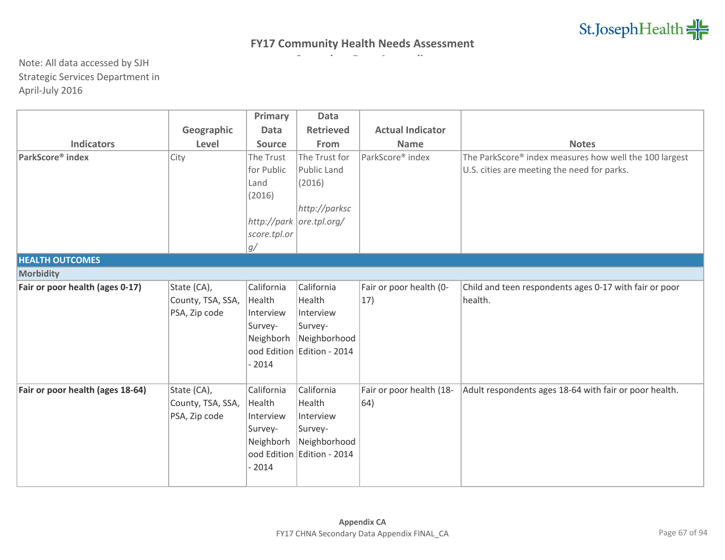|                                  |                   | Primary       | <b>Data</b>                |                          |                                                        |
|----------------------------------|-------------------|---------------|----------------------------|--------------------------|--------------------------------------------------------|
|                                  | Geographic        | <b>Data</b>   | <b>Retrieved</b>           | <b>Actual Indicator</b>  |                                                        |
| <b>Indicators</b>                | Level             | <b>Source</b> | From                       | <b>Name</b>              | <b>Notes</b>                                           |
| ParkScore <sup>®</sup> index     | City              | The Trust     | The Trust for              | ParkScore® index         | The ParkScore® index measures how well the 100 largest |
|                                  |                   | for Public    | Public Land                |                          | U.S. cities are meeting the need for parks.            |
|                                  |                   | Land          | (2016)                     |                          |                                                        |
|                                  |                   | (2016)        |                            |                          |                                                        |
|                                  |                   |               | http://parksc              |                          |                                                        |
|                                  |                   |               | http://park ore.tpl.org/   |                          |                                                        |
|                                  |                   | score.tpl.or  |                            |                          |                                                        |
|                                  |                   | g/            |                            |                          |                                                        |
| <b>HEALTH OUTCOMES</b>           |                   |               |                            |                          |                                                        |
| Morbidity                        |                   |               |                            |                          |                                                        |
| Fair or poor health (ages 0-17)  | State (CA),       | California    | California                 | Fair or poor health (0-  | Child and teen respondents ages 0-17 with fair or poor |
|                                  | County, TSA, SSA, | Health        | Health                     | 17)                      | health.                                                |
|                                  | PSA, Zip code     | Interview     | Interview                  |                          |                                                        |
|                                  |                   | Survey-       | Survey-                    |                          |                                                        |
|                                  |                   | Neighborh     | Neighborhood               |                          |                                                        |
|                                  |                   |               | ood Edition Edition - 2014 |                          |                                                        |
|                                  |                   | $-2014$       |                            |                          |                                                        |
|                                  |                   |               |                            |                          |                                                        |
| Fair or poor health (ages 18-64) | State (CA),       | California    | California                 | Fair or poor health (18- | Adult respondents ages 18-64 with fair or poor health. |
|                                  | County, TSA, SSA, | Health        | Health                     | 64)                      |                                                        |
|                                  | PSA, Zip code     | Interview     | Interview                  |                          |                                                        |
|                                  |                   | Survey-       | Survey-                    |                          |                                                        |
|                                  |                   | Neighborh     | Neighborhood               |                          |                                                        |
|                                  |                   |               | ood Edition Edition - 2014 |                          |                                                        |
|                                  |                   | $-2014$       |                            |                          |                                                        |
|                                  |                   |               |                            |                          |                                                        |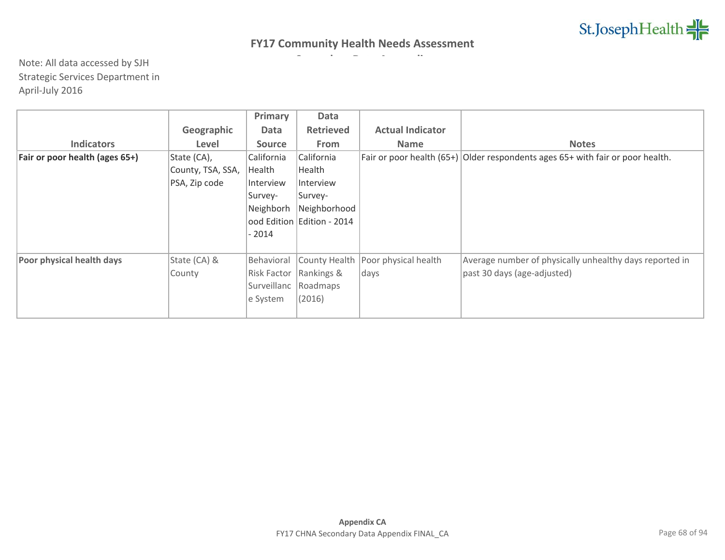|                                |                   | Primary       | Data             |                         |                                                                                    |
|--------------------------------|-------------------|---------------|------------------|-------------------------|------------------------------------------------------------------------------------|
|                                | Geographic        | <b>Data</b>   | <b>Retrieved</b> | <b>Actual Indicator</b> |                                                                                    |
| <b>Indicators</b>              | Level             | <b>Source</b> | <b>From</b>      | <b>Name</b>             | <b>Notes</b>                                                                       |
| Fair or poor health (ages 65+) | State (CA),       | California    | California       |                         | Fair or poor health $(65+)$ Older respondents ages $65+$ with fair or poor health. |
|                                | County, TSA, SSA, | Health        | Health           |                         |                                                                                    |
|                                | PSA, Zip code     | Interview     | Interview        |                         |                                                                                    |
|                                |                   | Survey-       | Survey-          |                         |                                                                                    |
|                                |                   | Neighborh     | Neighborhood     |                         |                                                                                    |
|                                |                   | ood Edition   | Edition - 2014   |                         |                                                                                    |
|                                |                   | - 2014        |                  |                         |                                                                                    |
|                                |                   |               |                  |                         |                                                                                    |
| Poor physical health days      | State (CA) &      | Behavioral    | County Health    | Poor physical health    | Average number of physically unhealthy days reported in                            |
|                                | County            | Risk Factor   | Rankings &       | days                    | past 30 days (age-adjusted)                                                        |
|                                |                   | Surveillanc   | Roadmaps         |                         |                                                                                    |
|                                |                   | e System      | (2016)           |                         |                                                                                    |
|                                |                   |               |                  |                         |                                                                                    |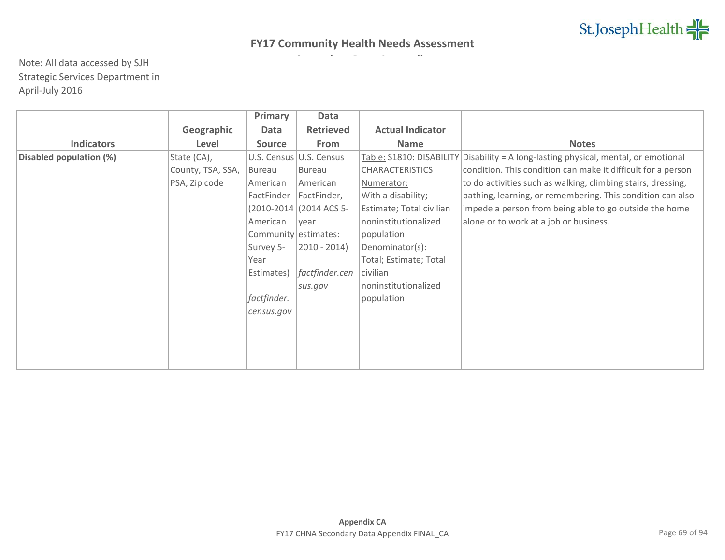|                         |                   | Primary              | Data                    |                          |                                                              |
|-------------------------|-------------------|----------------------|-------------------------|--------------------------|--------------------------------------------------------------|
|                         | Geographic        | Data                 | <b>Retrieved</b>        | <b>Actual Indicator</b>  |                                                              |
| <b>Indicators</b>       | Level             | <b>Source</b>        | From                    | <b>Name</b>              | <b>Notes</b>                                                 |
| Disabled population (%) | State (CA),       |                      | U.S. Census U.S. Census | Table: S1810: DISABILITY | Disability = A long-lasting physical, mental, or emotional   |
|                         | County, TSA, SSA, | Bureau               | Bureau                  | <b>CHARACTERISTICS</b>   | condition. This condition can make it difficult for a person |
|                         | PSA, Zip code     | American             | American                | Numerator:               | to do activities such as walking, climbing stairs, dressing, |
|                         |                   | FactFinder           | FactFinder,             | With a disability;       | bathing, learning, or remembering. This condition can also   |
|                         |                   |                      | (2010-2014 (2014 ACS 5- | Estimate; Total civilian | impede a person from being able to go outside the home       |
|                         |                   | American             | vear                    | noninstitutionalized     | alone or to work at a job or business.                       |
|                         |                   | Community estimates: |                         | population               |                                                              |
|                         |                   | Survey 5-            | $ 2010 - 2014\rangle$   | Denominator(s):          |                                                              |
|                         |                   | Year                 |                         | Total; Estimate; Total   |                                                              |
|                         |                   | Estimates)           | factfinder.cen          | civilian                 |                                                              |
|                         |                   |                      | sus.gov                 | noninstitutionalized     |                                                              |
|                         |                   | factfinder.          |                         | population               |                                                              |
|                         |                   | census.gov           |                         |                          |                                                              |
|                         |                   |                      |                         |                          |                                                              |
|                         |                   |                      |                         |                          |                                                              |
|                         |                   |                      |                         |                          |                                                              |
|                         |                   |                      |                         |                          |                                                              |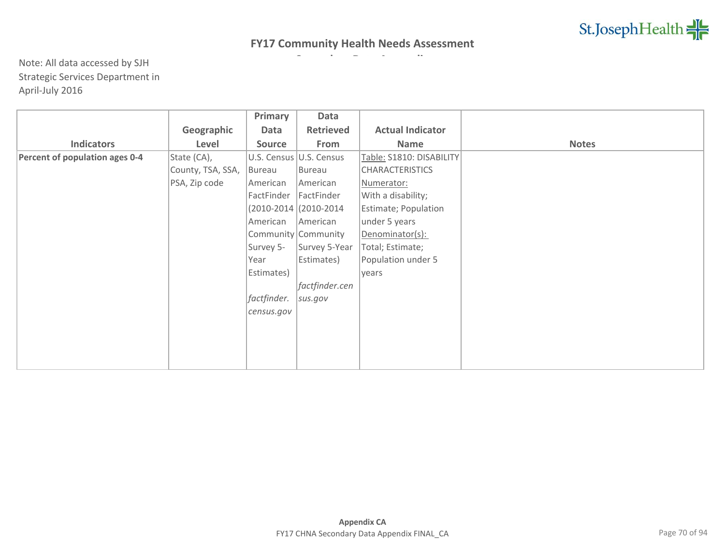|                                |                   | Primary       | Data                    |                          |              |
|--------------------------------|-------------------|---------------|-------------------------|--------------------------|--------------|
|                                | Geographic        | Data          | <b>Retrieved</b>        | <b>Actual Indicator</b>  |              |
| <b>Indicators</b>              | Level             | <b>Source</b> | From                    | Name                     | <b>Notes</b> |
| Percent of population ages 0-4 | State (CA),       |               | U.S. Census U.S. Census | Table: S1810: DISABILITY |              |
|                                | County, TSA, SSA, | Bureau        | Bureau                  | <b>CHARACTERISTICS</b>   |              |
|                                | PSA, Zip code     | American      | American                | Numerator:               |              |
|                                |                   | FactFinder    | FactFinder              | With a disability;       |              |
|                                |                   |               | (2010-2014 (2010-2014)  | Estimate; Population     |              |
|                                |                   | American      | American                | under 5 years            |              |
|                                |                   |               | Community Community     | Denominator(s):          |              |
|                                |                   | Survey 5-     | Survey 5-Year           | Total; Estimate;         |              |
|                                |                   | Year          | Estimates)              | Population under 5       |              |
|                                |                   | Estimates)    |                         | years                    |              |
|                                |                   |               | factfinder.cen          |                          |              |
|                                |                   | factfinder.   | sus.gov                 |                          |              |
|                                |                   | census.gov    |                         |                          |              |
|                                |                   |               |                         |                          |              |
|                                |                   |               |                         |                          |              |
|                                |                   |               |                         |                          |              |
|                                |                   |               |                         |                          |              |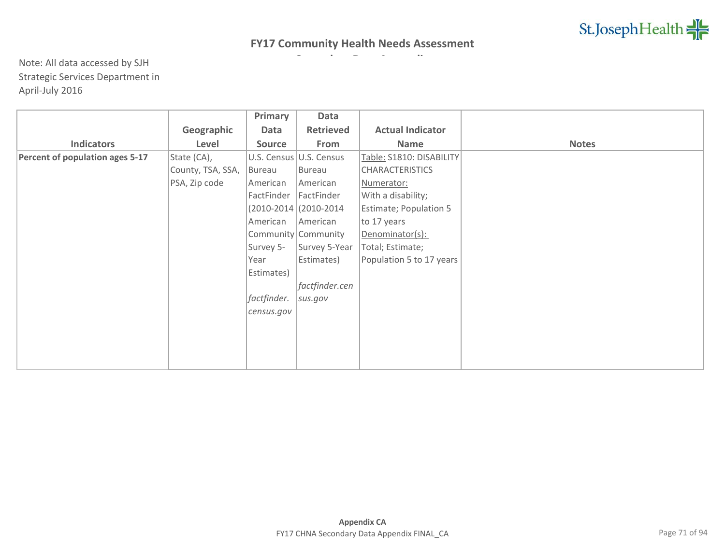|                                 |                   | Primary       | Data                     |                          |              |
|---------------------------------|-------------------|---------------|--------------------------|--------------------------|--------------|
|                                 | Geographic        | Data          | Retrieved                | <b>Actual Indicator</b>  |              |
| <b>Indicators</b>               | Level             | <b>Source</b> | From                     | Name                     | <b>Notes</b> |
| Percent of population ages 5-17 | State (CA),       |               | U.S. Census U.S. Census  | Table: S1810: DISABILITY |              |
|                                 | County, TSA, SSA, | Bureau        | Bureau                   | <b>CHARACTERISTICS</b>   |              |
|                                 | PSA, Zip code     | American      | American                 | Numerator:               |              |
|                                 |                   | FactFinder    | FactFinder               | With a disability;       |              |
|                                 |                   |               | $(2010-2014)(2010-2014)$ | Estimate; Population 5   |              |
|                                 |                   | American      | American                 | to 17 years              |              |
|                                 |                   |               | Community Community      | Denominator(s):          |              |
|                                 |                   | Survey 5-     | Survey 5-Year            | Total; Estimate;         |              |
|                                 |                   | Year          | Estimates)               | Population 5 to 17 years |              |
|                                 |                   | Estimates)    |                          |                          |              |
|                                 |                   |               | factfinder.cen           |                          |              |
|                                 |                   | factfinder.   | sus.gov                  |                          |              |
|                                 |                   | census.gov    |                          |                          |              |
|                                 |                   |               |                          |                          |              |
|                                 |                   |               |                          |                          |              |
|                                 |                   |               |                          |                          |              |
|                                 |                   |               |                          |                          |              |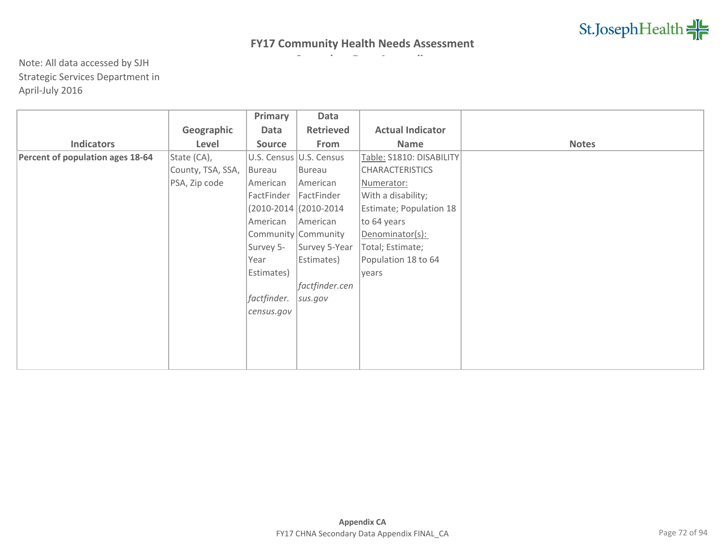|                                  |                   | Primary       | Data                    |                          |              |
|----------------------------------|-------------------|---------------|-------------------------|--------------------------|--------------|
|                                  | Geographic        | Data          | <b>Retrieved</b>        | <b>Actual Indicator</b>  |              |
| <b>Indicators</b>                | Level             | <b>Source</b> | From                    | Name                     | <b>Notes</b> |
| Percent of population ages 18-64 | State (CA),       |               | U.S. Census U.S. Census | Table: S1810: DISABILITY |              |
|                                  | County, TSA, SSA, | Bureau        | Bureau                  | <b>CHARACTERISTICS</b>   |              |
|                                  | PSA, Zip code     | American      | American                | Numerator:               |              |
|                                  |                   | FactFinder    | FactFinder              | With a disability;       |              |
|                                  |                   |               | (2010-2014 (2010-2014)  | Estimate; Population 18  |              |
|                                  |                   | American      | American                | to 64 years              |              |
|                                  |                   |               | Community Community     | Denominator(s):          |              |
|                                  |                   | Survey 5-     | Survey 5-Year           | Total; Estimate;         |              |
|                                  |                   | Year          | Estimates)              | Population 18 to 64      |              |
|                                  |                   | Estimates)    |                         | years                    |              |
|                                  |                   |               | factfinder.cen          |                          |              |
|                                  |                   | factfinder.   | sus.gov                 |                          |              |
|                                  |                   | census.gov    |                         |                          |              |
|                                  |                   |               |                         |                          |              |
|                                  |                   |               |                         |                          |              |
|                                  |                   |               |                         |                          |              |
|                                  |                   |               |                         |                          |              |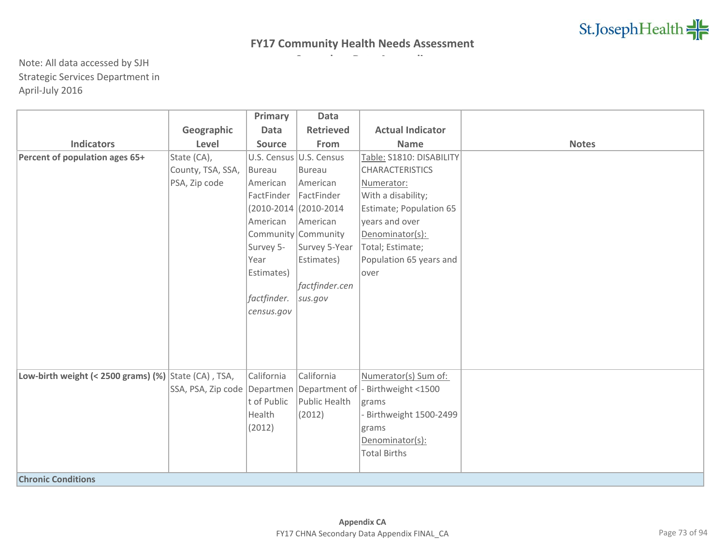|                                                         |                   | Primary       | <b>Data</b>             |                                                                      |              |
|---------------------------------------------------------|-------------------|---------------|-------------------------|----------------------------------------------------------------------|--------------|
|                                                         | Geographic        | Data          | <b>Retrieved</b>        | <b>Actual Indicator</b>                                              |              |
| <b>Indicators</b>                                       | Level             | <b>Source</b> | From                    | <b>Name</b>                                                          | <b>Notes</b> |
| Percent of population ages 65+                          | State (CA),       |               | U.S. Census U.S. Census | Table: S1810: DISABILITY                                             |              |
|                                                         | County, TSA, SSA, | Bureau        | Bureau                  | <b>CHARACTERISTICS</b>                                               |              |
|                                                         | PSA, Zip code     | American      | American                | Numerator:                                                           |              |
|                                                         |                   | FactFinder    | FactFinder              | With a disability;                                                   |              |
|                                                         |                   |               | (2010-2014 (2010-2014   | Estimate; Population 65                                              |              |
|                                                         |                   | American      | American                | years and over                                                       |              |
|                                                         |                   |               | Community Community     | Denominator(s):                                                      |              |
|                                                         |                   | Survey 5-     | Survey 5-Year           | Total; Estimate;                                                     |              |
|                                                         |                   | Year          | Estimates)              | Population 65 years and                                              |              |
|                                                         |                   | Estimates)    |                         | lover                                                                |              |
|                                                         |                   |               | factfinder.cen          |                                                                      |              |
|                                                         |                   | factfinder.   | sus.gov                 |                                                                      |              |
|                                                         |                   | census.gov    |                         |                                                                      |              |
|                                                         |                   |               |                         |                                                                      |              |
|                                                         |                   |               |                         |                                                                      |              |
|                                                         |                   |               |                         |                                                                      |              |
|                                                         |                   |               |                         |                                                                      |              |
| Low-birth weight (< 2500 grams) $(\%)$ State (CA), TSA, |                   | California    | California              | Numerator(s) Sum of:                                                 |              |
|                                                         |                   |               |                         | SSA, PSA, Zip code   Departmen   Department of   - Birthweight <1500 |              |
|                                                         |                   | t of Public   | Public Health           | grams                                                                |              |
|                                                         |                   | Health        | (2012)                  | - Birthweight 1500-2499                                              |              |
|                                                         |                   | (2012)        |                         | grams                                                                |              |
|                                                         |                   |               |                         | Denominator(s):                                                      |              |
|                                                         |                   |               |                         | <b>Total Births</b>                                                  |              |
|                                                         |                   |               |                         |                                                                      |              |
| <b>Chronic Conditions</b>                               |                   |               |                         |                                                                      |              |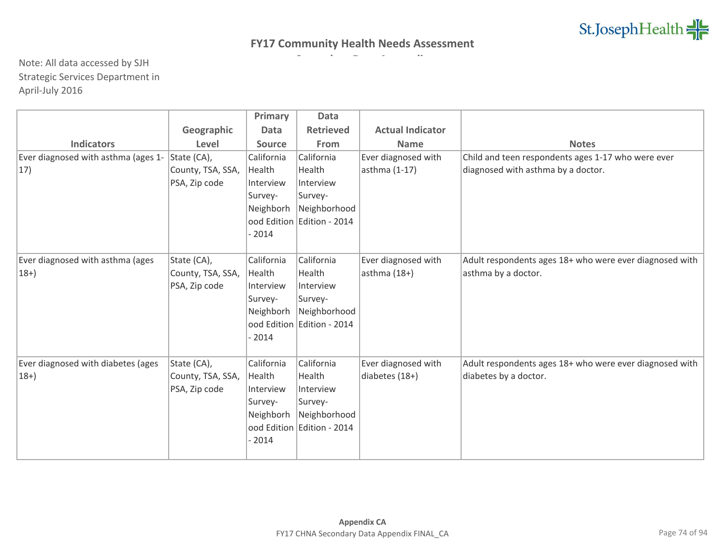|                                     |                   | Primary       | Data                                       |                         |                                                         |
|-------------------------------------|-------------------|---------------|--------------------------------------------|-------------------------|---------------------------------------------------------|
|                                     | Geographic        | <b>Data</b>   | <b>Retrieved</b>                           | <b>Actual Indicator</b> |                                                         |
| <b>Indicators</b>                   | Level             | <b>Source</b> | From                                       | <b>Name</b>             | <b>Notes</b>                                            |
| Ever diagnosed with asthma (ages 1- | State (CA),       | California    | California                                 | Ever diagnosed with     | Child and teen respondents ages 1-17 who were ever      |
| $ 17\rangle$                        | County, TSA, SSA, | Health        | Health                                     | asthma (1-17)           | diagnosed with asthma by a doctor.                      |
|                                     | PSA, Zip code     | Interview     | Interview                                  |                         |                                                         |
|                                     |                   | Survey-       | Survey-                                    |                         |                                                         |
|                                     |                   | Neighborh     | Neighborhood                               |                         |                                                         |
|                                     |                   |               | ood Edition Edition - 2014                 |                         |                                                         |
|                                     |                   | $-2014$       |                                            |                         |                                                         |
|                                     |                   |               |                                            |                         |                                                         |
| Ever diagnosed with asthma (ages    | State (CA),       | California    | California                                 | Ever diagnosed with     | Adult respondents ages 18+ who were ever diagnosed with |
| $ 18+ \rangle$                      | County, TSA, SSA, | Health        | Health                                     | $asthma(18+)$           | asthma by a doctor.                                     |
|                                     | PSA, Zip code     | Interview     | Interview                                  |                         |                                                         |
|                                     |                   | Survey-       | Survey-                                    |                         |                                                         |
|                                     |                   | Neighborh     | Neighborhood                               |                         |                                                         |
|                                     |                   |               | ood Edition Edition - 2014                 |                         |                                                         |
|                                     |                   | $-2014$       |                                            |                         |                                                         |
|                                     |                   |               |                                            |                         |                                                         |
| Ever diagnosed with diabetes (ages  | State (CA),       | California    | California                                 | Ever diagnosed with     | Adult respondents ages 18+ who were ever diagnosed with |
| $ 18+$                              | County, TSA, SSA, | Health        | Health                                     | diabetes (18+)          | diabetes by a doctor.                                   |
|                                     | PSA, Zip code     | Interview     | Interview                                  |                         |                                                         |
|                                     |                   | Survey-       | Survey-                                    |                         |                                                         |
|                                     |                   | Neighborh     | Neighborhood<br>ood Edition Edition - 2014 |                         |                                                         |
|                                     |                   | $-2014$       |                                            |                         |                                                         |
|                                     |                   |               |                                            |                         |                                                         |
|                                     |                   |               |                                            |                         |                                                         |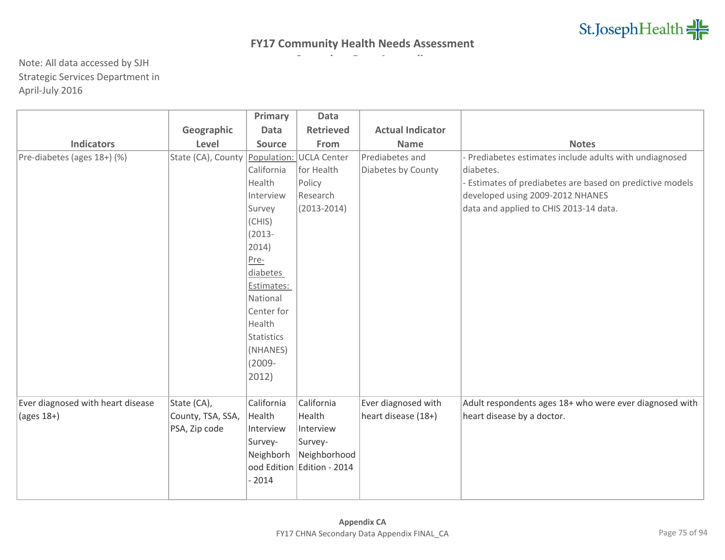|                                   |                                | Primary           | <b>Data</b>                |                         |                                                           |
|-----------------------------------|--------------------------------|-------------------|----------------------------|-------------------------|-----------------------------------------------------------|
|                                   | Geographic                     | <b>Data</b>       | <b>Retrieved</b>           | <b>Actual Indicator</b> |                                                           |
| <b>Indicators</b>                 | Level                          | <b>Source</b>     | From                       | <b>Name</b>             | <b>Notes</b>                                              |
| Pre-diabetes (ages 18+) (%)       | State (CA), County Population: |                   | <b>UCLA Center</b>         | Prediabetes and         | Prediabetes estimates include adults with undiagnosed     |
|                                   |                                | California        | for Health                 | Diabetes by County      | diabetes.                                                 |
|                                   |                                | Health            | Policy                     |                         | - Estimates of prediabetes are based on predictive models |
|                                   |                                | Interview         | Research                   |                         | developed using 2009-2012 NHANES                          |
|                                   |                                | Survey            | $(2013 - 2014)$            |                         | data and applied to CHIS 2013-14 data.                    |
|                                   |                                | (CHIS)            |                            |                         |                                                           |
|                                   |                                | $(2013 -$         |                            |                         |                                                           |
|                                   |                                | 2014)             |                            |                         |                                                           |
|                                   |                                | Pre-              |                            |                         |                                                           |
|                                   |                                | diabetes          |                            |                         |                                                           |
|                                   |                                | Estimates:        |                            |                         |                                                           |
|                                   |                                | National          |                            |                         |                                                           |
|                                   |                                | Center for        |                            |                         |                                                           |
|                                   |                                | Health            |                            |                         |                                                           |
|                                   |                                | <b>Statistics</b> |                            |                         |                                                           |
|                                   |                                | (NHANES)          |                            |                         |                                                           |
|                                   |                                | $(2009 -$         |                            |                         |                                                           |
|                                   |                                | 2012)             |                            |                         |                                                           |
|                                   |                                |                   |                            |                         |                                                           |
| Ever diagnosed with heart disease | State (CA),                    | California        | California                 | Ever diagnosed with     | Adult respondents ages 18+ who were ever diagnosed with   |
| $\frac{1}{2}$ (ages 18+)          | County, TSA, SSA,              | Health            | Health                     | heart disease (18+)     | heart disease by a doctor.                                |
|                                   | PSA, Zip code                  | Interview         | Interview                  |                         |                                                           |
|                                   |                                | Survey-           | Survey-                    |                         |                                                           |
|                                   |                                | Neighborh         | Neighborhood               |                         |                                                           |
|                                   |                                |                   | ood Edition Edition - 2014 |                         |                                                           |
|                                   |                                | 2014              |                            |                         |                                                           |
|                                   |                                |                   |                            |                         |                                                           |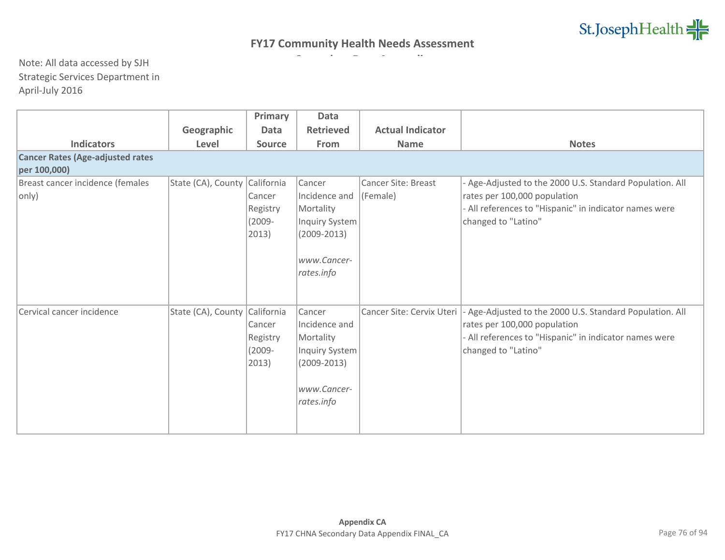|                                                    |                               | Primary                                                         | <b>Data</b>                                                                                            |                                        |                                                                                                                                                                           |  |  |  |  |  |  |
|----------------------------------------------------|-------------------------------|-----------------------------------------------------------------|--------------------------------------------------------------------------------------------------------|----------------------------------------|---------------------------------------------------------------------------------------------------------------------------------------------------------------------------|--|--|--|--|--|--|
|                                                    | Geographic                    | <b>Data</b>                                                     | Retrieved                                                                                              | <b>Actual Indicator</b>                |                                                                                                                                                                           |  |  |  |  |  |  |
| <b>Indicators</b>                                  | Level                         | <b>Source</b>                                                   | From                                                                                                   | <b>Name</b>                            | <b>Notes</b>                                                                                                                                                              |  |  |  |  |  |  |
| <b>Cancer Rates (Age-adjusted rates</b>            |                               |                                                                 |                                                                                                        |                                        |                                                                                                                                                                           |  |  |  |  |  |  |
| per 100,000)                                       |                               |                                                                 |                                                                                                        |                                        |                                                                                                                                                                           |  |  |  |  |  |  |
| Breast cancer incidence (females<br>$ only\rangle$ | State (CA), County California | Cancer<br>Registry<br>$(2009 -$<br>2013)                        | Cancer<br>Incidence and<br>Mortality<br>Inquiry System<br>$(2009 - 2013)$<br>www.Cancer-<br>rates.info | <b>Cancer Site: Breast</b><br>(Female) | - Age-Adjusted to the 2000 U.S. Standard Population. All<br>rates per 100,000 population<br>- All references to "Hispanic" in indicator names were<br>changed to "Latino" |  |  |  |  |  |  |
| Cervical cancer incidence                          | State (CA), County            | California<br>Cancer<br>Registry<br>$(2009 -$<br>$ 2013\rangle$ | Cancer<br>Incidence and<br>Mortality<br>Inquiry System<br>$(2009 - 2013)$<br>www.Cancer-<br>rates.info | Cancer Site: Cervix Uteri              | - Age-Adjusted to the 2000 U.S. Standard Population. All<br>rates per 100,000 population<br>- All references to "Hispanic" in indicator names were<br>changed to "Latino" |  |  |  |  |  |  |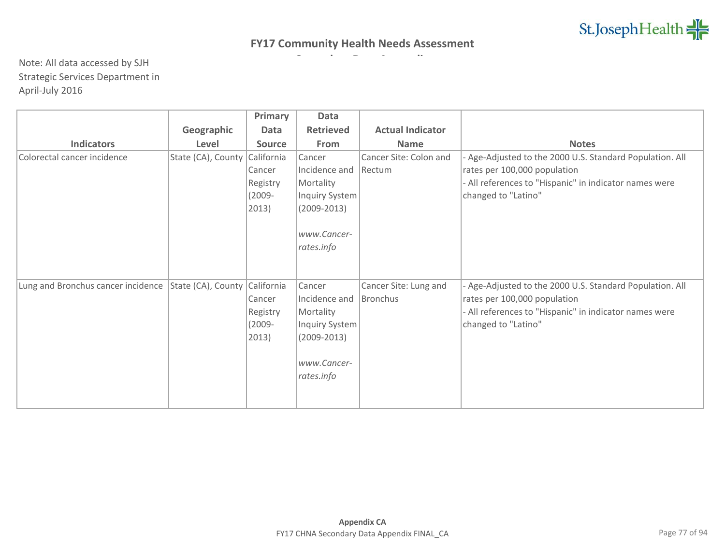|                                    |                    | Primary       | Data             |                         |                                                          |
|------------------------------------|--------------------|---------------|------------------|-------------------------|----------------------------------------------------------|
|                                    | Geographic         | Data          | <b>Retrieved</b> | <b>Actual Indicator</b> |                                                          |
| <b>Indicators</b>                  | Level              | <b>Source</b> | From             | <b>Name</b>             | <b>Notes</b>                                             |
| Colorectal cancer incidence        | State (CA), County | California    | Cancer           | Cancer Site: Colon and  | - Age-Adjusted to the 2000 U.S. Standard Population. All |
|                                    |                    | Cancer        | Incidence and    | Rectum                  | rates per 100,000 population                             |
|                                    |                    | Registry      | Mortality        |                         | - All references to "Hispanic" in indicator names were   |
|                                    |                    | $(2009 -$     | Inquiry System   |                         | changed to "Latino"                                      |
|                                    |                    | 2013)         | $(2009 - 2013)$  |                         |                                                          |
|                                    |                    |               |                  |                         |                                                          |
|                                    |                    |               | www.Cancer-      |                         |                                                          |
|                                    |                    |               | rates.info       |                         |                                                          |
|                                    |                    |               |                  |                         |                                                          |
|                                    |                    |               |                  |                         |                                                          |
| Lung and Bronchus cancer incidence | State (CA), County | California    | Cancer           | Cancer Site: Lung and   | - Age-Adjusted to the 2000 U.S. Standard Population. All |
|                                    |                    | Cancer        | Incidence and    | Bronchus                | rates per 100,000 population                             |
|                                    |                    | Registry      | Mortality        |                         | - All references to "Hispanic" in indicator names were   |
|                                    |                    | $(2009 -$     | Inquiry System   |                         | changed to "Latino"                                      |
|                                    |                    | 2013)         | $(2009 - 2013)$  |                         |                                                          |
|                                    |                    |               |                  |                         |                                                          |
|                                    |                    |               | www.Cancer-      |                         |                                                          |
|                                    |                    |               | rates.info       |                         |                                                          |
|                                    |                    |               |                  |                         |                                                          |
|                                    |                    |               |                  |                         |                                                          |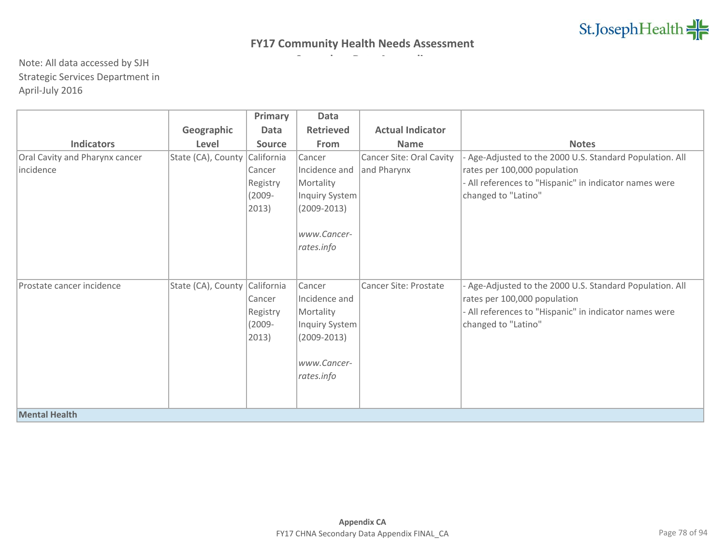|                                |                    | Primary       | Data             |                          |                                                          |
|--------------------------------|--------------------|---------------|------------------|--------------------------|----------------------------------------------------------|
|                                | Geographic         | Data          | <b>Retrieved</b> | <b>Actual Indicator</b>  |                                                          |
| <b>Indicators</b>              | Level              | <b>Source</b> | From             | <b>Name</b>              | <b>Notes</b>                                             |
| Oral Cavity and Pharynx cancer | State (CA), County | California    | Cancer           | Cancer Site: Oral Cavity | - Age-Adjusted to the 2000 U.S. Standard Population. All |
| incidence                      |                    | Cancer        | Incidence and    | and Pharynx              | rates per 100,000 population                             |
|                                |                    | Registry      | Mortality        |                          | - All references to "Hispanic" in indicator names were   |
|                                |                    | $(2009 -$     | Inquiry System   |                          | changed to "Latino"                                      |
|                                |                    | 2013)         | $(2009 - 2013)$  |                          |                                                          |
|                                |                    |               |                  |                          |                                                          |
|                                |                    |               | www.Cancer-      |                          |                                                          |
|                                |                    |               | rates.info       |                          |                                                          |
|                                |                    |               |                  |                          |                                                          |
|                                |                    |               |                  |                          |                                                          |
| Prostate cancer incidence      | State (CA), County | California    | Cancer           | Cancer Site: Prostate    | - Age-Adjusted to the 2000 U.S. Standard Population. All |
|                                |                    | Cancer        | Incidence and    |                          | rates per 100,000 population                             |
|                                |                    | Registry      | Mortality        |                          | - All references to "Hispanic" in indicator names were   |
|                                |                    | $(2009 -$     | Inquiry System   |                          | changed to "Latino"                                      |
|                                |                    | 2013)         | $(2009 - 2013)$  |                          |                                                          |
|                                |                    |               |                  |                          |                                                          |
|                                |                    |               | www.Cancer-      |                          |                                                          |
|                                |                    |               | rates.info       |                          |                                                          |
|                                |                    |               |                  |                          |                                                          |
|                                |                    |               |                  |                          |                                                          |
| <b>Mental Health</b>           |                    |               |                  |                          |                                                          |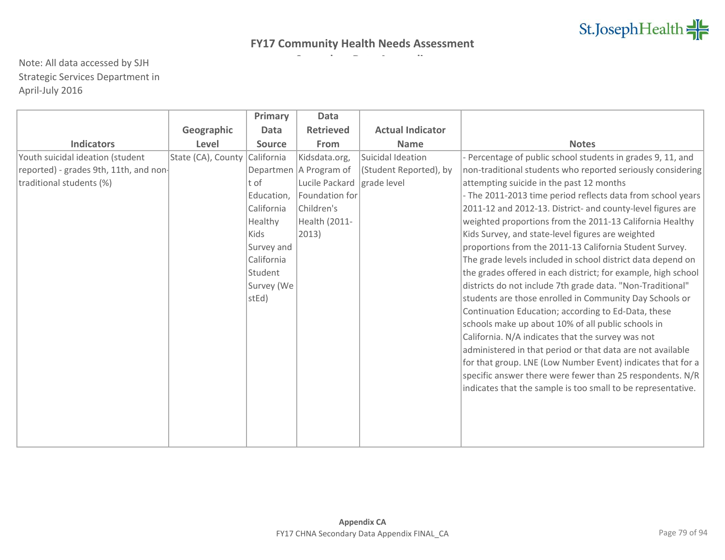|                                       |                    | Primary       | Data                     |                         |                                                               |
|---------------------------------------|--------------------|---------------|--------------------------|-------------------------|---------------------------------------------------------------|
|                                       | Geographic         | <b>Data</b>   | <b>Retrieved</b>         | <b>Actual Indicator</b> |                                                               |
| <b>Indicators</b>                     | Level              | <b>Source</b> | From                     | <b>Name</b>             | <b>Notes</b>                                                  |
| Youth suicidal ideation (student      | State (CA), County | California    | Kidsdata.org,            | Suicidal Ideation       | - Percentage of public school students in grades 9, 11, and   |
| reported) - grades 9th, 11th, and non |                    |               | Departmen   A Program of | (Student Reported), by  | non-traditional students who reported seriously considering   |
| traditional students (%)              |                    | t of          | Lucile Packard           | grade level             | attempting suicide in the past 12 months                      |
|                                       |                    | Education,    | Foundation for           |                         | - The 2011-2013 time period reflects data from school years   |
|                                       |                    | California    | Children's               |                         | 2011-12 and 2012-13. District- and county-level figures are   |
|                                       |                    | Healthy       | Health (2011-            |                         | weighted proportions from the 2011-13 California Healthy      |
|                                       |                    | Kids          | $ 2013\rangle$           |                         | Kids Survey, and state-level figures are weighted             |
|                                       |                    | Survey and    |                          |                         | proportions from the 2011-13 California Student Survey.       |
|                                       |                    | California    |                          |                         | The grade levels included in school district data depend on   |
|                                       |                    | Student       |                          |                         | the grades offered in each district; for example, high school |
|                                       |                    | Survey (We    |                          |                         | districts do not include 7th grade data. "Non-Traditional"    |
|                                       |                    | stEd)         |                          |                         | students are those enrolled in Community Day Schools or       |
|                                       |                    |               |                          |                         | Continuation Education; according to Ed-Data, these           |
|                                       |                    |               |                          |                         | schools make up about 10% of all public schools in            |
|                                       |                    |               |                          |                         | California. N/A indicates that the survey was not             |
|                                       |                    |               |                          |                         | administered in that period or that data are not available    |
|                                       |                    |               |                          |                         | for that group. LNE (Low Number Event) indicates that for a   |
|                                       |                    |               |                          |                         | specific answer there were fewer than 25 respondents. N/R     |
|                                       |                    |               |                          |                         | indicates that the sample is too small to be representative.  |
|                                       |                    |               |                          |                         |                                                               |
|                                       |                    |               |                          |                         |                                                               |
|                                       |                    |               |                          |                         |                                                               |
|                                       |                    |               |                          |                         |                                                               |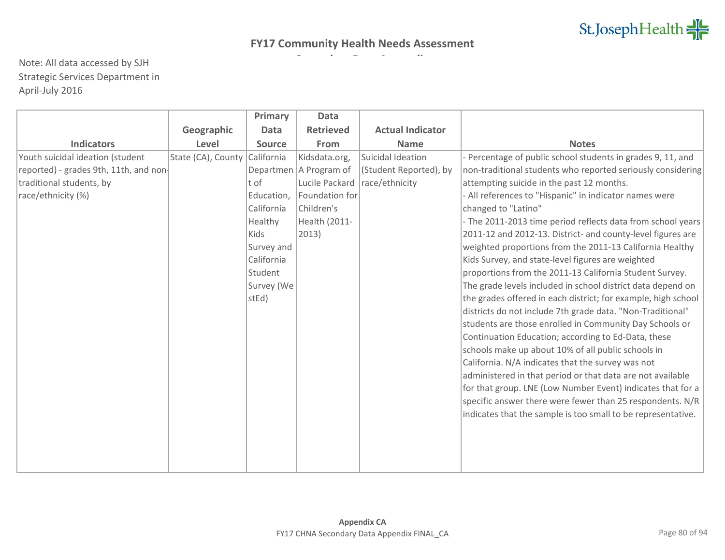|                                       |                    | Primary       | Data                     |                         |                                                               |
|---------------------------------------|--------------------|---------------|--------------------------|-------------------------|---------------------------------------------------------------|
|                                       | Geographic         | Data          | <b>Retrieved</b>         | <b>Actual Indicator</b> |                                                               |
| <b>Indicators</b>                     | Level              | <b>Source</b> | From                     | <b>Name</b>             | <b>Notes</b>                                                  |
| Youth suicidal ideation (student      | State (CA), County | California    | Kidsdata.org,            | Suicidal Ideation       | - Percentage of public school students in grades 9, 11, and   |
| reported) - grades 9th, 11th, and non |                    |               | Departmen   A Program of | (Student Reported), by  | non-traditional students who reported seriously considering   |
| traditional students, by              |                    | $ t$ of       | Lucile Packard           | race/ethnicity          | attempting suicide in the past 12 months.                     |
| race/ethnicity (%)                    |                    | Education,    | Foundation for           |                         | - All references to "Hispanic" in indicator names were        |
|                                       |                    | California    | Children's               |                         | changed to "Latino"                                           |
|                                       |                    | Healthy       | Health (2011-            |                         | - The 2011-2013 time period reflects data from school years   |
|                                       |                    | Kids          | $ 2013\rangle$           |                         | 2011-12 and 2012-13. District- and county-level figures are   |
|                                       |                    | Survey and    |                          |                         | weighted proportions from the 2011-13 California Healthy      |
|                                       |                    | California    |                          |                         | Kids Survey, and state-level figures are weighted             |
|                                       |                    | Student       |                          |                         | proportions from the 2011-13 California Student Survey.       |
|                                       |                    | Survey (We    |                          |                         | The grade levels included in school district data depend on   |
|                                       |                    | stEd)         |                          |                         | the grades offered in each district; for example, high school |
|                                       |                    |               |                          |                         | districts do not include 7th grade data. "Non-Traditional"    |
|                                       |                    |               |                          |                         | students are those enrolled in Community Day Schools or       |
|                                       |                    |               |                          |                         | Continuation Education; according to Ed-Data, these           |
|                                       |                    |               |                          |                         | schools make up about 10% of all public schools in            |
|                                       |                    |               |                          |                         | California. N/A indicates that the survey was not             |
|                                       |                    |               |                          |                         | administered in that period or that data are not available    |
|                                       |                    |               |                          |                         | for that group. LNE (Low Number Event) indicates that for a   |
|                                       |                    |               |                          |                         | specific answer there were fewer than 25 respondents. N/R     |
|                                       |                    |               |                          |                         | indicates that the sample is too small to be representative.  |
|                                       |                    |               |                          |                         |                                                               |
|                                       |                    |               |                          |                         |                                                               |
|                                       |                    |               |                          |                         |                                                               |
|                                       |                    |               |                          |                         |                                                               |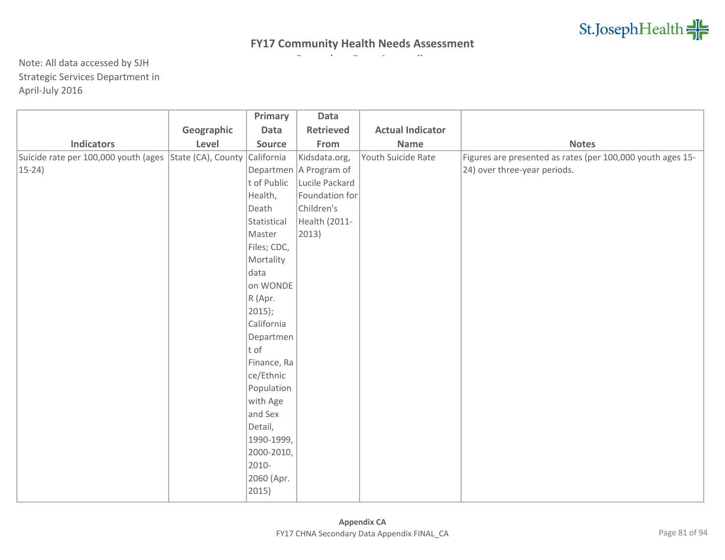|                                                                    |            | Primary     | Data                     |                         |                                                            |
|--------------------------------------------------------------------|------------|-------------|--------------------------|-------------------------|------------------------------------------------------------|
|                                                                    | Geographic | <b>Data</b> | <b>Retrieved</b>         | <b>Actual Indicator</b> |                                                            |
| <b>Indicators</b>                                                  | Level      | Source      | From                     | Name                    | <b>Notes</b>                                               |
| Suicide rate per 100,000 youth (ages State (CA), County California |            |             | Kidsdata.org,            | Youth Suicide Rate      | Figures are presented as rates (per 100,000 youth ages 15- |
| $15-24$                                                            |            |             | Departmen   A Program of |                         | 24) over three-year periods.                               |
|                                                                    |            | t of Public | Lucile Packard           |                         |                                                            |
|                                                                    |            | Health,     | Foundation for           |                         |                                                            |
|                                                                    |            | Death       | Children's               |                         |                                                            |
|                                                                    |            | Statistical | Health (2011-            |                         |                                                            |
|                                                                    |            | Master      | $ 2013\rangle$           |                         |                                                            |
|                                                                    |            | Files; CDC, |                          |                         |                                                            |
|                                                                    |            | Mortality   |                          |                         |                                                            |
|                                                                    |            | data        |                          |                         |                                                            |
|                                                                    |            | on WONDE    |                          |                         |                                                            |
|                                                                    |            | R (Apr.     |                          |                         |                                                            |
|                                                                    |            | $ 2015$ ;   |                          |                         |                                                            |
|                                                                    |            | California  |                          |                         |                                                            |
|                                                                    |            | Departmen   |                          |                         |                                                            |
|                                                                    |            | $ t\>$ of   |                          |                         |                                                            |
|                                                                    |            | Finance, Ra |                          |                         |                                                            |
|                                                                    |            | ce/Ethnic   |                          |                         |                                                            |
|                                                                    |            | Population  |                          |                         |                                                            |
|                                                                    |            | with Age    |                          |                         |                                                            |
|                                                                    |            | and Sex     |                          |                         |                                                            |
|                                                                    |            | Detail,     |                          |                         |                                                            |
|                                                                    |            | 1990-1999,  |                          |                         |                                                            |
|                                                                    |            | 2000-2010,  |                          |                         |                                                            |
|                                                                    |            | 2010-       |                          |                         |                                                            |
|                                                                    |            | 2060 (Apr.  |                          |                         |                                                            |
|                                                                    |            | 2015)       |                          |                         |                                                            |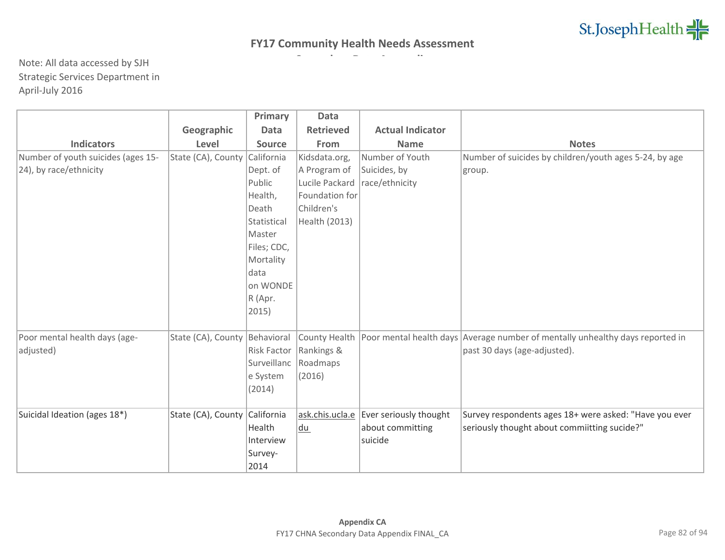|                                    |                               | Primary       | <b>Data</b>      |                         |                                                                               |
|------------------------------------|-------------------------------|---------------|------------------|-------------------------|-------------------------------------------------------------------------------|
|                                    | Geographic                    | <b>Data</b>   | <b>Retrieved</b> | <b>Actual Indicator</b> |                                                                               |
| <b>Indicators</b>                  | Level                         | <b>Source</b> | From             | <b>Name</b>             | <b>Notes</b>                                                                  |
| Number of youth suicides (ages 15- | State (CA), County            | California    | Kidsdata.org,    | Number of Youth         | Number of suicides by children/youth ages 5-24, by age                        |
| 24), by race/ethnicity             |                               | Dept. of      | A Program of     | Suicides, by            | group.                                                                        |
|                                    |                               | Public        | Lucile Packard   | race/ethnicity          |                                                                               |
|                                    |                               | Health,       | Foundation for   |                         |                                                                               |
|                                    |                               | Death         | Children's       |                         |                                                                               |
|                                    |                               | Statistical   | Health (2013)    |                         |                                                                               |
|                                    |                               | Master        |                  |                         |                                                                               |
|                                    |                               | Files; CDC,   |                  |                         |                                                                               |
|                                    |                               | Mortality     |                  |                         |                                                                               |
|                                    |                               | data          |                  |                         |                                                                               |
|                                    |                               | on WONDE      |                  |                         |                                                                               |
|                                    |                               | R (Apr.       |                  |                         |                                                                               |
|                                    |                               | 2015)         |                  |                         |                                                                               |
|                                    |                               |               |                  |                         |                                                                               |
| Poor mental health days (age-      | State (CA), County Behavioral |               | County Health    |                         | Poor mental health days Average number of mentally unhealthy days reported in |
| adjusted)                          |                               | Risk Factor   | Rankings &       |                         | past 30 days (age-adjusted).                                                  |
|                                    |                               | Surveillanc   | Roadmaps         |                         |                                                                               |
|                                    |                               | e System      | (2016)           |                         |                                                                               |
|                                    |                               | (2014)        |                  |                         |                                                                               |
|                                    |                               |               |                  |                         |                                                                               |
| Suicidal Ideation (ages 18*)       | State (CA), County            | California    | ask.chis.ucla.e  | Ever seriously thought  | Survey respondents ages 18+ were asked: "Have you ever                        |
|                                    |                               | Health        | du               | about committing        | seriously thought about commiitting sucide?"                                  |
|                                    |                               | Interview     |                  | suicide                 |                                                                               |
|                                    |                               | Survey-       |                  |                         |                                                                               |
|                                    |                               | 2014          |                  |                         |                                                                               |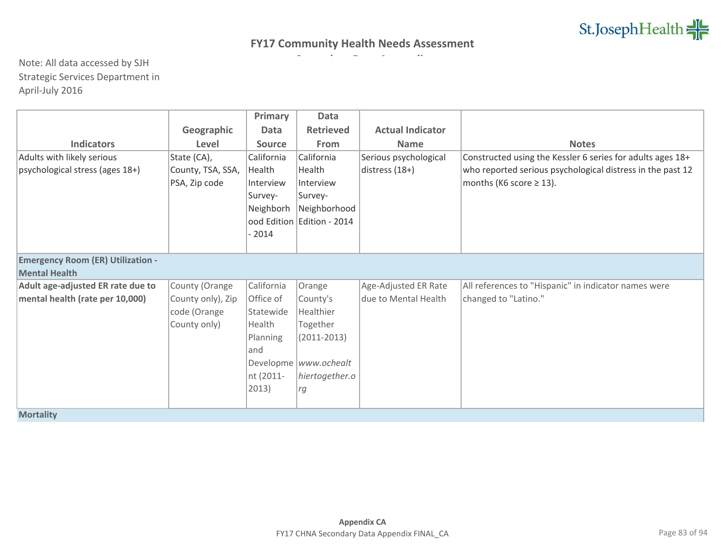|                                          |                   | Primary       | <b>Data</b>                |                         |                                                            |  |  |
|------------------------------------------|-------------------|---------------|----------------------------|-------------------------|------------------------------------------------------------|--|--|
|                                          | Geographic        | <b>Data</b>   | <b>Retrieved</b>           | <b>Actual Indicator</b> |                                                            |  |  |
| <b>Indicators</b>                        | Level             | <b>Source</b> | From                       | <b>Name</b>             | <b>Notes</b>                                               |  |  |
| Adults with likely serious               | State (CA),       | California    | California                 | Serious psychological   | Constructed using the Kessler 6 series for adults ages 18+ |  |  |
| psychological stress (ages 18+)          | County, TSA, SSA, | Health        | Health                     | distress (18+)          | who reported serious psychological distress in the past 12 |  |  |
|                                          | PSA, Zip code     | Interview     | Interview                  |                         | months (K6 score $\geq$ 13).                               |  |  |
|                                          |                   | Survey-       | Survey-                    |                         |                                                            |  |  |
|                                          |                   | Neighborh     | Neighborhood               |                         |                                                            |  |  |
|                                          |                   |               | ood Edition Edition - 2014 |                         |                                                            |  |  |
|                                          |                   | $-2014$       |                            |                         |                                                            |  |  |
|                                          |                   |               |                            |                         |                                                            |  |  |
| <b>Emergency Room (ER) Utilization -</b> |                   |               |                            |                         |                                                            |  |  |
| <b>Mental Health</b>                     |                   |               |                            |                         |                                                            |  |  |
| Adult age-adjusted ER rate due to        | County (Orange    | California    | Orange                     | Age-Adjusted ER Rate    | All references to "Hispanic" in indicator names were       |  |  |
| mental health (rate per 10,000)          | County only), Zip | Office of     | County's                   | ldue to Mental Health   | changed to "Latino."                                       |  |  |
|                                          | code (Orange      | Statewide     | Healthier                  |                         |                                                            |  |  |
|                                          | County only)      | Health        | Together                   |                         |                                                            |  |  |
|                                          |                   | Planning      | $(2011 - 2013)$            |                         |                                                            |  |  |
|                                          |                   | and           |                            |                         |                                                            |  |  |
|                                          |                   |               | Developme  www.ochealt     |                         |                                                            |  |  |
|                                          |                   | nt (2011-     | hiertogether.o             |                         |                                                            |  |  |
|                                          |                   | 2013)         | rg                         |                         |                                                            |  |  |
|                                          |                   |               |                            |                         |                                                            |  |  |
| <b>Mortality</b>                         |                   |               |                            |                         |                                                            |  |  |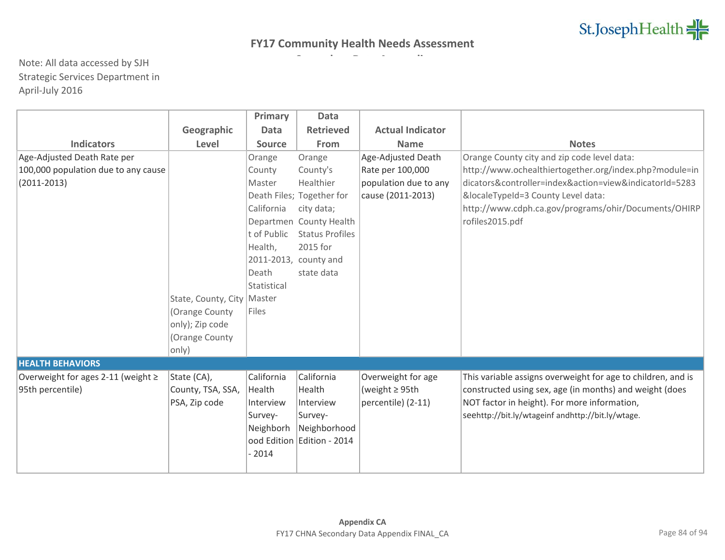|                                        |                              | Primary     | <b>Data</b>                |                         |                                                              |
|----------------------------------------|------------------------------|-------------|----------------------------|-------------------------|--------------------------------------------------------------|
|                                        | Geographic                   | <b>Data</b> | <b>Retrieved</b>           | <b>Actual Indicator</b> |                                                              |
| <b>Indicators</b>                      | Level                        | Source      | From                       | <b>Name</b>             | <b>Notes</b>                                                 |
| Age-Adjusted Death Rate per            |                              | Orange      | Orange                     | Age-Adjusted Death      | Orange County city and zip code level data:                  |
| 100,000 population due to any cause    |                              | County      | County's                   | Rate per 100,000        | http://www.ochealthiertogether.org/index.php?module=in       |
| $(2011 - 2013)$                        |                              | Master      | Healthier                  | population due to any   | dicators&controller=index&action=view&indicatorId=5283       |
|                                        |                              |             | Death Files; Together for  | cause (2011-2013)       | &localeTypeId=3 County Level data:                           |
|                                        |                              | California  | city data;                 |                         | http://www.cdph.ca.gov/programs/ohir/Documents/OHIRP         |
|                                        |                              | Departmen   | <b>County Health</b>       |                         | rofiles2015.pdf                                              |
|                                        |                              | t of Public | <b>Status Profiles</b>     |                         |                                                              |
|                                        |                              | Health,     | 2015 for                   |                         |                                                              |
|                                        |                              |             | 2011-2013, county and      |                         |                                                              |
|                                        |                              | Death       | state data                 |                         |                                                              |
|                                        |                              | Statistical |                            |                         |                                                              |
|                                        | State, County, City   Master |             |                            |                         |                                                              |
|                                        | (Orange County               | Files       |                            |                         |                                                              |
|                                        | only); Zip code              |             |                            |                         |                                                              |
|                                        | (Orange County               |             |                            |                         |                                                              |
|                                        | only)                        |             |                            |                         |                                                              |
| <b>HEALTH BEHAVIORS</b>                |                              |             |                            |                         |                                                              |
| Overweight for ages 2-11 (weight $\ge$ | State (CA),                  | California  | California                 | Overweight for age      | This variable assigns overweight for age to children, and is |
| 95th percentile)                       | County, TSA, SSA,            | Health      | Health                     | (weight $\geq$ 95th     | constructed using sex, age (in months) and weight (does      |
|                                        | PSA, Zip code                | Interview   | Interview                  | percentile) (2-11)      | NOT factor in height). For more information,                 |
|                                        |                              | Survey-     | Survey-                    |                         | seehttp://bit.ly/wtageinf andhttp://bit.ly/wtage.            |
|                                        |                              | Neighborh   | Neighborhood               |                         |                                                              |
|                                        |                              |             | ood Edition Edition - 2014 |                         |                                                              |
|                                        |                              | $-2014$     |                            |                         |                                                              |
|                                        |                              |             |                            |                         |                                                              |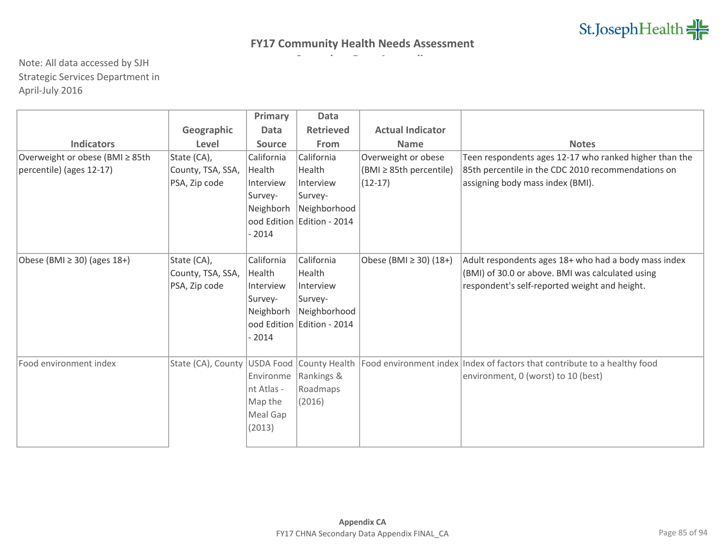|                                  |                              | Primary       | Data                       |                         |                                                                           |
|----------------------------------|------------------------------|---------------|----------------------------|-------------------------|---------------------------------------------------------------------------|
|                                  | Geographic                   | <b>Data</b>   | <b>Retrieved</b>           | <b>Actual Indicator</b> |                                                                           |
| <b>Indicators</b>                | Level                        | <b>Source</b> | From                       | <b>Name</b>             | <b>Notes</b>                                                              |
| Overweight or obese (BMI ≥ 85th  | State (CA),                  | California    | California                 | Overweight or obese     | Teen respondents ages 12-17 who ranked higher than the                    |
| percentile) (ages 12-17)         | County, TSA, SSA,            | Health        | Health                     | (BMI ≥ 85th percentile) | 85th percentile in the CDC 2010 recommendations on                        |
|                                  | PSA, Zip code                | Interview     | Interview                  | $(12-17)$               | assigning body mass index (BMI).                                          |
|                                  |                              | Survey-       | Survey-                    |                         |                                                                           |
|                                  |                              | Neighborh     | Neighborhood               |                         |                                                                           |
|                                  |                              |               | ood Edition Edition - 2014 |                         |                                                                           |
|                                  |                              | $-2014$       |                            |                         |                                                                           |
|                                  |                              |               |                            |                         |                                                                           |
| Obese (BMI $\geq$ 30) (ages 18+) | State (CA),                  | California    | California                 | Obese (BMI ≥ 30) (18+)  | Adult respondents ages 18+ who had a body mass index                      |
|                                  | County, TSA, SSA,            | Health        | Health                     |                         | (BMI) of 30.0 or above. BMI was calculated using                          |
|                                  | PSA, Zip code                | Interview     | Interview                  |                         | respondent's self-reported weight and height.                             |
|                                  |                              | Survey-       | Survey-                    |                         |                                                                           |
|                                  |                              | Neighborh     | Neighborhood               |                         |                                                                           |
|                                  |                              |               | ood Edition Edition - 2014 |                         |                                                                           |
|                                  |                              | $-2014$       |                            |                         |                                                                           |
|                                  |                              |               |                            |                         |                                                                           |
| Food environment index           | State (CA), County USDA Food |               | County Health              |                         | Food environment index Index of factors that contribute to a healthy food |
|                                  |                              | Environme     | Rankings &                 |                         | environment, 0 (worst) to 10 (best)                                       |
|                                  |                              | nt Atlas -    | Roadmaps                   |                         |                                                                           |
|                                  |                              | Map the       | (2016)                     |                         |                                                                           |
|                                  |                              | Meal Gap      |                            |                         |                                                                           |
|                                  |                              | (2013)        |                            |                         |                                                                           |
|                                  |                              |               |                            |                         |                                                                           |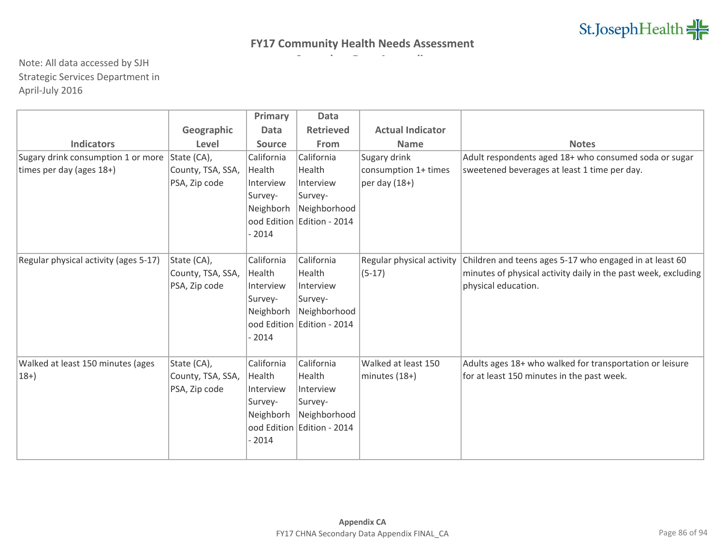|                                                |                   | Primary       | Data                       |                           |                                                                |
|------------------------------------------------|-------------------|---------------|----------------------------|---------------------------|----------------------------------------------------------------|
|                                                | Geographic        | <b>Data</b>   | <b>Retrieved</b>           | <b>Actual Indicator</b>   |                                                                |
| <b>Indicators</b>                              | Level             | <b>Source</b> | From                       | <b>Name</b>               | <b>Notes</b>                                                   |
| Sugary drink consumption 1 or more State (CA), |                   | California    | California                 | Sugary drink              | Adult respondents aged 18+ who consumed soda or sugar          |
| times per day (ages 18+)                       | County, TSA, SSA, | Health        | Health                     | consumption 1+ times      | sweetened beverages at least 1 time per day.                   |
|                                                | PSA, Zip code     | Interview     | Interview                  | per day $(18+)$           |                                                                |
|                                                |                   | Survey-       | Survey-                    |                           |                                                                |
|                                                |                   | Neighborh     | Neighborhood               |                           |                                                                |
|                                                |                   |               | ood Edition Edition - 2014 |                           |                                                                |
|                                                |                   | $-2014$       |                            |                           |                                                                |
|                                                |                   |               |                            |                           |                                                                |
| Regular physical activity (ages 5-17)          | State (CA),       | California    | California                 | Regular physical activity | Children and teens ages 5-17 who engaged in at least 60        |
|                                                | County, TSA, SSA, | Health        | Health                     | $(5-17)$                  | minutes of physical activity daily in the past week, excluding |
|                                                | PSA, Zip code     | Interview     | Interview                  |                           | physical education.                                            |
|                                                |                   | Survey-       | Survey-                    |                           |                                                                |
|                                                |                   | Neighborh     | Neighborhood               |                           |                                                                |
|                                                |                   |               | ood Edition Edition - 2014 |                           |                                                                |
|                                                |                   | $-2014$       |                            |                           |                                                                |
|                                                |                   |               |                            |                           |                                                                |
| Walked at least 150 minutes (ages              | State (CA),       | California    | California                 | Walked at least 150       | Adults ages 18+ who walked for transportation or leisure       |
| $18+$                                          | County, TSA, SSA, | Health        | Health                     | minutes $(18+)$           | for at least 150 minutes in the past week.                     |
|                                                | PSA, Zip code     | Interview     | Interview                  |                           |                                                                |
|                                                |                   | Survey-       | Survey-                    |                           |                                                                |
|                                                |                   | Neighborh     | Neighborhood               |                           |                                                                |
|                                                |                   |               | ood Edition Edition - 2014 |                           |                                                                |
|                                                |                   | $-2014$       |                            |                           |                                                                |
|                                                |                   |               |                            |                           |                                                                |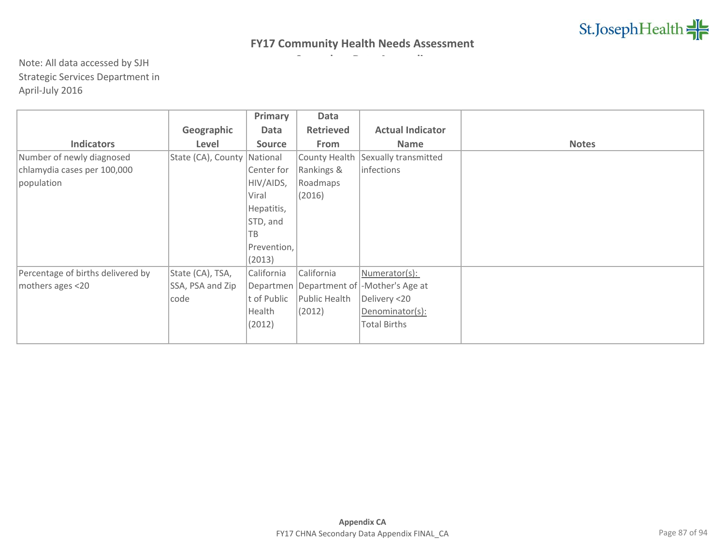|                                   |                    | Primary       | Data             |                                               |              |
|-----------------------------------|--------------------|---------------|------------------|-----------------------------------------------|--------------|
|                                   | Geographic         | Data          | <b>Retrieved</b> | <b>Actual Indicator</b>                       |              |
| <b>Indicators</b>                 | Level              | <b>Source</b> | From             | <b>Name</b>                                   | <b>Notes</b> |
| Number of newly diagnosed         | State (CA), County | National      | County Health    | Sexually transmitted                          |              |
| chlamydia cases per 100,000       |                    | Center for    | Rankings &       | infections                                    |              |
| population                        |                    | HIV/AIDS,     | Roadmaps         |                                               |              |
|                                   |                    | Viral         | (2016)           |                                               |              |
|                                   |                    | Hepatitis,    |                  |                                               |              |
|                                   |                    | STD, and      |                  |                                               |              |
|                                   |                    | TB            |                  |                                               |              |
|                                   |                    | Prevention,   |                  |                                               |              |
|                                   |                    | (2013)        |                  |                                               |              |
| Percentage of births delivered by | State (CA), TSA,   | California    | California       | Numerator(s):                                 |              |
| mothers ages <20                  | SSA, PSA and Zip   |               |                  | Departmen   Department of   - Mother's Age at |              |
|                                   | code               | t of Public   | Public Health    | Delivery <20                                  |              |
|                                   |                    | Health        | (2012)           | Denominator(s):                               |              |
|                                   |                    | (2012)        |                  | <b>Total Births</b>                           |              |
|                                   |                    |               |                  |                                               |              |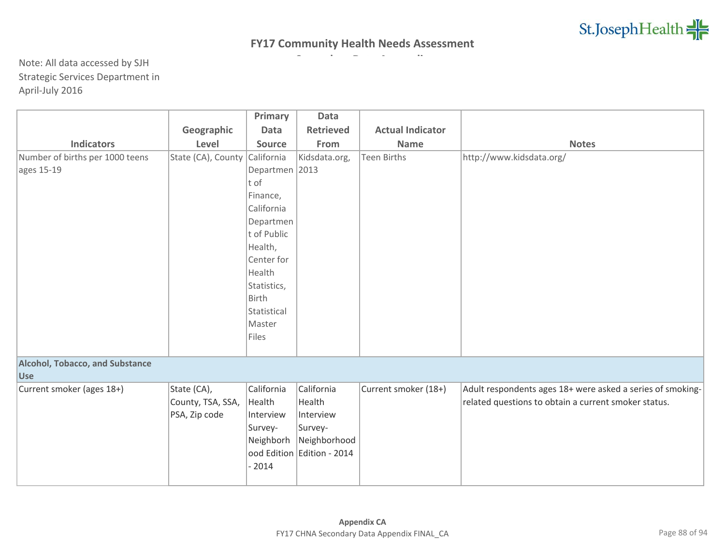|                                        |                    | Primary        | Data                       |                         |                                                            |
|----------------------------------------|--------------------|----------------|----------------------------|-------------------------|------------------------------------------------------------|
|                                        | Geographic         | Data           | <b>Retrieved</b>           | <b>Actual Indicator</b> |                                                            |
| <b>Indicators</b>                      | Level              | <b>Source</b>  | From                       | <b>Name</b>             | <b>Notes</b>                                               |
| Number of births per 1000 teens        | State (CA), County | California     | Kidsdata.org,              | <b>Teen Births</b>      | http://www.kidsdata.org/                                   |
| ages 15-19                             |                    | Departmen 2013 |                            |                         |                                                            |
|                                        |                    | t of           |                            |                         |                                                            |
|                                        |                    | Finance,       |                            |                         |                                                            |
|                                        |                    | California     |                            |                         |                                                            |
|                                        |                    | Departmen      |                            |                         |                                                            |
|                                        |                    | t of Public    |                            |                         |                                                            |
|                                        |                    | Health,        |                            |                         |                                                            |
|                                        |                    | Center for     |                            |                         |                                                            |
|                                        |                    | Health         |                            |                         |                                                            |
|                                        |                    | Statistics,    |                            |                         |                                                            |
|                                        |                    | Birth          |                            |                         |                                                            |
|                                        |                    | Statistical    |                            |                         |                                                            |
|                                        |                    | Master         |                            |                         |                                                            |
|                                        |                    | Files          |                            |                         |                                                            |
|                                        |                    |                |                            |                         |                                                            |
| <b>Alcohol, Tobacco, and Substance</b> |                    |                |                            |                         |                                                            |
| <b>Use</b>                             |                    |                |                            |                         |                                                            |
| Current smoker (ages 18+)              | State (CA),        | California     | California                 | Current smoker (18+)    | Adult respondents ages 18+ were asked a series of smoking- |
|                                        | County, TSA, SSA,  | Health         | Health                     |                         | related questions to obtain a current smoker status.       |
|                                        | PSA, Zip code      | Interview      | Interview                  |                         |                                                            |
|                                        |                    | Survey-        | Survey-                    |                         |                                                            |
|                                        |                    | Neighborh      | Neighborhood               |                         |                                                            |
|                                        |                    |                | ood Edition Edition - 2014 |                         |                                                            |
|                                        |                    | $-2014$        |                            |                         |                                                            |
|                                        |                    |                |                            |                         |                                                            |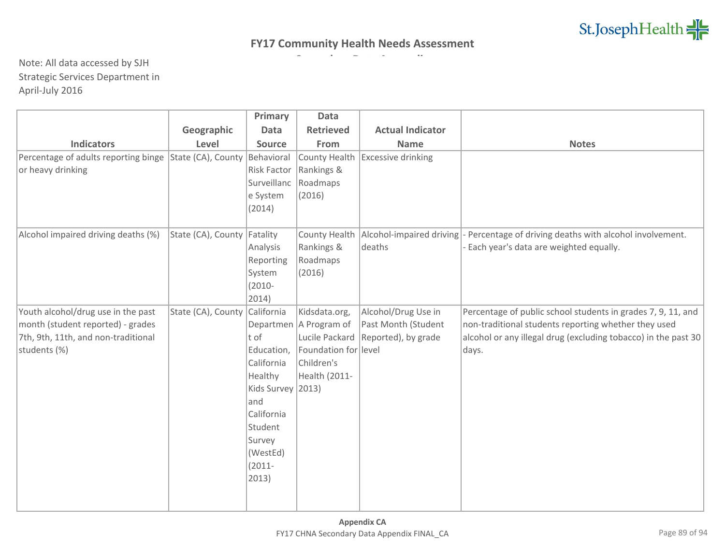|                                      |                    | Primary           | <b>Data</b>              |                           |                                                                |
|--------------------------------------|--------------------|-------------------|--------------------------|---------------------------|----------------------------------------------------------------|
|                                      | Geographic         | <b>Data</b>       | <b>Retrieved</b>         | <b>Actual Indicator</b>   |                                                                |
| <b>Indicators</b>                    | Level              | <b>Source</b>     | From                     | <b>Name</b>               | <b>Notes</b>                                                   |
| Percentage of adults reporting binge | State (CA), County | Behavioral        | County Health            | <b>Excessive drinking</b> |                                                                |
| or heavy drinking                    |                    | Risk Factor       | Rankings &               |                           |                                                                |
|                                      |                    | Surveillanc       | Roadmaps                 |                           |                                                                |
|                                      |                    | e System          | (2016)                   |                           |                                                                |
|                                      |                    | (2014)            |                          |                           |                                                                |
|                                      |                    |                   |                          |                           |                                                                |
| Alcohol impaired driving deaths (%)  | State (CA), County | Fatality          | County Health            | Alcohol-impaired driving  | - Percentage of driving deaths with alcohol involvement.       |
|                                      |                    | Analysis          | Rankings &               | deaths                    | Each year's data are weighted equally.                         |
|                                      |                    | Reporting         | Roadmaps                 |                           |                                                                |
|                                      |                    | System            | (2016)                   |                           |                                                                |
|                                      |                    | $(2010 -$         |                          |                           |                                                                |
|                                      |                    | 2014)             |                          |                           |                                                                |
| Youth alcohol/drug use in the past   | State (CA), County | California        | Kidsdata.org,            | Alcohol/Drug Use in       | Percentage of public school students in grades 7, 9, 11, and   |
| month (student reported) - grades    |                    |                   | Departmen   A Program of | Past Month (Student       | non-traditional students reporting whether they used           |
| 7th, 9th, 11th, and non-traditional  |                    | t of              | Lucile Packard           | Reported), by grade       | alcohol or any illegal drug (excluding tobacco) in the past 30 |
| students (%)                         |                    | Education,        | Foundation for level     |                           | days.                                                          |
|                                      |                    | California        | Children's               |                           |                                                                |
|                                      |                    | Healthy           | Health (2011-            |                           |                                                                |
|                                      |                    | Kids Survey 2013) |                          |                           |                                                                |
|                                      |                    | and               |                          |                           |                                                                |
|                                      |                    | California        |                          |                           |                                                                |
|                                      |                    | Student           |                          |                           |                                                                |
|                                      |                    | Survey            |                          |                           |                                                                |
|                                      |                    | (WestEd)          |                          |                           |                                                                |
|                                      |                    | $(2011 -$         |                          |                           |                                                                |
|                                      |                    | 2013)             |                          |                           |                                                                |
|                                      |                    |                   |                          |                           |                                                                |
|                                      |                    |                   |                          |                           |                                                                |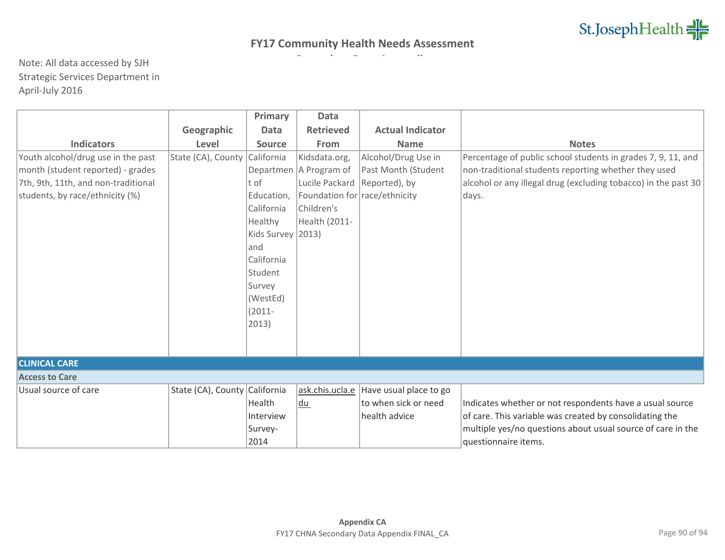|                                     |                               | Primary           | Data                          |                         |                                                                |
|-------------------------------------|-------------------------------|-------------------|-------------------------------|-------------------------|----------------------------------------------------------------|
|                                     | Geographic                    | <b>Data</b>       | <b>Retrieved</b>              | <b>Actual Indicator</b> |                                                                |
| <b>Indicators</b>                   | Level                         | <b>Source</b>     | <b>From</b>                   | <b>Name</b>             | <b>Notes</b>                                                   |
| Youth alcohol/drug use in the past  | State (CA), County            | California        | Kidsdata.org,                 | Alcohol/Drug Use in     | Percentage of public school students in grades 7, 9, 11, and   |
| month (student reported) - grades   |                               |                   | Departmen   A Program of      | Past Month (Student     | non-traditional students reporting whether they used           |
| 7th, 9th, 11th, and non-traditional |                               | t of              | Lucile Packard                | Reported), by           | alcohol or any illegal drug (excluding tobacco) in the past 30 |
| students, by race/ethnicity (%)     |                               | Education,        | Foundation for race/ethnicity |                         | days.                                                          |
|                                     |                               | California        | Children's                    |                         |                                                                |
|                                     |                               | Healthy           | Health (2011-                 |                         |                                                                |
|                                     |                               | Kids Survey 2013) |                               |                         |                                                                |
|                                     |                               | and               |                               |                         |                                                                |
|                                     |                               | California        |                               |                         |                                                                |
|                                     |                               | Student           |                               |                         |                                                                |
|                                     |                               | Survey            |                               |                         |                                                                |
|                                     |                               | (WestEd)          |                               |                         |                                                                |
|                                     |                               | $(2011 -$         |                               |                         |                                                                |
|                                     |                               | 2013)             |                               |                         |                                                                |
|                                     |                               |                   |                               |                         |                                                                |
|                                     |                               |                   |                               |                         |                                                                |
| <b>CLINICAL CARE</b>                |                               |                   |                               |                         |                                                                |
| <b>Access to Care</b>               |                               |                   |                               |                         |                                                                |
| Usual source of care                | State (CA), County California |                   | ask.chis.ucla.e               | Have usual place to go  |                                                                |
|                                     |                               | Health            | du                            | to when sick or need    | Indicates whether or not respondents have a usual source       |
|                                     |                               | Interview         |                               | health advice           | of care. This variable was created by consolidating the        |
|                                     |                               | Survey-           |                               |                         | multiple yes/no questions about usual source of care in the    |
|                                     |                               | 2014              |                               |                         | questionnaire items.                                           |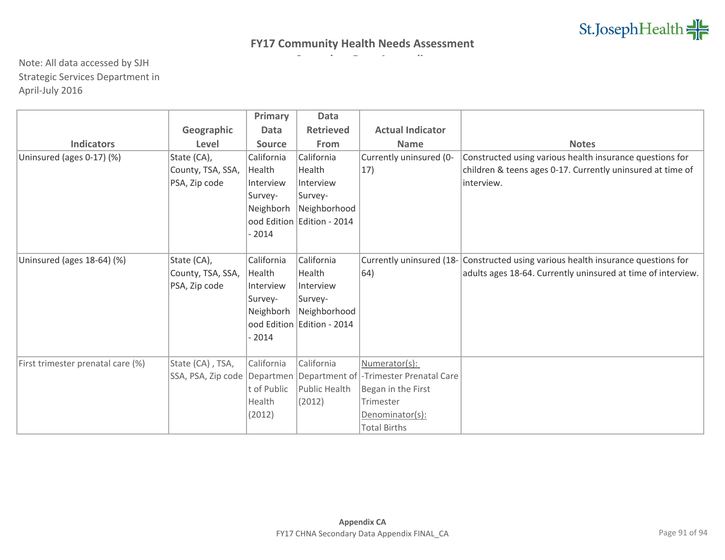|                                   |                    | <b>Primary</b> | <b>Data</b>                  |                                         |                                                                                   |
|-----------------------------------|--------------------|----------------|------------------------------|-----------------------------------------|-----------------------------------------------------------------------------------|
|                                   | Geographic         | Data           | <b>Retrieved</b>             | <b>Actual Indicator</b>                 |                                                                                   |
| <b>Indicators</b>                 | Level              | <b>Source</b>  | From                         | <b>Name</b>                             | <b>Notes</b>                                                                      |
| Uninsured (ages 0-17) (%)         | State (CA),        | California     | California                   | Currently uninsured (0-                 | Constructed using various health insurance questions for                          |
|                                   | County, TSA, SSA,  | Health         | Health                       | 17)                                     | children & teens ages 0-17. Currently uninsured at time of                        |
|                                   | PSA, Zip code      | Interview      | Interview                    |                                         | interview.                                                                        |
|                                   |                    | Survey-        | Survey-                      |                                         |                                                                                   |
|                                   |                    | Neighborh      | Neighborhood                 |                                         |                                                                                   |
|                                   |                    |                | ood Edition   Edition - 2014 |                                         |                                                                                   |
|                                   |                    | $-2014$        |                              |                                         |                                                                                   |
|                                   |                    |                |                              |                                         |                                                                                   |
| Uninsured (ages 18-64) (%)        | State (CA),        | California     | California                   |                                         | Currently uninsured (18- Constructed using various health insurance questions for |
|                                   | County, TSA, SSA,  | Health         | Health                       | $ 64\rangle$                            | adults ages 18-64. Currently uninsured at time of interview.                      |
|                                   | PSA, Zip code      | Interview      | Interview                    |                                         |                                                                                   |
|                                   |                    | Survey-        | Survey-                      |                                         |                                                                                   |
|                                   |                    | Neighborh      | Neighborhood                 |                                         |                                                                                   |
|                                   |                    |                | ood Edition Edition - 2014   |                                         |                                                                                   |
|                                   |                    | $-2014$        |                              |                                         |                                                                                   |
|                                   |                    |                |                              |                                         |                                                                                   |
| First trimester prenatal care (%) | State (CA), TSA,   | California     | California                   | Numerator(s):                           |                                                                                   |
|                                   | SSA, PSA, Zip code | Departmen      |                              | Department of  -Trimester Prenatal Care |                                                                                   |
|                                   |                    | t of Public    | Public Health                | Began in the First                      |                                                                                   |
|                                   |                    | Health         | (2012)                       | Trimester                               |                                                                                   |
|                                   |                    | (2012)         |                              | Denominator(s):                         |                                                                                   |
|                                   |                    |                |                              | <b>Total Births</b>                     |                                                                                   |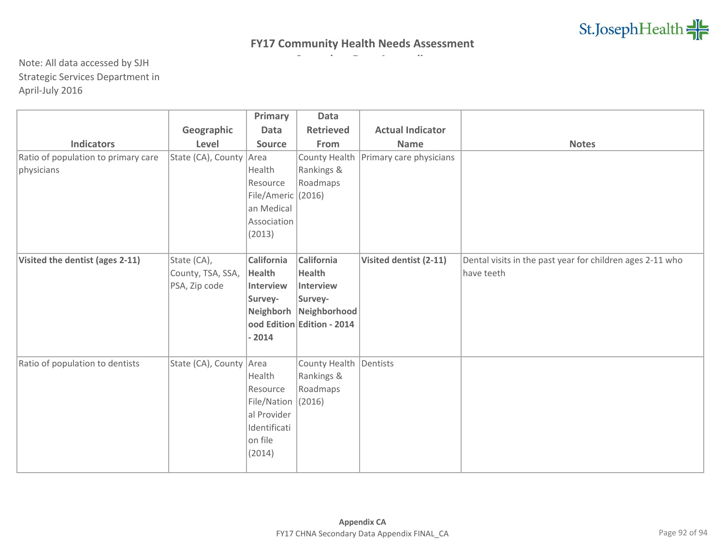|                                     |                         | Primary            | <b>Data</b>                |                         |                                                           |
|-------------------------------------|-------------------------|--------------------|----------------------------|-------------------------|-----------------------------------------------------------|
|                                     | Geographic              | Data               | <b>Retrieved</b>           | <b>Actual Indicator</b> |                                                           |
| <b>Indicators</b>                   | Level                   | Source             | From                       | <b>Name</b>             | <b>Notes</b>                                              |
| Ratio of population to primary care | State (CA), County Area |                    | County Health              | Primary care physicians |                                                           |
| physicians                          |                         | Health             | Rankings &                 |                         |                                                           |
|                                     |                         | Resource           | Roadmaps                   |                         |                                                           |
|                                     |                         | File/Americ (2016) |                            |                         |                                                           |
|                                     |                         | an Medical         |                            |                         |                                                           |
|                                     |                         | Association        |                            |                         |                                                           |
|                                     |                         | (2013)             |                            |                         |                                                           |
|                                     |                         |                    |                            |                         |                                                           |
| Visited the dentist (ages 2-11)     | State (CA),             | California         | California                 | Visited dentist (2-11)  | Dental visits in the past year for children ages 2-11 who |
|                                     | County, TSA, SSA,       | <b>Health</b>      | <b>Health</b>              |                         | have teeth                                                |
|                                     | PSA, Zip code           | Interview          | Interview                  |                         |                                                           |
|                                     |                         | Survey-            | Survey-                    |                         |                                                           |
|                                     |                         | Neighborh          | Neighborhood               |                         |                                                           |
|                                     |                         |                    | ood Edition Edition - 2014 |                         |                                                           |
|                                     |                         | $-2014$            |                            |                         |                                                           |
|                                     |                         |                    |                            |                         |                                                           |
| Ratio of population to dentists     | State (CA), County      | Area               | County Health              | Dentists                |                                                           |
|                                     |                         | Health             | Rankings &                 |                         |                                                           |
|                                     |                         | Resource           | Roadmaps                   |                         |                                                           |
|                                     |                         | File/Nation (2016) |                            |                         |                                                           |
|                                     |                         | al Provider        |                            |                         |                                                           |
|                                     |                         | Identificati       |                            |                         |                                                           |
|                                     |                         | on file            |                            |                         |                                                           |
|                                     |                         | (2014)             |                            |                         |                                                           |
|                                     |                         |                    |                            |                         |                                                           |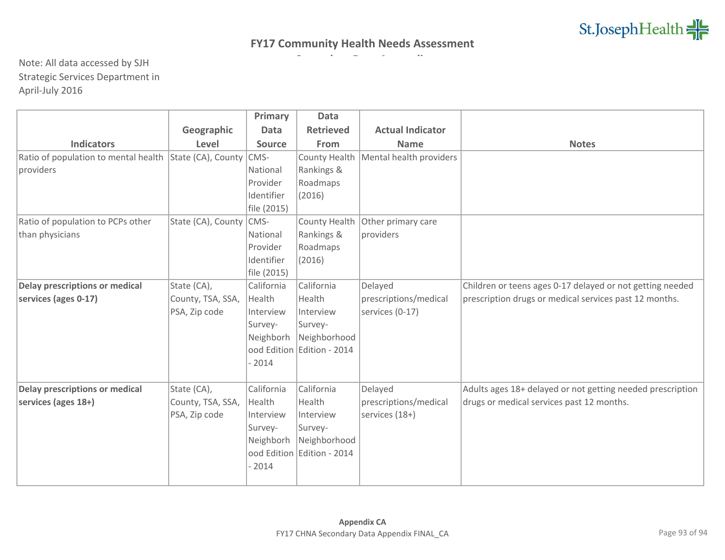|                                       |                           | Primary     | Data                       |                         |                                                            |
|---------------------------------------|---------------------------|-------------|----------------------------|-------------------------|------------------------------------------------------------|
|                                       | Geographic                | <b>Data</b> | <b>Retrieved</b>           | <b>Actual Indicator</b> |                                                            |
| <b>Indicators</b>                     | Level                     | Source      | From                       | <b>Name</b>             | <b>Notes</b>                                               |
| Ratio of population to mental health  | State (CA), County        | CMS-        | County Health              | Mental health providers |                                                            |
| providers                             |                           | National    | Rankings &                 |                         |                                                            |
|                                       |                           | Provider    | Roadmaps                   |                         |                                                            |
|                                       |                           | Identifier  | (2016)                     |                         |                                                            |
|                                       |                           | file (2015) |                            |                         |                                                            |
| Ratio of population to PCPs other     | State (CA), County   CMS- |             | County Health              | Other primary care      |                                                            |
| than physicians                       |                           | National    | Rankings &                 | providers               |                                                            |
|                                       |                           | Provider    | Roadmaps                   |                         |                                                            |
|                                       |                           | Identifier  | (2016)                     |                         |                                                            |
|                                       |                           | file (2015) |                            |                         |                                                            |
| <b>Delay prescriptions or medical</b> | State (CA),               | California  | California                 | Delayed                 | Children or teens ages 0-17 delayed or not getting needed  |
| services (ages 0-17)                  | County, TSA, SSA,         | Health      | Health                     | prescriptions/medical   | prescription drugs or medical services past 12 months.     |
|                                       | PSA, Zip code             | Interview   | Interview                  | services (0-17)         |                                                            |
|                                       |                           | Survey-     | Survey-                    |                         |                                                            |
|                                       |                           | Neighborh   | Neighborhood               |                         |                                                            |
|                                       |                           |             | ood Edition Edition - 2014 |                         |                                                            |
|                                       |                           | $-2014$     |                            |                         |                                                            |
|                                       |                           |             |                            |                         |                                                            |
| Delay prescriptions or medical        | State (CA),               | California  | California                 | Delayed                 | Adults ages 18+ delayed or not getting needed prescription |
| services (ages 18+)                   | County, TSA, SSA,         | Health      | Health                     | prescriptions/medical   | drugs or medical services past 12 months.                  |
|                                       | PSA, Zip code             | Interview   | Interview                  | services (18+)          |                                                            |
|                                       |                           | Survey-     | Survey-                    |                         |                                                            |
|                                       |                           | Neighborh   | Neighborhood               |                         |                                                            |
|                                       |                           |             | ood Edition Edition - 2014 |                         |                                                            |
|                                       |                           | $-2014$     |                            |                         |                                                            |
|                                       |                           |             |                            |                         |                                                            |